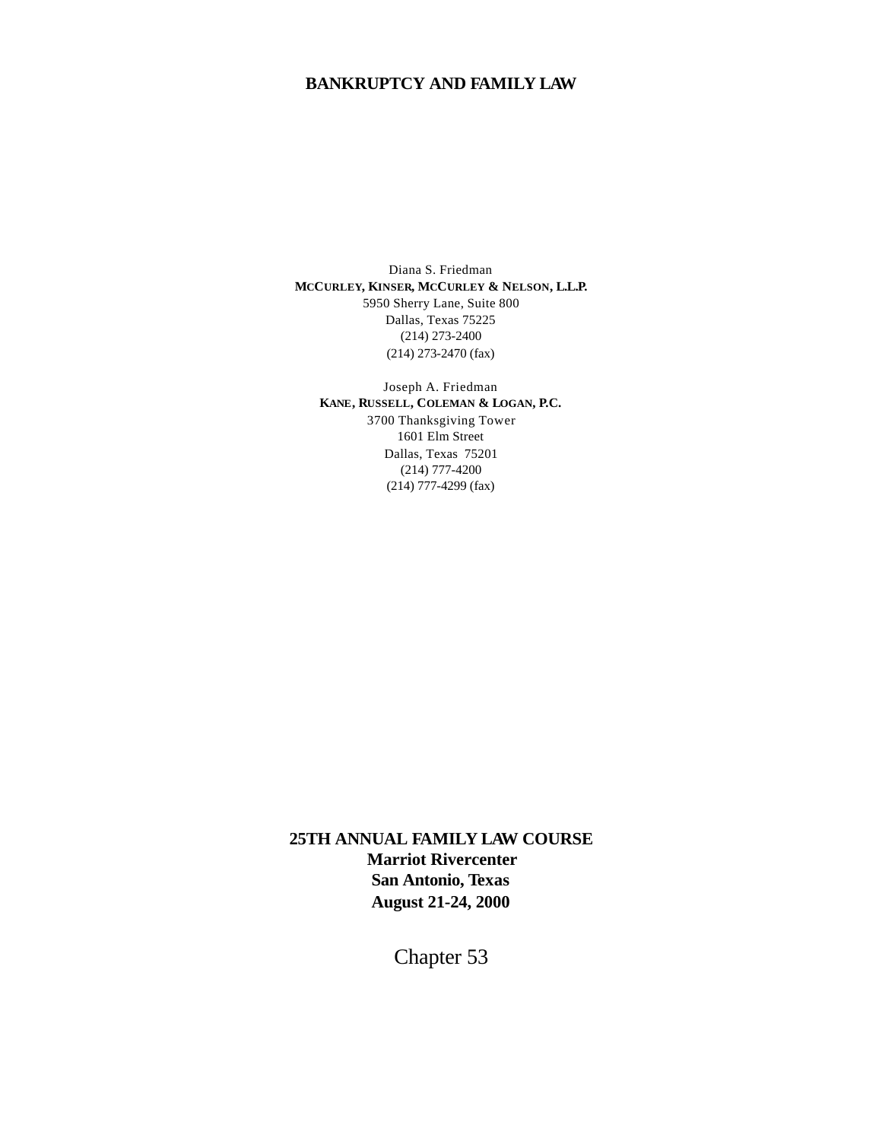Diana S. Friedman **MCCURLEY, KINSER, MCCURLEY & NELSON, L.L.P.** 5950 Sherry Lane, Suite 800 Dallas, Texas 75225 (214) 273-2400 (214) 273-2470 (fax)

Joseph A. Friedman **KANE, RUSSELL, COLEMAN & LOGAN, P.C.** 3700 Thanksgiving Tower 1601 Elm Street Dallas, Texas 75201 (214) 777-4200 (214) 777-4299 (fax)

**25TH ANNUAL FAMILY LAW COURSE Marriot Rivercenter San Antonio, Texas August 21-24, 2000**

Chapter 53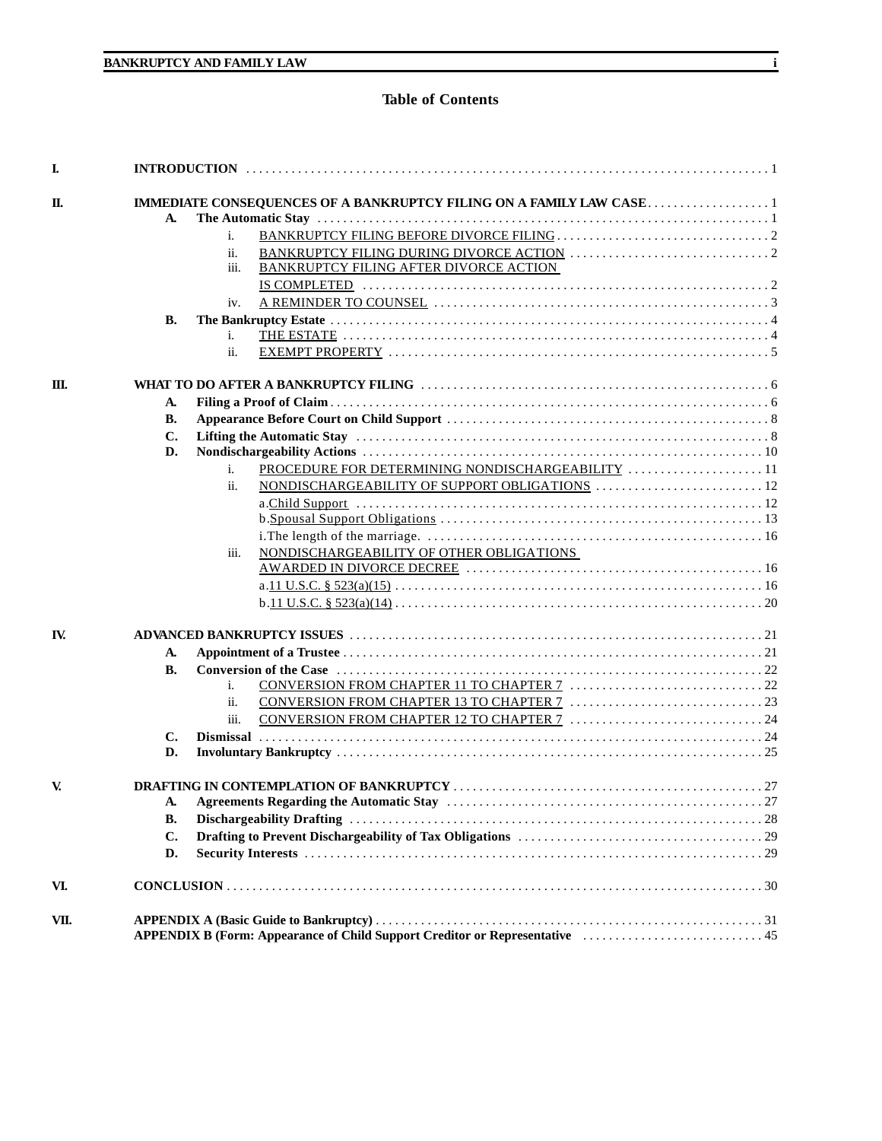# **Table of Contents**

| A.             |                                                                            |  |
|----------------|----------------------------------------------------------------------------|--|
|                | i.                                                                         |  |
|                | ii.                                                                        |  |
|                | BANKRUPTCY FILING AFTER DIVORCE ACTION<br>iii.                             |  |
|                | $IS COMPLETED 1 1 1 2 2 3 4 4 5 6 1 1 1 2 1 3 1 4 1 1 2 1 3 1 4 1 1 2 1 2$ |  |
|                | iv.                                                                        |  |
| В.             |                                                                            |  |
|                | i.                                                                         |  |
|                | ii.                                                                        |  |
|                |                                                                            |  |
| A.             |                                                                            |  |
| В.             |                                                                            |  |
| C.             |                                                                            |  |
| D.             |                                                                            |  |
|                | PROCEDURE FOR DETERMINING NONDISCHARGEABILITY  11<br>i.                    |  |
|                | ii.                                                                        |  |
|                |                                                                            |  |
|                |                                                                            |  |
|                |                                                                            |  |
|                |                                                                            |  |
|                | NONDISCHARGEABILITY OF OTHER OBLIGATIONS<br>iii.                           |  |
|                |                                                                            |  |
|                |                                                                            |  |
|                |                                                                            |  |
|                |                                                                            |  |
| A.             |                                                                            |  |
| <b>B.</b>      |                                                                            |  |
|                | i.                                                                         |  |
|                | ii.                                                                        |  |
|                | iii.                                                                       |  |
| $\mathbf{C}$ . |                                                                            |  |
| D.             |                                                                            |  |
|                |                                                                            |  |
| А.             |                                                                            |  |
| В.             |                                                                            |  |
| C.             |                                                                            |  |
| D.             |                                                                            |  |
|                |                                                                            |  |
|                |                                                                            |  |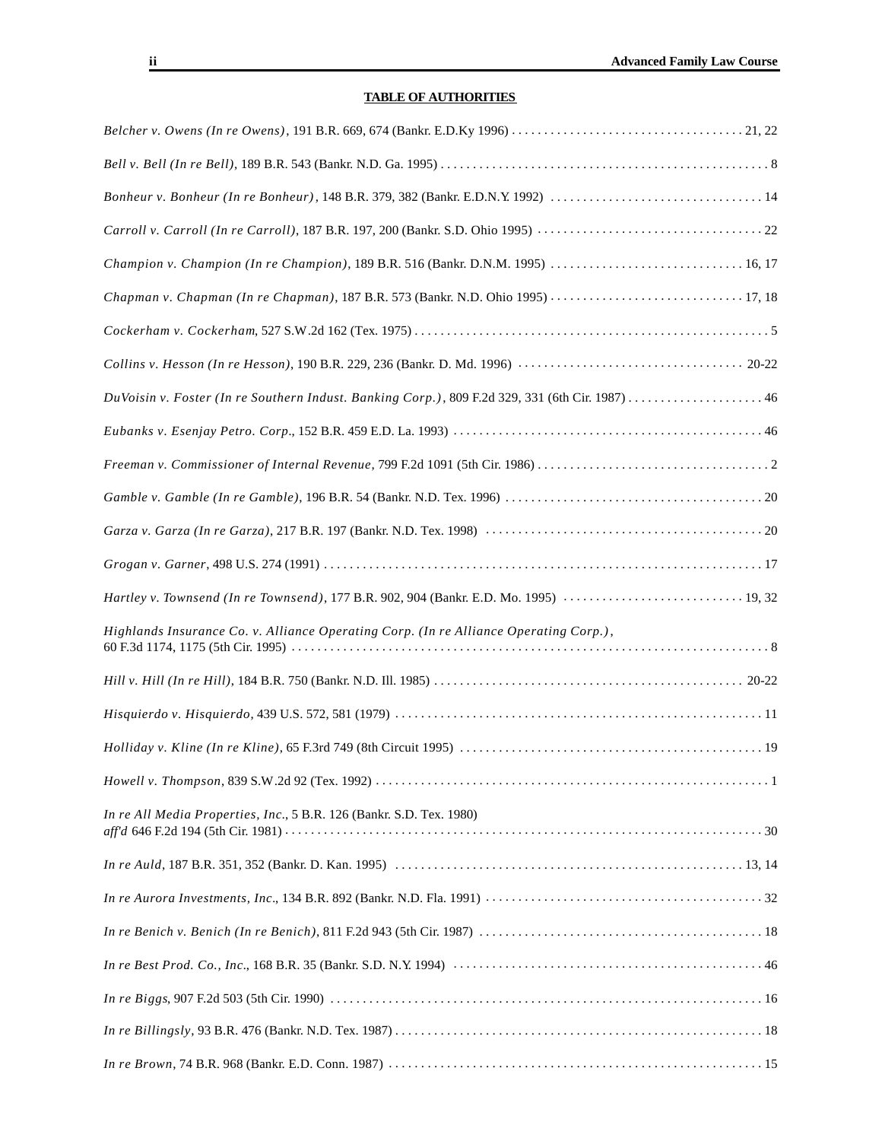# **TABLE OF AUTHORITIES**

| Champion v. Champion (In re Champion), 189 B.R. 516 (Bankr. D.N.M. 1995)  16, 17                 |
|--------------------------------------------------------------------------------------------------|
| Chapman v. Chapman (In re Chapman), 187 B.R. 573 (Bankr. N.D. Ohio 1995)  17, 18                 |
|                                                                                                  |
|                                                                                                  |
| DuVoisin v. Foster (In re Southern Indust. Banking Corp.), 809 F.2d 329, 331 (6th Cir. 1987)  46 |
|                                                                                                  |
|                                                                                                  |
|                                                                                                  |
|                                                                                                  |
|                                                                                                  |
| Hartley v. Townsend (In re Townsend), 177 B.R. 902, 904 (Bankr. E.D. Mo. 1995)  19, 32           |
| Highlands Insurance Co. v. Alliance Operating Corp. (In re Alliance Operating Corp.),            |
|                                                                                                  |
|                                                                                                  |
|                                                                                                  |
|                                                                                                  |
| In re All Media Properties, Inc., 5 B.R. 126 (Bankr. S.D. Tex. 1980)                             |
|                                                                                                  |
|                                                                                                  |
|                                                                                                  |
|                                                                                                  |
|                                                                                                  |
|                                                                                                  |
|                                                                                                  |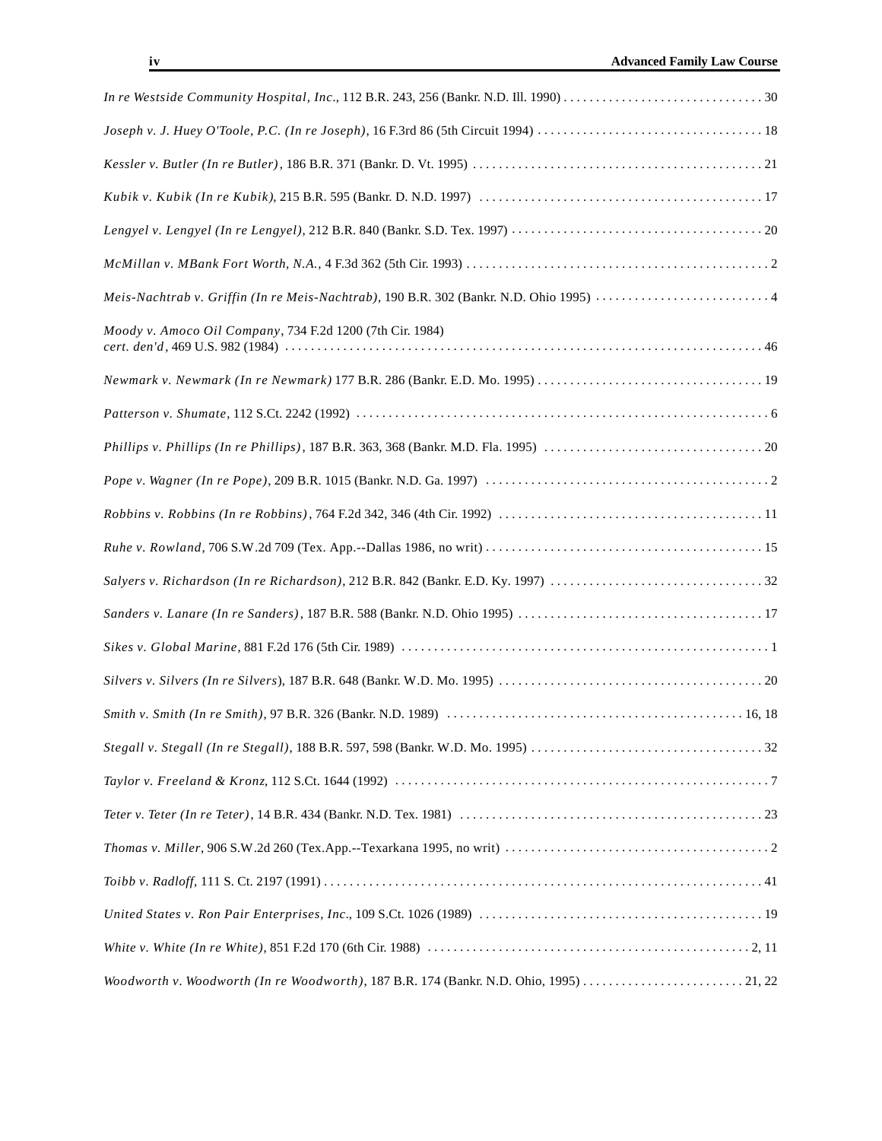| Moody v. Amoco Oil Company, 734 F.2d 1200 (7th Cir. 1984) |  |  |  |
|-----------------------------------------------------------|--|--|--|
|                                                           |  |  |  |
|                                                           |  |  |  |
|                                                           |  |  |  |
|                                                           |  |  |  |
|                                                           |  |  |  |
|                                                           |  |  |  |
|                                                           |  |  |  |
|                                                           |  |  |  |
|                                                           |  |  |  |
|                                                           |  |  |  |
|                                                           |  |  |  |
|                                                           |  |  |  |
|                                                           |  |  |  |
|                                                           |  |  |  |
|                                                           |  |  |  |
|                                                           |  |  |  |
|                                                           |  |  |  |
|                                                           |  |  |  |
|                                                           |  |  |  |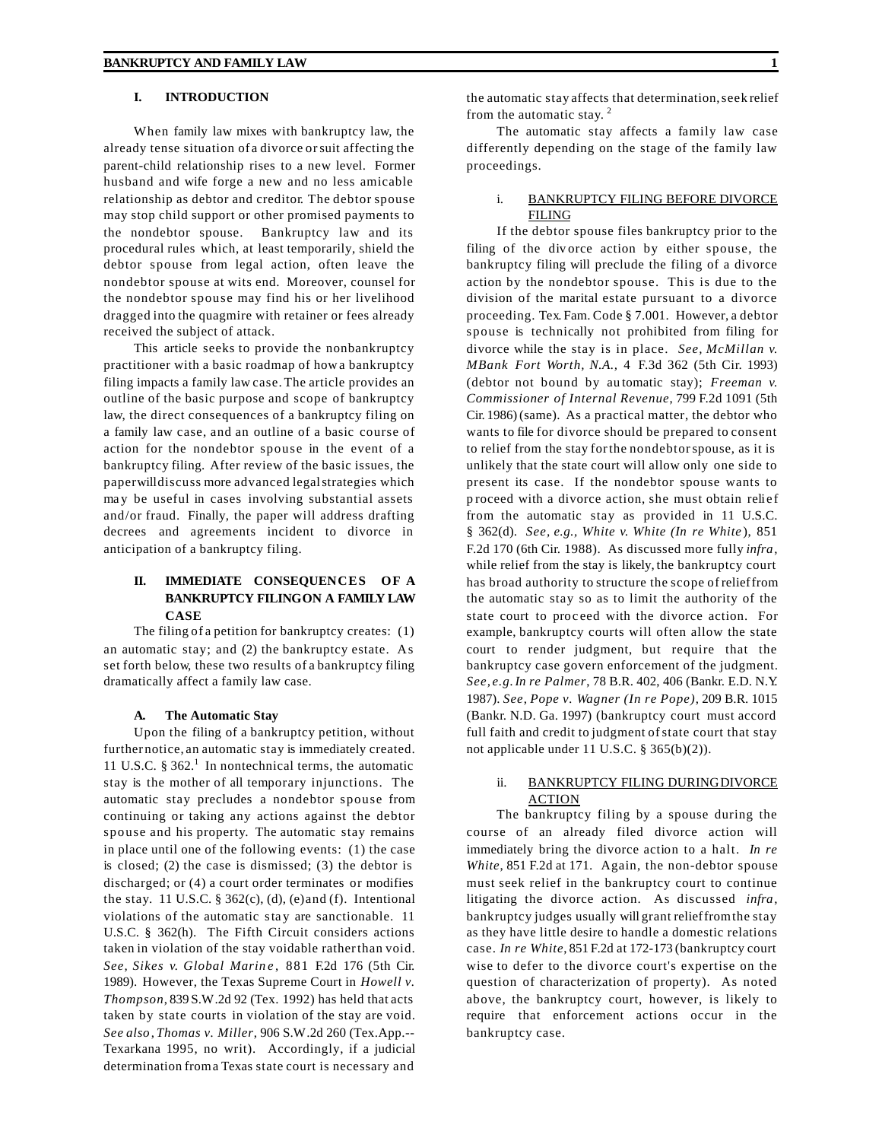# **I. INTRODUCTION**

When family law mixes with bankruptcy law, the already tense situation of a divorce orsuit affecting the parent-child relationship rises to a new level. Former husband and wife forge a new and no less amicable relationship as debtor and creditor. The debtor spouse may stop child support or other promised payments to the nondebtor spouse. Bankruptcy law and its procedural rules which, at least temporarily, shield the debtor spouse from legal action, often leave the nondebtor spouse at wits end. Moreover, counsel for the nondebtor spouse may find his or her livelihood dragged into the quagmire with retainer or fees already received the subject of attack.

This article seeks to provide the nonbankruptcy practitioner with a basic roadmap of howa bankruptcy filing impacts a family law case. The article provides an outline of the basic purpose and scope of bankruptcy law, the direct consequences of a bankruptcy filing on a family law case, and an outline of a basic course of action for the nondebtor spouse in the event of a bankruptcy filing. After review of the basic issues, the paperwilldiscuss more advanced legalstrategies which ma y be useful in cases involving substantial assets and/or fraud. Finally, the paper will address drafting decrees and agreements incident to divorce in anticipation of a bankruptcy filing.

# **II. IMMEDIATE CONSEQUENCES OF A BANKRUPTCY FILINGON A FAMILY LAW CASE**

The filing of a petition for bankruptcy creates: (1) an automatic stay; and (2) the bankruptcy estate. As set forth below, these two results of a bankruptcy filing dramatically affect a family law case.

#### **A. The Automatic Stay**

Upon the filing of a bankruptcy petition, without further notice, an automatic stay is immediately created. 11 U.S.C.  $\S 362$ <sup>1</sup>. In nontechnical terms, the automatic stay is the mother of all temporary injunctions. The automatic stay precludes a nondebtor spouse from continuing or taking any actions against the debtor spouse and his property. The automatic stay remains in place until one of the following events: (1) the case is closed; (2) the case is dismissed; (3) the debtor is discharged; or (4) a court order terminates or modifies the stay. 11 U.S.C.  $\S 362(c)$ , (d), (e) and (f). Intentional violations of the automatic stay are sanctionable. 11 U.S.C. § 362(h). The Fifth Circuit considers actions taken in violation of the stay voidable ratherthan void. *See, Sikes v. Global Marin e* , 881 F.2d 176 (5th Cir. 1989). However, the Texas Supreme Court in *Howell v. Thompson*, 839 S.W.2d 92 (Tex. 1992) has held that acts taken by state courts in violation of the stay are void. *See also*, *Thomas v. Miller*, 906 S.W.2d 260 (Tex.App.-- Texarkana 1995, no writ). Accordingly, if a judicial determination froma Texas state court is necessary and

the automatic stay affects that determination,seek relief from the automatic stay.<sup>2</sup>

The automatic stay affects a family law case differently depending on the stage of the family law proceedings.

# i. BANKRUPTCY FILING BEFORE DIVORCE FILING

If the debtor spouse files bankruptcy prior to the filing of the div orce action by either spouse, the bankruptcy filing will preclude the filing of a divorce action by the nondebtor spouse. This is due to the division of the marital estate pursuant to a divorce proceeding. Tex. Fam. Code § 7.001. However, a debtor spouse is technically not prohibited from filing for divorce while the stay is in place. *See, McMillan v. MBank Fort Worth, N.A.,* 4 F.3d 362 (5th Cir. 1993) (debtor not bound by au tomatic stay); *Freeman v. Commissioner of Internal Revenue*, 799 F.2d 1091 (5th Cir. 1986) (same). As a practical matter, the debtor who wants to file for divorce should be prepared to consent to relief from the stay forthe nondebtorspouse, as it is unlikely that the state court will allow only one side to present its case. If the nondebtor spouse wants to p roceed with a divorce action, she must obtain relief from the automatic stay as provided in 11 U.S.C. § 362(d). *See, e.g., White v. White (In re White* ), 851 F.2d 170 (6th Cir. 1988). As discussed more fully *infra*, while relief from the stay is likely, the bankruptcy court has broad authority to structure the scope of relieffrom the automatic stay so as to limit the authority of the state court to proc eed with the divorce action. For example, bankruptcy courts will often allow the state court to render judgment, but require that the bankruptcy case govern enforcement of the judgment. *See, e.g.In re Palmer*, 78 B.R. 402, 406 (Bankr. E.D. N.Y. 1987). *See*, *Pope v. Wagner (In re Pope)*, 209 B.R. 1015 (Bankr. N.D. Ga. 1997) (bankruptcy court must accord full faith and credit to judgment of state court that stay not applicable under 11 U.S.C. § 365(b)(2)).

# ii. BANKRUPTCY FILING DURING DIVORCE ACTION

The bankruptcy filing by a spouse during the course of an already filed divorce action will immediately bring the divorce action to a halt. *In re White*, 851 F.2d at 171. Again, the non-debtor spouse must seek relief in the bankruptcy court to continue litigating the divorce action. As discussed *infra*, bankruptcy judges usually will grant relieffromthe stay as they have little desire to handle a domestic relations case. *In re White*, 851 F.2d at 172-173 (bankruptcy court wise to defer to the divorce court's expertise on the question of characterization of property). As noted above, the bankruptcy court, however, is likely to require that enforcement actions occur in the bankruptcy case.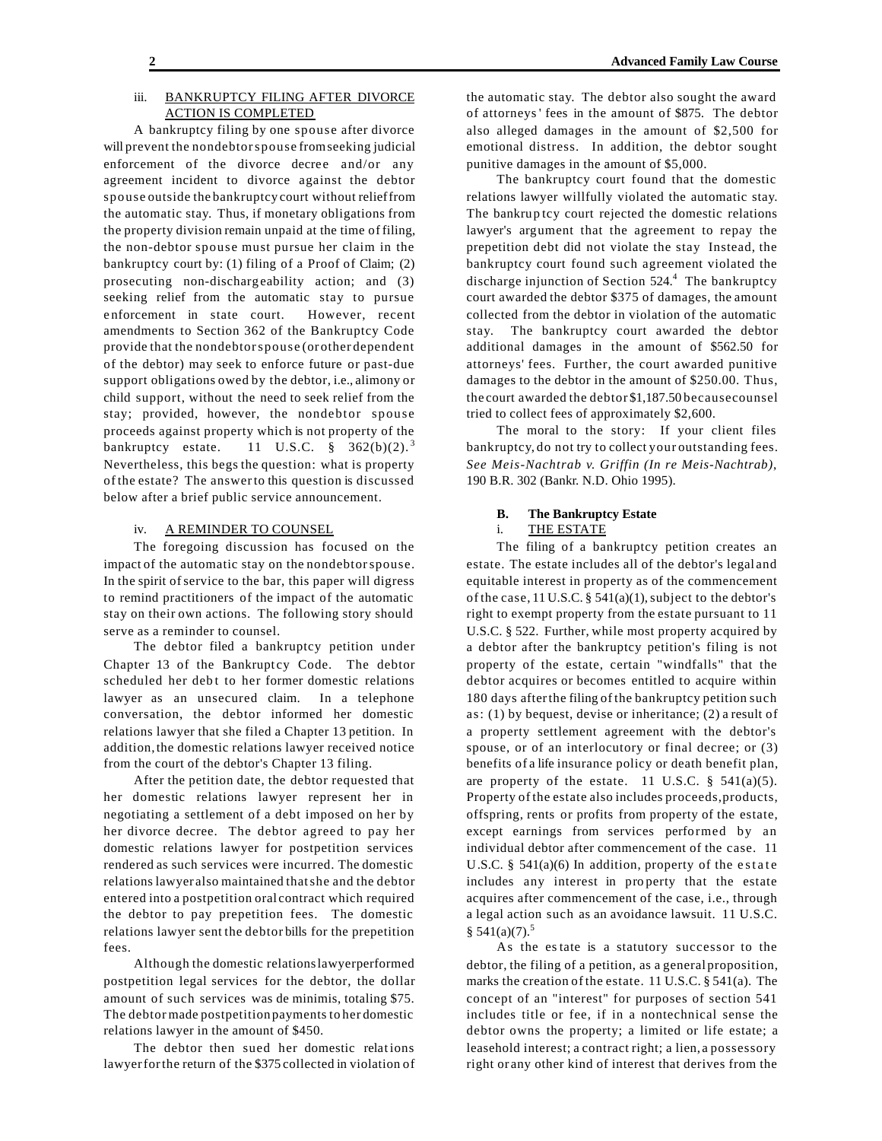#### iii. BANKRUPTCY FILING AFTER DIVORCE ACTION IS COMPLETED

A bankruptcy filing by one spouse after divorce will prevent the nondebtorspouse fromseeking judicial enforcement of the divorce decree and/or any agreement incident to divorce against the debtor spouse outside the bankruptcy court without relieffrom the automatic stay. Thus, if monetary obligations from the property division remain unpaid at the time of filing, the non-debtor spouse must pursue her claim in the bankruptcy court by: (1) filing of a Proof of Claim; (2) prosecuting non-dischargeability action; and (3) seeking relief from the automatic stay to pursue e nforcement in state court. However, recent amendments to Section 362 of the Bankruptcy Code provide that the nondebtorspouse (or other dependent of the debtor) may seek to enforce future or past-due support obligations owed by the debtor, i.e., alimony or child support, without the need to seek relief from the stay; provided, however, the nondebtor spouse proceeds against property which is not property of the bankruptcy estate. 11 U.S.C.  $\frac{8}{362(b)(2)}$ .<sup>3</sup> Nevertheless, this begs the question: what is property of the estate? The answerto this question is discussed below after a brief public service announcement.

# iv. A REMINDER TO COUNSEL

The foregoing discussion has focused on the impact of the automatic stay on the nondebtorspouse. In the spirit of service to the bar, this paper will digress to remind practitioners of the impact of the automatic stay on their own actions. The following story should serve as a reminder to counsel.

The debtor filed a bankruptcy petition under Chapter 13 of the Bankruptcy Code. The debtor scheduled her debt to her former domestic relations lawyer as an unsecured claim. In a telephone conversation, the debtor informed her domestic relations lawyer that she filed a Chapter 13 petition. In addition,the domestic relations lawyer received notice from the court of the debtor's Chapter 13 filing.

After the petition date, the debtor requested that her domestic relations lawyer represent her in negotiating a settlement of a debt imposed on her by her divorce decree. The debtor agreed to pay her domestic relations lawyer for postpetition services rendered as such services were incurred. The domestic relations lawyer also maintained thatshe and the debtor entered into a postpetition oral contract which required the debtor to pay prepetition fees. The domestic relations lawyer sent the debtor bills for the prepetition fees.

Although the domestic relationslawyerperformed postpetition legal services for the debtor, the dollar amount of such services was de minimis, totaling \$75. The debtor made postpetition payments to her domestic relations lawyer in the amount of \$450.

The debtor then sued her domestic relations lawyerforthe return of the \$375 collected in violation of the automatic stay. The debtor also sought the award of attorneys' fees in the amount of \$875. The debtor also alleged damages in the amount of \$2,500 for emotional distress. In addition, the debtor sought punitive damages in the amount of \$5,000.

The bankruptcy court found that the domestic relations lawyer willfully violated the automatic stay. The bankrup tcy court rejected the domestic relations lawyer's argument that the agreement to repay the prepetition debt did not violate the stay Instead, the bankruptcy court found such agreement violated the discharge injunction of Section 524.<sup>4</sup> The bankruptcy court awarded the debtor \$375 of damages, the amount collected from the debtor in violation of the automatic stay. The bankruptcy court awarded the debtor additional damages in the amount of \$562.50 for attorneys' fees. Further, the court awarded punitive damages to the debtor in the amount of \$250.00. Thus, the court awarded the debtor \$1,187.50 becausecounsel tried to collect fees of approximately \$2,600.

The moral to the story: If your client files bankruptcy, do not try to collect your outstanding fees. *See Meis-Nachtrab v. Griffin (In re Meis-Nachtrab)*, 190 B.R. 302 (Bankr. N.D. Ohio 1995).

### **B. The Bankruptcy Estate**

# i. THE ESTATE

The filing of a bankruptcy petition creates an estate. The estate includes all of the debtor's legal and equitable interest in property as of the commencement of the case,  $11 U.S.C.$  §  $541(a)(1)$ , subject to the debtor's right to exempt property from the estate pursuant to 11 U.S.C. § 522. Further, while most property acquired by a debtor after the bankruptcy petition's filing is not property of the estate, certain "windfalls" that the debtor acquires or becomes entitled to acquire within 180 days afterthe filing of the bankruptcy petition such as: (1) by bequest, devise or inheritance; (2) a result of a property settlement agreement with the debtor's spouse, or of an interlocutory or final decree; or (3) benefits of a life insurance policy or death benefit plan, are property of the estate. 11 U.S.C.  $\S$  541(a)(5). Property of the estate also includes proceeds,products, offspring, rents or profits from property of the estate, except earnings from services performed by an individual debtor after commencement of the case. 11 U.S.C. § 541(a)(6) In addition, property of the estate includes any interest in pro perty that the estate acquires after commencement of the case, i.e., through a legal action such as an avoidance lawsuit. 11 U.S.C.  $$541(a)(7).$ <sup>5</sup>

As the estate is a statutory successor to the debtor, the filing of a petition, as a general proposition, marks the creation of the estate. 11 U.S.C. § 541(a). The concept of an "interest" for purposes of section 541 includes title or fee, if in a nontechnical sense the debtor owns the property; a limited or life estate; a leasehold interest; a contract right; a lien, a possessory right or any other kind of interest that derives from the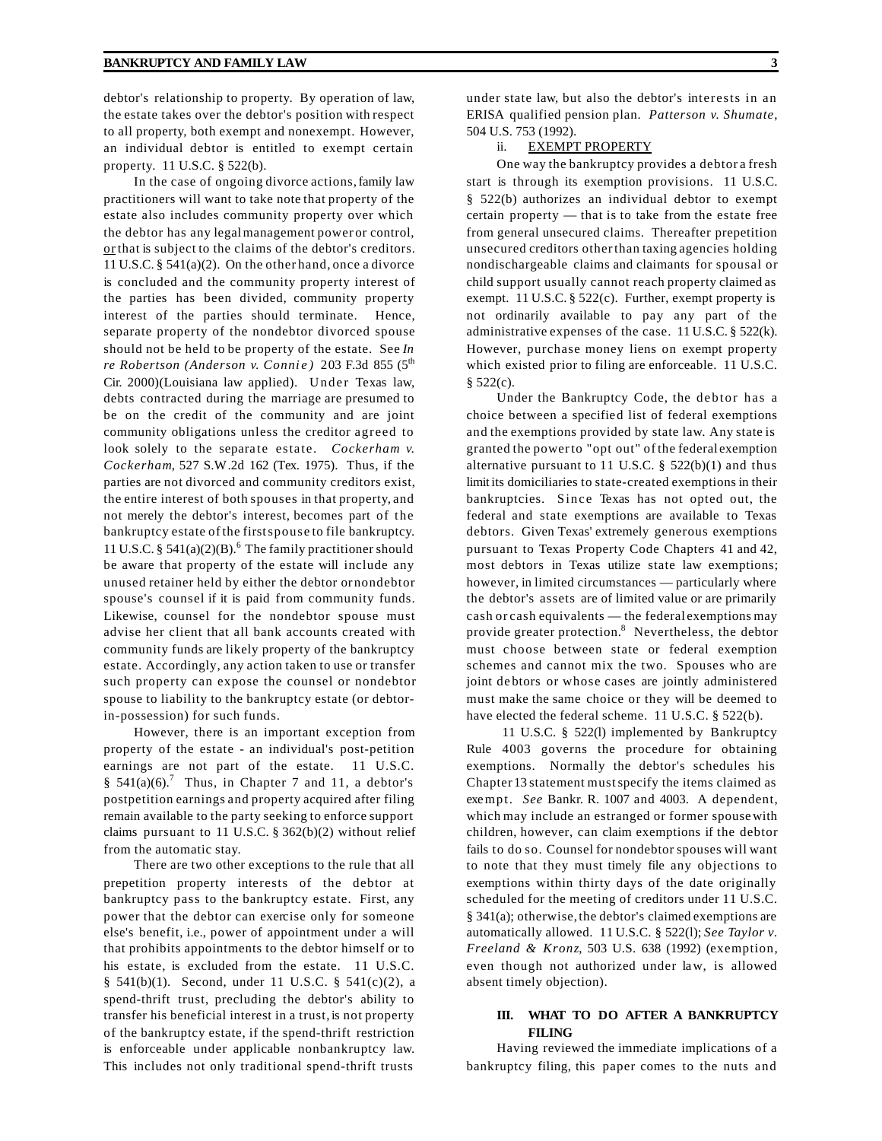debtor's relationship to property. By operation of law, the estate takes over the debtor's position with respect to all property, both exempt and nonexempt. However, an individual debtor is entitled to exempt certain property. 11 U.S.C. § 522(b).

In the case of ongoing divorce actions,family law practitioners will want to take note that property of the estate also includes community property over which the debtor has any legalmanagement power or control, or that is subject to the claims of the debtor's creditors. 11 U.S.C. § 541(a)(2). On the other hand, once a divorce is concluded and the community property interest of the parties has been divided, community property interest of the parties should terminate. Hence, separate property of the nondebtor divorced spouse should not be held to be property of the estate. See *In re Robertson* (Anderson *v. Connie*) 203 F.3d 855 (5<sup>th</sup>) Cir. 2000)(Louisiana law applied). Under Texas law, debts contracted during the marriage are presumed to be on the credit of the community and are joint community obligations unless the creditor agreed to look solely to the separate estate. *Cockerham v. Cockerham*, 527 S.W.2d 162 (Tex. 1975). Thus, if the parties are not divorced and community creditors exist, the entire interest of both spouses in that property, and not merely the debtor's interest, becomes part of the bankruptcy estate of the firstspouse to file bankruptcy. 11 U.S.C. §  $541(a)(2)(B)$ .<sup>6</sup> The family practitioner should be aware that property of the estate will include any unused retainer held by either the debtor or nondebtor spouse's counsel if it is paid from community funds. Likewise, counsel for the nondebtor spouse must advise her client that all bank accounts created with community funds are likely property of the bankruptcy estate. Accordingly, any action taken to use or transfer such property can expose the counsel or nondebtor spouse to liability to the bankruptcy estate (or debtorin-possession) for such funds.

However, there is an important exception from property of the estate - an individual's post-petition earnings are not part of the estate. 11 U.S.C. §  $541(a)(6)$ .<sup>7</sup> Thus, in Chapter 7 and 11, a debtor's postpetition earnings and property acquired after filing remain available to the party seeking to enforce support claims pursuant to 11 U.S.C. § 362(b)(2) without relief from the automatic stay.

There are two other exceptions to the rule that all prepetition property interests of the debtor at bankruptcy pass to the bankruptcy estate. First, any power that the debtor can exercise only for someone else's benefit, i.e., power of appointment under a will that prohibits appointments to the debtor himself or to his estate, is excluded from the estate. 11 U.S.C. § 541(b)(1). Second, under 11 U.S.C. § 541(c)(2), a spend-thrift trust, precluding the debtor's ability to transfer his beneficial interest in a trust, is not property of the bankruptcy estate, if the spend-thrift restriction is enforceable under applicable nonbankruptcy law. This includes not only traditional spend-thrift trusts

under state law, but also the debtor's interests in an ERISA qualified pension plan. *Patterson v. Shumate*, 504 U.S. 753 (1992).

#### ii. EXEMPT PROPERTY

One way the bankruptcy provides a debtor a fresh start is through its exemption provisions. 11 U.S.C. § 522(b) authorizes an individual debtor to exempt certain property — that is to take from the estate free from general unsecured claims. Thereafter prepetition unsecured creditors otherthan taxing agencies holding nondischargeable claims and claimants for spousal or child support usually cannot reach property claimed as exempt. 11 U.S.C. § 522(c). Further, exempt property is not ordinarily available to pay any part of the administrative expenses of the case. 11 U.S.C. § 522(k). However, purchase money liens on exempt property which existed prior to filing are enforceable. 11 U.S.C.  $§ 522(c).$ 

Under the Bankruptcy Code, the debtor has a choice between a specified list of federal exemptions and the exemptions provided by state law. Any state is granted the powerto "opt out" of the federal exemption alternative pursuant to 11 U.S.C. § 522(b)(1) and thus limitits domiciliaries to state-created exemptions in their bankruptcies. Since Texas has not opted out, the federal and state exemptions are available to Texas debtors. Given Texas' extremely generous exemptions pursuant to Texas Property Code Chapters 41 and 42, most debtors in Texas utilize state law exemptions; however, in limited circumstances — particularly where the debtor's assets are of limited value or are primarily cash or cash equivalents — the federal exemptions may provide greater protection.<sup>8</sup> Nevertheless, the debtor must choose between state or federal exemption schemes and cannot mix the two. Spouses who are joint de btors or whose cases are jointly administered must make the same choice or they will be deemed to have elected the federal scheme. 11 U.S.C. § 522(b).

11 U.S.C. § 522(l) implemented by Bankruptcy Rule 4003 governs the procedure for obtaining exemptions. Normally the debtor's schedules his Chapter 13 statement mustspecify the items claimed as exempt. *See* Bankr. R. 1007 and 4003. A dependent, which may include an estranged or former spousewith children, however, can claim exemptions if the debtor fails to do so. Counsel for nondebtor spouses will want to note that they must timely file any objections to exemptions within thirty days of the date originally scheduled for the meeting of creditors under 11 U.S.C. § 341(a); otherwise,the debtor's claimed exemptions are automatically allowed. 11 U.S.C. § 522(l); *See Taylor v. Freeland & Kronz*, 503 U.S. 638 (1992) (exemption, even though not authorized under law, is allowed absent timely objection).

## **III. WHAT TO DO AFTER A BANKRUPTCY FILING**

Having reviewed the immediate implications of a bankruptcy filing, this paper comes to the nuts and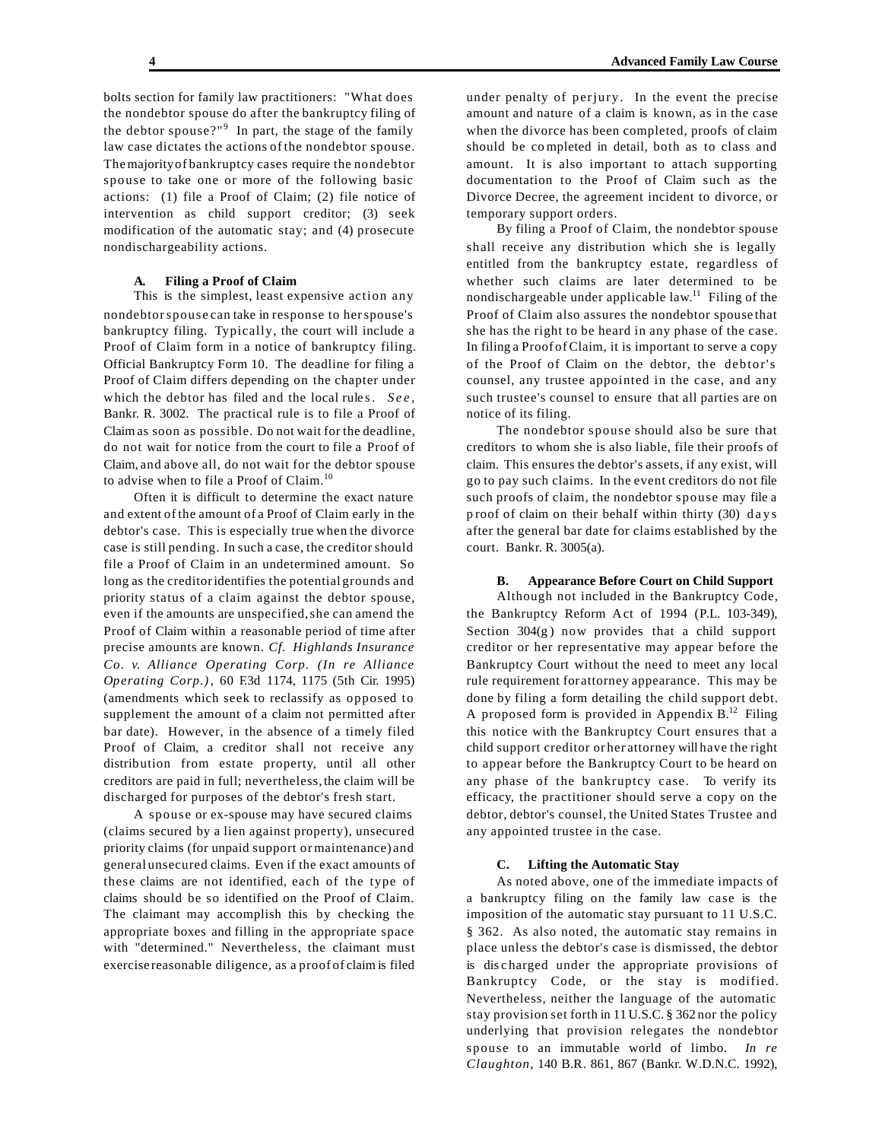bolts section for family law practitioners: "What does the nondebtor spouse do after the bankruptcy filing of the debtor spouse?" $9$  In part, the stage of the family law case dictates the actions of the nondebtor spouse. Themajorityof bankruptcy cases require the nondebtor spouse to take one or more of the following basic actions: (1) file a Proof of Claim; (2) file notice of intervention as child support creditor; (3) seek modification of the automatic stay; and (4) prosecute nondischargeability actions.

#### **A. Filing a Proof of Claim**

This is the simplest, least expensive action any nondebtorspouse can take in response to herspouse's bankruptcy filing. Typically, the court will include a Proof of Claim form in a notice of bankruptcy filing. Official Bankruptcy Form 10. The deadline for filing a Proof of Claim differs depending on the chapter under which the debtor has filed and the local rules. *See* , Bankr. R. 3002. The practical rule is to file a Proof of Claim as soon as possible. Do not wait for the deadline, do not wait for notice from the court to file a Proof of Claim, and above all, do not wait for the debtor spouse to advise when to file a Proof of Claim.<sup>10</sup>

Often it is difficult to determine the exact nature and extent of the amount of a Proof of Claim early in the debtor's case. This is especially true when the divorce case is still pending. In such a case, the creditor should file a Proof of Claim in an undetermined amount. So long as the creditoridentifies the potential grounds and priority status of a claim against the debtor spouse, even if the amounts are unspecified,she can amend the Proof of Claim within a reasonable period of time after precise amounts are known. *Cf. Highlands Insurance Co. v. Alliance Operating Corp. (In re Alliance Operating Corp.)*, 60 F.3d 1174, 1175 (5th Cir. 1995) (amendments which seek to reclassify as opposed to supplement the amount of a claim not permitted after bar date). However, in the absence of a timely filed Proof of Claim, a creditor shall not receive any distribution from estate property, until all other creditors are paid in full; nevertheless, the claim will be discharged for purposes of the debtor's fresh start.

A spouse or ex-spouse may have secured claims (claims secured by a lien against property), unsecured priority claims (for unpaid support or maintenance) and general unsecured claims. Even if the exact amounts of these claims are not identified, each of the type of claims should be so identified on the Proof of Claim. The claimant may accomplish this by checking the appropriate boxes and filling in the appropriate space with "determined." Nevertheless, the claimant must exercise reasonable diligence, as a proof of claim is filed under penalty of perjury. In the event the precise amount and nature of a claim is known, as in the case when the divorce has been completed, proofs of claim should be co mpleted in detail, both as to class and amount. It is also important to attach supporting documentation to the Proof of Claim such as the Divorce Decree, the agreement incident to divorce, or temporary support orders.

By filing a Proof of Claim, the nondebtor spouse shall receive any distribution which she is legally entitled from the bankruptcy estate, regardless of whether such claims are later determined to be nondischargeable under applicable law.<sup>11</sup> Filing of the Proof of Claim also assures the nondebtor spouse that she has the right to be heard in any phase of the case. In filing a Proof of Claim, it is important to serve a copy of the Proof of Claim on the debtor, the debtor's counsel, any trustee appointed in the case, and any such trustee's counsel to ensure that all parties are on notice of its filing.

The nondebtor spouse should also be sure that creditors to whom she is also liable, file their proofs of claim. This ensures the debtor's assets, if any exist, will go to pay such claims. In the event creditors do not file such proofs of claim, the nondebtor spouse may file a p roof of claim on their behalf within thirty (30) days after the general bar date for claims established by the court. Bankr. R. 3005(a).

#### **B. Appearance Before Court on Child Support**

Although not included in the Bankruptcy Code, the Bankruptcy Reform Act of 1994 (P.L. 103-349), Section  $304(g)$  now provides that a child support creditor or her representative may appear before the Bankruptcy Court without the need to meet any local rule requirement for attorney appearance. This may be done by filing a form detailing the child support debt. A proposed form is provided in Appendix  $B<sup>12</sup>$  Filing this notice with the Bankruptcy Court ensures that a child support creditor or her attorney will have the right to appear before the Bankruptcy Court to be heard on any phase of the bankruptcy case. To verify its efficacy, the practitioner should serve a copy on the debtor, debtor's counsel, the United States Trustee and any appointed trustee in the case.

### **C. Lifting the Automatic Stay**

As noted above, one of the immediate impacts of a bankruptcy filing on the family law case is the imposition of the automatic stay pursuant to 11 U.S.C. § 362. As also noted, the automatic stay remains in place unless the debtor's case is dismissed, the debtor is discharged under the appropriate provisions of Bankruptcy Code, or the stay is modified. Nevertheless, neither the language of the automatic stay provision set forth in 11 U.S.C. § 362 nor the policy underlying that provision relegates the nondebtor spouse to an immutable world of limbo. *In re Claughton*, 140 B.R. 861, 867 (Bankr. W.D.N.C. 1992),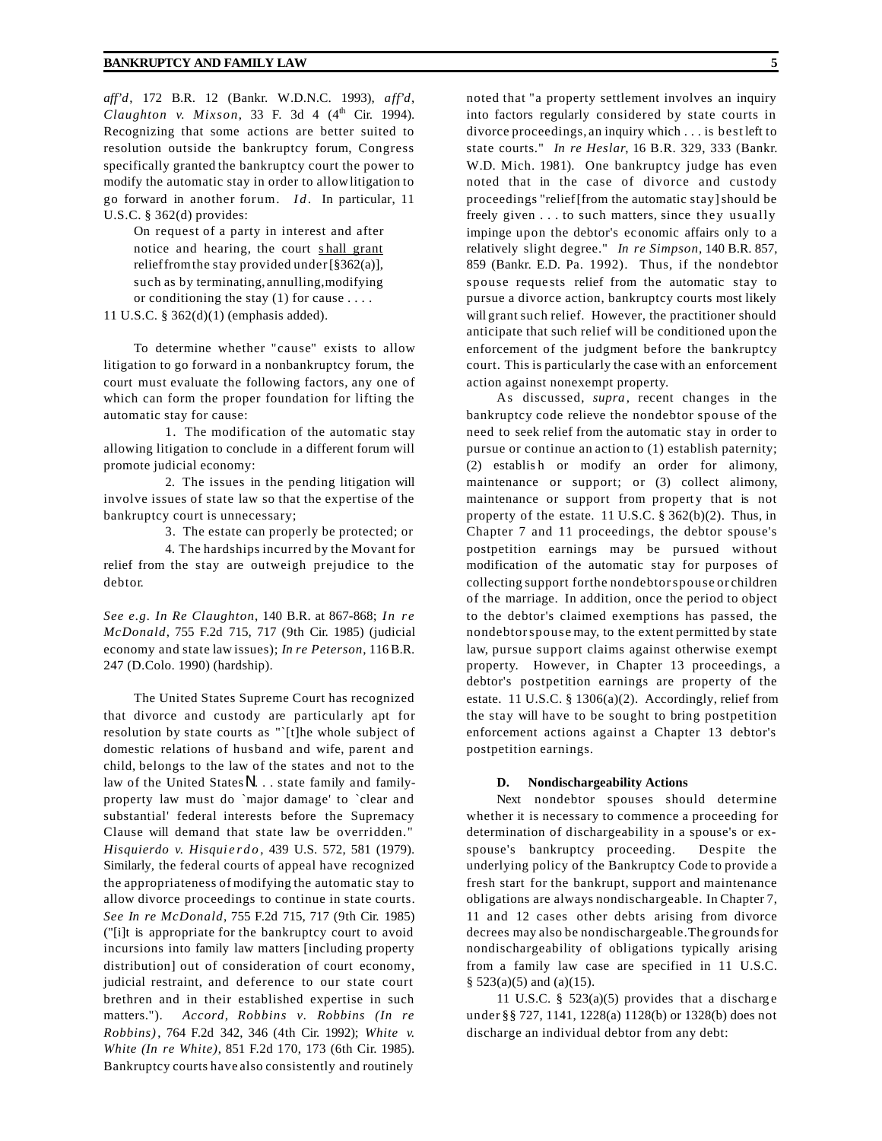*aff'd*, 172 B.R. 12 (Bankr. W.D.N.C. 1993), *aff'd*, *Claughton v. Mixson*, 33 F. 3d 4  $(4<sup>th</sup>$  Cir. 1994). Recognizing that some actions are better suited to resolution outside the bankruptcy forum, Congress specifically granted the bankruptcy court the power to modify the automatic stay in order to allowlitigation to go forward in another forum. *Id.* In particular, 11 U.S.C. § 362(d) provides:

On request of a party in interest and after notice and hearing, the court s hall grant relieffromthe stay provided under[§362(a)], such as by terminating, annulling,modifying or conditioning the stay (1) for cause . . . .

11 U.S.C. § 362(d)(1) (emphasis added).

To determine whether "cause" exists to allow litigation to go forward in a nonbankruptcy forum, the court must evaluate the following factors, any one of which can form the proper foundation for lifting the automatic stay for cause:

1. The modification of the automatic stay allowing litigation to conclude in a different forum will promote judicial economy:

2. The issues in the pending litigation will involve issues of state law so that the expertise of the bankruptcy court is unnecessary;

3. The estate can properly be protected; or

4. The hardships incurred by the Movant for relief from the stay are outweigh prejudice to the debtor.

*See e.g. In Re Claughton*, 140 B.R. at 867-868; *In re McDonald*, 755 F.2d 715, 717 (9th Cir. 1985) (judicial economy and state law issues); *In re Peterson*, 116B.R. 247 (D.Colo. 1990) (hardship).

The United States Supreme Court has recognized that divorce and custody are particularly apt for resolution by state courts as "`[t]he whole subject of domestic relations of husband and wife, parent and child, belongs to the law of the states and not to the law of the United States N . . . state family and familyproperty law must do `major damage' to `clear and substantial' federal interests before the Supremacy Clause will demand that state law be overridden." *Hisquierdo v. Hisquierdo* , 439 U.S. 572, 581 (1979). Similarly, the federal courts of appeal have recognized the appropriateness of modifying the automatic stay to allow divorce proceedings to continue in state courts. *See In re McDonald*, 755 F.2d 715, 717 (9th Cir. 1985) ("[i]t is appropriate for the bankruptcy court to avoid incursions into family law matters [including property distribution] out of consideration of court economy, judicial restraint, and deference to our state court brethren and in their established expertise in such matters."). *Accord, Robbins v. Robbins (In re Robbins)*, 764 F.2d 342, 346 (4th Cir. 1992); *White v. White (In re White)*, 851 F.2d 170, 173 (6th Cir. 1985). Bankruptcy courts have also consistently and routinely

noted that "a property settlement involves an inquiry into factors regularly considered by state courts in divorce proceedings, an inquiry which . . . is best left to state courts." *In re Heslar*, 16 B.R. 329, 333 (Bankr. W.D. Mich. 1981). One bankruptcy judge has even noted that in the case of divorce and custody proceedings "relief[from the automatic stay]should be freely given . . . to such matters, since they usually impinge upon the debtor's ec onomic affairs only to a relatively slight degree." *In re Simpson*, 140 B.R. 857, 859 (Bankr. E.D. Pa. 1992). Thus, if the nondebtor spouse reque sts relief from the automatic stay to pursue a divorce action, bankruptcy courts most likely will grant such relief. However, the practitioner should anticipate that such relief will be conditioned upon the enforcement of the judgment before the bankruptcy court. This is particularly the case with an enforcement

action against nonexempt property. As discussed, *supra*, recent changes in the bankruptcy code relieve the nondebtor spouse of the need to seek relief from the automatic stay in order to pursue or continue an action to (1) establish paternity; (2) establis h or modify an order for alimony, maintenance or support; or (3) collect alimony, maintenance or support from property that is not property of the estate. 11 U.S.C. § 362(b)(2). Thus, in Chapter 7 and 11 proceedings, the debtor spouse's postpetition earnings may be pursued without modification of the automatic stay for purposes of collecting support forthe nondebtorspouse or children of the marriage. In addition, once the period to object to the debtor's claimed exemptions has passed, the nondebtorspouse may, to the extent permitted by state law, pursue support claims against otherwise exempt property. However, in Chapter 13 proceedings, a debtor's postpetition earnings are property of the estate. 11 U.S.C. § 1306(a)(2). Accordingly, relief from the stay will have to be sought to bring postpetition enforcement actions against a Chapter 13 debtor's postpetition earnings.

#### **D. Nondischargeability Actions**

Next nondebtor spouses should determine whether it is necessary to commence a proceeding for determination of dischargeability in a spouse's or exspouse's bankruptcy proceeding. Despite the underlying policy of the Bankruptcy Code to provide a fresh start for the bankrupt, support and maintenance obligations are always nondischargeable. In Chapter 7, 11 and 12 cases other debts arising from divorce decrees may also be nondischargeable.The groundsfor nondischargeability of obligations typically arising from a family law case are specified in 11 U.S.C.  $§ 523(a)(5)$  and  $(a)(15)$ .

11 U.S.C.  $\S$  523(a)(5) provides that a discharge under §§ 727, 1141, 1228(a) 1128(b) or 1328(b) does not discharge an individual debtor from any debt: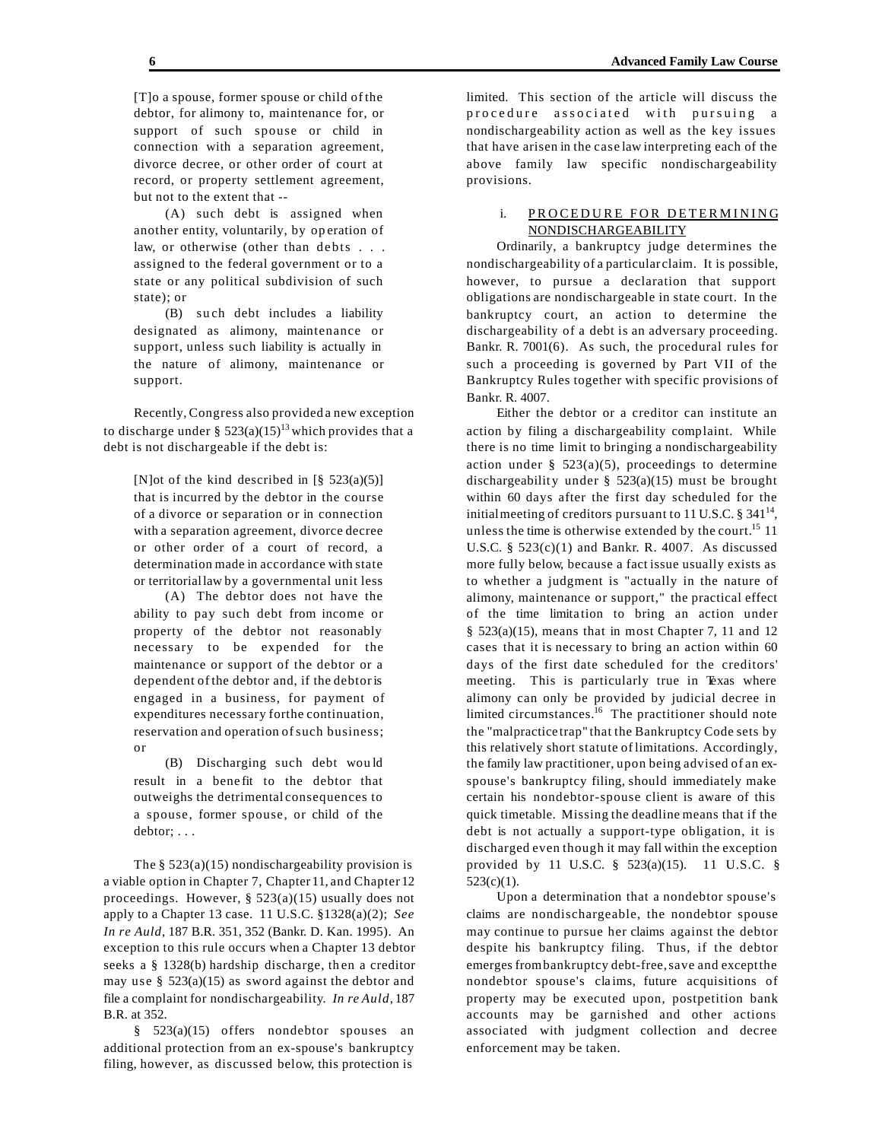[T]o a spouse, former spouse or child of the debtor, for alimony to, maintenance for, or support of such spouse or child in connection with a separation agreement, divorce decree, or other order of court at record, or property settlement agreement, but not to the extent that --

(A) such debt is assigned when another entity, voluntarily, by op eration of law, or otherwise (other than debts . . . assigned to the federal government or to a state or any political subdivision of such state); or

(B) su ch debt includes a liability designated as alimony, maintenance or support, unless such liability is actually in the nature of alimony, maintenance or support.

Recently,Congress also provided a new exception to discharge under §  $523(a)(15)^{13}$  which provides that a debt is not dischargeable if the debt is:

[N]ot of the kind described in  $\lbrack 8 \rbrack$  523(a)(5)] that is incurred by the debtor in the course of a divorce or separation or in connection with a separation agreement, divorce decree or other order of a court of record, a determination made in accordance with state or territoriallaw by a governmental unit less

(A) The debtor does not have the ability to pay such debt from income or property of the debtor not reasonably necessary to be expended for the maintenance or support of the debtor or a dependent of the debtor and, if the debtoris engaged in a business, for payment of expenditures necessary forthe continuation, reservation and operation of such business; or

(B) Discharging such debt wou ld result in a bene fit to the debtor that outweighs the detrimental consequences to a spouse, former spouse, or child of the debtor; . . .

The  $§$  523(a)(15) nondischargeability provision is a viable option in Chapter 7, Chapter 11, and Chapter 12 proceedings. However, § 523(a)(15) usually does not apply to a Chapter 13 case. 11 U.S.C. §1328(a)(2); *See In re Auld*, 187 B.R. 351, 352 (Bankr. D. Kan. 1995). An exception to this rule occurs when a Chapter 13 debtor seeks a § 1328(b) hardship discharge, then a creditor may use  $\S$  523(a)(15) as sword against the debtor and file a complaint for nondischargeability. *In re Auld*, 187 B.R. at 352.

§ 523(a)(15) offers nondebtor spouses an additional protection from an ex-spouse's bankruptcy filing, however, as discussed below, this protection is

limited. This section of the article will discuss the procedure associated with pursuing a nondischargeability action as well as the key issues that have arisen in the case law interpreting each of the above family law specific nondischargeability provisions.

# i. PROCEDURE FOR DETERMINING NONDISCHARGEABILITY

Ordinarily, a bankruptcy judge determines the nondischargeability of a particular claim. It is possible, however, to pursue a declaration that support obligations are nondischargeable in state court. In the bankruptcy court, an action to determine the dischargeability of a debt is an adversary proceeding. Bankr. R. 7001(6). As such, the procedural rules for such a proceeding is governed by Part VII of the Bankruptcy Rules together with specific provisions of Bankr. R. 4007.

Either the debtor or a creditor can institute an action by filing a dischargeability complaint. While there is no time limit to bringing a nondischargeability action under  $\S$  523(a)(5), proceedings to determine dischargeability under  $\S$  523(a)(15) must be brought within 60 days after the first day scheduled for the initial meeting of creditors pursuant to 11 U.S.C.  $\S 341^{14}$ , unless the time is otherwise extended by the court.<sup>15</sup> 11 U.S.C.  $\S$  523(c)(1) and Bankr. R. 4007. As discussed more fully below, because a fact issue usually exists as to whether a judgment is "actually in the nature of alimony, maintenance or support," the practical effect of the time limita tion to bring an action under  $§$  523(a)(15), means that in most Chapter 7, 11 and 12 cases that it is necessary to bring an action within 60 days of the first date scheduled for the creditors' meeting. This is particularly true in Texas where alimony can only be provided by judicial decree in limited circumstances.<sup>16</sup> The practitioner should note the "malpractice trap" that the Bankruptcy Code sets by this relatively short statute of limitations. Accordingly, the family law practitioner, upon being advised of an exspouse's bankruptcy filing, should immediately make certain his nondebtor-spouse client is aware of this quick timetable. Missing the deadline means that if the debt is not actually a support-type obligation, it is discharged even though it may fall within the exception provided by 11 U.S.C. § 523(a)(15). 11 U.S.C. §  $523(c)(1)$ .

Upon a determination that a nondebtor spouse's claims are nondischargeable, the nondebtor spouse may continue to pursue her claims against the debtor despite his bankruptcy filing. Thus, if the debtor emerges frombankruptcy debt-free,save and exceptthe nondebtor spouse's cla ims, future acquisitions of property may be executed upon, postpetition bank accounts may be garnished and other actions associated with judgment collection and decree enforcement may be taken.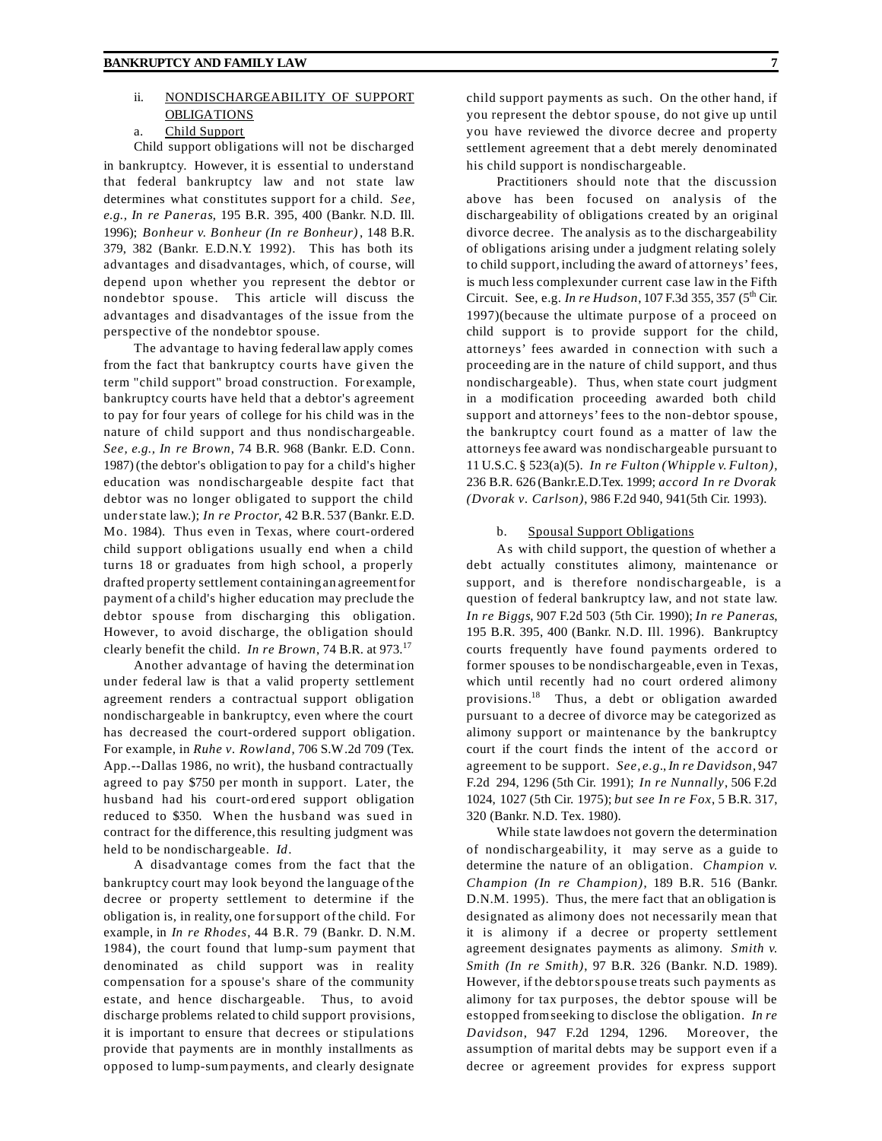# ii. NONDISCHARGEABILITY OF SUPPORT OBLIGATIONS

# a. Child Support

Child support obligations will not be discharged in bankruptcy. However, it is essential to understand that federal bankruptcy law and not state law determines what constitutes support for a child. *See, e.g., In re Paneras*, 195 B.R. 395, 400 (Bankr. N.D. Ill. 1996); *Bonheur v. Bonheur (In re Bonheur)*, 148 B.R. 379, 382 (Bankr. E.D.N.Y. 1992). This has both its advantages and disadvantages, which, of course, will depend upon whether you represent the debtor or nondebtor spouse. This article will discuss the advantages and disadvantages of the issue from the perspective of the nondebtor spouse.

The advantage to having federallaw apply comes from the fact that bankruptcy courts have given the term "child support" broad construction. For example, bankruptcy courts have held that a debtor's agreement to pay for four years of college for his child was in the nature of child support and thus nondischargeable. *See, e.g., In re Brown*, 74 B.R. 968 (Bankr. E.D. Conn. 1987) (the debtor's obligation to pay for a child's higher education was nondischargeable despite fact that debtor was no longer obligated to support the child understate law.); *In re Proctor*, 42 B.R. 537 (Bankr. E.D. Mo. 1984). Thus even in Texas, where court-ordered child support obligations usually end when a child turns 18 or graduates from high school, a properly drafted property settlement containing an agreementfor payment of a child's higher education may preclude the debtor spouse from discharging this obligation. However, to avoid discharge, the obligation should clearly benefit the child. *In re Brown*, 74 B.R. at 973.<sup>17</sup>

Another advantage of having the determination under federal law is that a valid property settlement agreement renders a contractual support obligation nondischargeable in bankruptcy, even where the court has decreased the court-ordered support obligation. For example, in *Ruhe v. Rowland*, 706 S.W.2d 709 (Tex. App.--Dallas 1986, no writ), the husband contractually agreed to pay \$750 per month in support. Later, the husband had his court-ord ered support obligation reduced to \$350. When the husband was sued in contract for the difference, this resulting judgment was held to be nondischargeable. *Id*.

A disadvantage comes from the fact that the bankruptcy court may look beyond the language of the decree or property settlement to determine if the obligation is, in reality, one forsupport of the child. For example, in *In re Rhodes*, 44 B.R. 79 (Bankr. D. N.M. 1984), the court found that lump-sum payment that denominated as child support was in reality compensation for a spouse's share of the community estate, and hence dischargeable. Thus, to avoid discharge problems related to child support provisions, it is important to ensure that decrees or stipulations provide that payments are in monthly installments as opposed to lump-sumpayments, and clearly designate

child support payments as such. On the other hand, if you represent the debtor spouse, do not give up until you have reviewed the divorce decree and property settlement agreement that a debt merely denominated his child support is nondischargeable.

Practitioners should note that the discussion above has been focused on analysis of the dischargeability of obligations created by an original divorce decree. The analysis as to the dischargeability of obligations arising under a judgment relating solely to child support, including the award of attorneys'fees, is much less complexunder current case law in the Fifth Circuit. See, e.g. *In re Hudson*, 107 F.3d 355, 357 (5th Cir. 1997)(because the ultimate purpose of a proceed on child support is to provide support for the child, attorneys' fees awarded in connection with such a proceeding are in the nature of child support, and thus nondischargeable). Thus, when state court judgment in a modification proceeding awarded both child support and attorneys'fees to the non-debtor spouse, the bankruptcy court found as a matter of law the attorneys fee award was nondischargeable pursuant to 11 U.S.C. § 523(a)(5). *In re Fulton (Whipple v. Fulton)*, 236 B.R. 626 (Bankr.E.D.Tex. 1999; *accord In re Dvorak (Dvorak v. Carlson)*, 986 F.2d 940, 941(5th Cir. 1993).

#### b. Spousal Support Obligations

As with child support, the question of whether a debt actually constitutes alimony, maintenance or support, and is therefore nondischargeable, is a question of federal bankruptcy law, and not state law. *In re Biggs*, 907 F.2d 503 (5th Cir. 1990); *In re Paneras*, 195 B.R. 395, 400 (Bankr. N.D. Ill. 1996). Bankruptcy courts frequently have found payments ordered to former spouses to be nondischargeable, even in Texas, which until recently had no court ordered alimony provisions.<sup>18</sup> Thus, a debt or obligation awarded pursuant to a decree of divorce may be categorized as alimony support or maintenance by the bankruptcy court if the court finds the intent of the accord or agreement to be support. *See, e.g.*, *In re Davidson*, 947 F.2d 294, 1296 (5th Cir. 1991); *In re Nunnally*, 506 F.2d 1024, 1027 (5th Cir. 1975); *but see In re Fox*, 5 B.R. 317, 320 (Bankr. N.D. Tex. 1980).

While state lawdoes not govern the determination of nondischargeability, it may serve as a guide to determine the nature of an obligation. *Champion v. Champion (In re Champion)*, 189 B.R. 516 (Bankr. D.N.M. 1995). Thus, the mere fact that an obligation is designated as alimony does not necessarily mean that it is alimony if a decree or property settlement agreement designates payments as alimony. *Smith v. Smith (In re Smith)*, 97 B.R. 326 (Bankr. N.D. 1989). However, if the debtorspouse treats such payments as alimony for tax purposes, the debtor spouse will be estopped fromseeking to disclose the obligation. *In re Davidson*, 947 F.2d 1294, 1296. Moreover, the assumption of marital debts may be support even if a decree or agreement provides for express support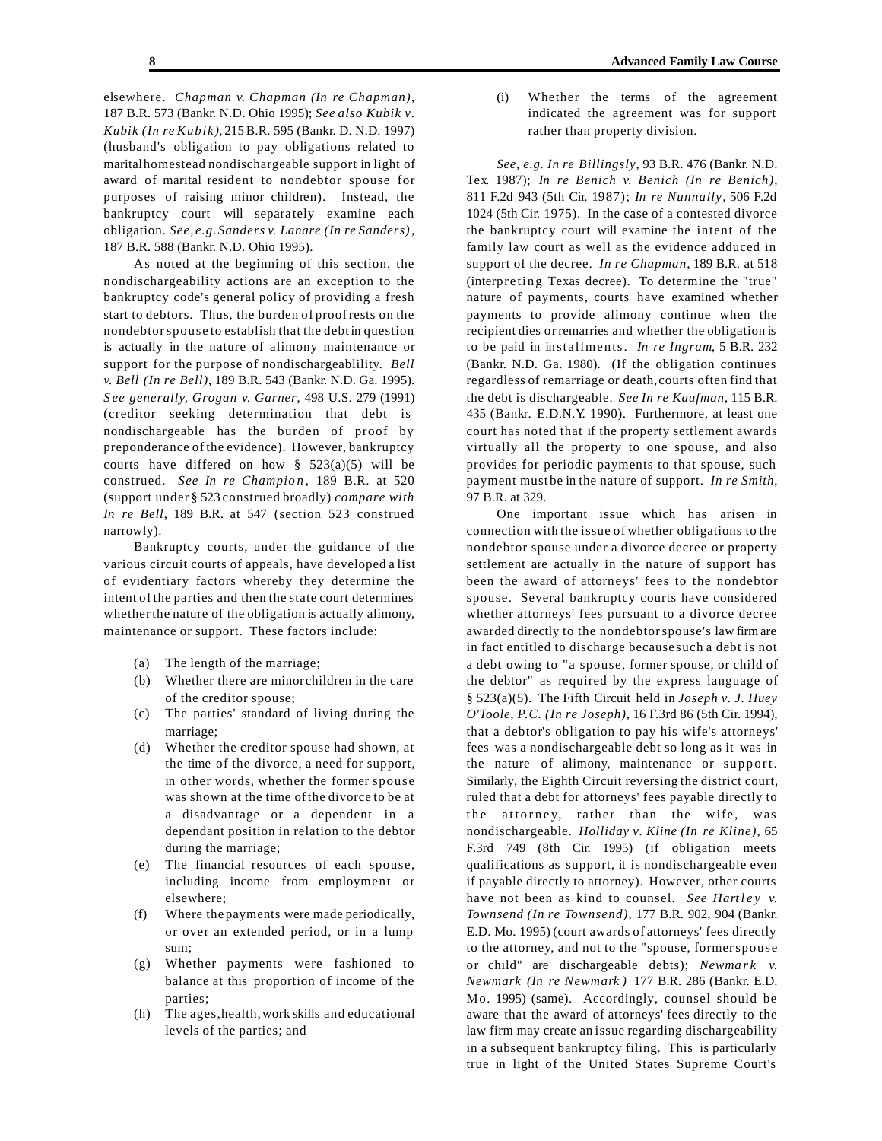elsewhere. *Chapman v. Chapman (In re Chapman)*, 187 B.R. 573 (Bankr. N.D. Ohio 1995); *See also Kubik v. Kubik (In re Kubik)*, 215B.R. 595 (Bankr. D. N.D. 1997) (husband's obligation to pay obligations related to maritalhomestead nondischargeable support in light of award of marital resident to nondebtor spouse for purposes of raising minor children). Instead, the bankruptcy court will separa tely examine each obligation. *See, e.g. Sanders v. Lanare (In re Sanders)*, 187 B.R. 588 (Bankr. N.D. Ohio 1995).

As noted at the beginning of this section, the nondischargeability actions are an exception to the bankruptcy code's general policy of providing a fresh start to debtors. Thus, the burden of proofrests on the nondebtorspouse to establish that the debt in question is actually in the nature of alimony maintenance or support for the purpose of nondischargeablility. *Bell v. Bell (In re Bell)*, 189 B.R. 543 (Bankr. N.D. Ga. 1995). *S ee generally, Grogan v. Garner*, 498 U.S. 279 (1991) (creditor seeking determination that debt is nondischargeable has the burden of proof by preponderance of the evidence). However, bankruptcy courts have differed on how  $\S$  523(a)(5) will be construed. *See In re Champio n* , 189 B.R. at 520 (support under § 523 construed broadly) *compare with In re Bell*, 189 B.R. at 547 (section 523 construed narrowly).

Bankruptcy courts, under the guidance of the various circuit courts of appeals, have developed a list of evidentiary factors whereby they determine the intent of the parties and then the state court determines whetherthe nature of the obligation is actually alimony, maintenance or support. These factors include:

- (a) The length of the marriage;
- (b) Whether there are minor children in the care of the creditor spouse;
- (c) The parties' standard of living during the marriage;
- (d) Whether the creditor spouse had shown, at the time of the divorce, a need for support, in other words, whether the former spouse was shown at the time ofthe divorce to be at a disadvantage or a dependent in a dependant position in relation to the debtor during the marriage;
- (e) The financial resources of each spouse, including income from employment or elsewhere;
- (f) Where the payments were made periodically, or over an extended period, or in a lump sum;
- (g) Whether payments were fashioned to balance at this proportion of income of the parties;
- (h) The ages,health,work skills and educational levels of the parties; and

(i) Whether the terms of the agreement indicated the agreement was for support rather than property division.

*See, e.g. In re Billingsly*, 93 B.R. 476 (Bankr. N.D. Tex. 1987); *In re Benich v. Benich (In re Benich)*, 811 F.2d 943 (5th Cir. 1987); *In re Nunnally*, 506 F.2d 1024 (5th Cir. 1975). In the case of a contested divorce the bankruptcy court will examine the intent of the family law court as well as the evidence adduced in support of the decree. *In re Chapman*, 189 B.R. at 518 (interpreting Texas decree). To determine the "true" nature of payments, courts have examined whether payments to provide alimony continue when the recipient dies or remarries and whether the obligation is to be paid in installments. *In re Ingram*, 5 B.R. 232 (Bankr. N.D. Ga. 1980). (If the obligation continues regardless of remarriage or death, courts often find that the debt is dischargeable. *See In re Kaufman*, 115 B.R. 435 (Bankr. E.D.N.Y. 1990). Furthermore, at least one court has noted that if the property settlement awards virtually all the property to one spouse, and also provides for periodic payments to that spouse, such payment must be in the nature of support. *In re Smith*, 97 B.R. at 329.

One important issue which has arisen in connection with the issue of whether obligations to the nondebtor spouse under a divorce decree or property settlement are actually in the nature of support has been the award of attorn eys' fees to the nondebtor spouse. Several bankruptcy courts have considered whether attorneys' fees pursuant to a divorce decree awarded directly to the nondebtorspouse's law firmare in fact entitled to discharge because such a debt is not a debt owing to "a spouse, former spouse, or child of the debtor" as required by the express language of § 523(a)(5). The Fifth Circuit held in *Joseph v. J. Huey O'Toole, P.C. (In re Joseph)*, 16 F.3rd 86 (5th Cir. 1994), that a debtor's obligation to pay his wife's attorneys' fees was a nondischargeable debt so long as it was in the nature of alimony, maintenance or support. Similarly, the Eighth Circuit reversing the district court, ruled that a debt for attorneys' fees payable directly to the attorney, rather than the wife, was nondischargeable. *Holliday v. Kline (In re Kline)*, 65 F.3rd 749 (8th Cir. 1995) (if obligation meets qualifications as support, it is nondischargeable even if payable directly to attorney). However, other courts have not been as kind to counsel. *See Hartley v. Townsend (In re Townsend)*, 177 B.R. 902, 904 (Bankr. E.D. Mo. 1995) (court awards of attorneys' fees directly to the attorney, and not to the "spouse, formerspouse or child" are dischargeable debts); *Newma rk v. Newmark (In re Newmark )* 177 B.R. 286 (Bankr. E.D. Mo. 1995) (same). Accordingly, counsel should be aware that the award of attorneys' fees directly to the law firm may create an issue regarding dischargeability in a subsequent bankruptcy filing. This is particularly true in light of the United States Supreme Court's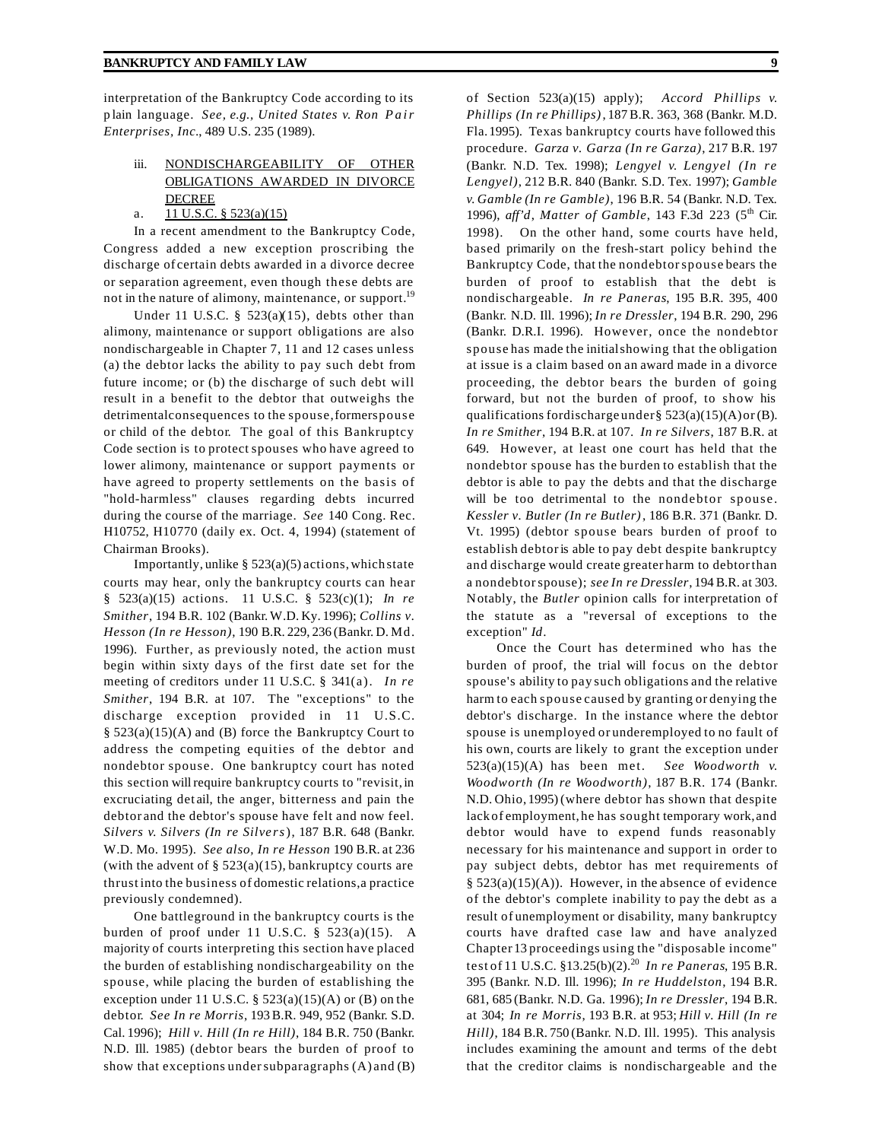interpretation of the Bankruptcy Code according to its p lain language. *See, e.g., United States v. Ron Pair Enterprises, Inc.*, 489 U.S. 235 (1989).

# iii. NONDISCHARGEABILITY OF OTHER OBLIGATIONS AWARDED IN DIVORCE DECREE

# a.  $11 \text{ U.S.C.}$  §  $523(a)(15)$

In a recent amendment to the Bankruptcy Code, Congress added a new exception proscribing the discharge of certain debts awarded in a divorce decree or separation agreement, even though these debts are not in the nature of alimony, maintenance, or support.<sup>19</sup>

Under 11 U.S.C.  $\S$  523(a)(15), debts other than alimony, maintenance or support obligations are also nondischargeable in Chapter 7, 11 and 12 cases unless (a) the debtor lacks the ability to pay such debt from future income; or (b) the discharge of such debt will result in a benefit to the debtor that outweighs the detrimentalconsequences to the spouse,formerspouse or child of the debtor. The goal of this Bankruptcy Code section is to protect spouses who have agreed to lower alimony, maintenance or support payments or have agreed to property settlements on the basis of "hold-harmless" clauses regarding debts incurred during the course of the marriage. *See* 140 Cong. Rec. H10752, H10770 (daily ex. Oct. 4, 1994) (statement of Chairman Brooks).

Importantly, unlike  $\S$  523(a)(5) actions, which state courts may hear, only the bankruptcy courts can hear § 523(a)(15) actions. 11 U.S.C. § 523(c)(1); *In re Smither*, 194 B.R. 102 (Bankr. W.D. Ky. 1996); *Collins v. Hesson (In re Hesson)*, 190 B.R. 229, 236 (Bankr. D. Md. 1996). Further, as previously noted, the action must begin within sixty days of the first date set for the meeting of creditors under 11 U.S.C. § 341(a). *In re Smither*, 194 B.R. at 107. The "exceptions" to the discharge exception provided in 11 U.S.C. § 523(a)(15)(A) and (B) force the Bankruptcy Court to address the competing equities of the debtor and nondebtor spouse. One bankruptcy court has noted this section will require bankruptcy courts to "revisit, in excruciating det ail, the anger, bitterness and pain the debtor and the debtor's spouse have felt and now feel. *Silvers v. Silvers (In re Silvers*), 187 B.R. 648 (Bankr. W.D. Mo. 1995). *See also, In re Hesson* 190 B.R. at 236 (with the advent of  $\S$  523(a)(15), bankruptcy courts are thrust into the business of domestic relations,a practice previously condemned).

One battleground in the bankruptcy courts is the burden of proof under 11 U.S.C. § 523(a)(15). A majority of courts interpreting this section have placed the burden of establishing nondischargeability on the spouse, while placing the burden of establishing the exception under 11 U.S.C.  $\S$  523(a)(15)(A) or (B) on the debtor. *See In re Morris*, 193B.R. 949, 952 (Bankr. S.D. Cal. 1996); *Hill v. Hill (In re Hill)*, 184 B.R. 750 (Bankr. N.D. Ill. 1985) (debtor bears the burden of proof to show that exceptions undersubparagraphs (A) and (B)

of Section 523(a)(15) apply); *Accord Phillips v. Phillips (In re Phillips)*, 187B.R. 363, 368 (Bankr. M.D. Fla.1995). Texas bankruptcy courts have followed this procedure. *Garza v. Garza (In re Garza)*, 217 B.R. 197 (Bankr. N.D. Tex. 1998); *Lengyel v. Lengyel (In re Lengyel)*, 212 B.R. 840 (Bankr. S.D. Tex. 1997); *Gamble v. Gamble (In re Gamble)*, 196 B.R. 54 (Bankr. N.D. Tex. 1996), *aff'd*, *Matter of Gamble*, 143 F.3d 223 (5th Cir. 1998). On the other hand, some courts have held, based primarily on the fresh-start policy behind the Bankruptcy Code, that the nondebtorspouse bears the burden of proof to establish that the debt is nondischargeable. *In re Paneras*, 195 B.R. 395, 400 (Bankr. N.D. Ill. 1996); *In re Dressler*, 194 B.R. 290, 296 (Bankr. D.R.I. 1996). However, once the nondebtor spouse has made the initialshowing that the obligation at issue is a claim based on an award made in a divorce proceeding, the debtor bears the burden of going forward, but not the burden of proof, to show his qualifications fordischarge under§ 523(a)(15)(A)or (B). *In re Smither*, 194 B.R. at 107. *In re Silvers*, 187 B.R. at 649. However, at least one court has held that the nondebtor spouse has the burden to establish that the debtor is able to pay the debts and that the discharge will be too detrimental to the nondebtor spouse. *Kessler v. Butler (In re Butler)*, 186 B.R. 371 (Bankr. D. Vt. 1995) (debtor spouse bears burden of proof to establish debtoris able to pay debt despite bankruptcy and discharge would create greater harm to debtorthan a nondebtorspouse); *see In re Dressler*, 194B.R. at 303. Notably, the *Butler* opinion calls for interpretation of the statute as a "reversal of exceptions to the exception" *Id*.

Once the Court has determined who has the burden of proof, the trial will focus on the debtor spouse's ability to pay such obligations and the relative harm to each spouse caused by granting or denying the debtor's discharge. In the instance where the debtor spouse is unemployed or underemployed to no fault of his own, courts are likely to grant the exception under 523(a)(15)(A) has been met. *See Woodworth v. Woodworth (In re Woodworth)*, 187 B.R. 174 (Bankr. N.D. Ohio, 1995) (where debtor has shown that despite lack of employment, he has sought temporary work,and debtor would have to expend funds reasonably necessary for his maintenance and support in order to pay subject debts, debtor has met requirements of § 523(a)(15)(A)). However, in the absence of evidence of the debtor's complete inability to pay the debt as a result of unemployment or disability, many bankruptcy courts have drafted case law and have analyzed Chapter 13 proceedings using the "disposable income" test of 11 U.S.C. §13.25(b)(2).<sup>20</sup> *In re Paneras*, 195 B.R. 395 (Bankr. N.D. Ill. 1996); *In re Huddelston*, 194 B.R. 681, 685 (Bankr. N.D. Ga. 1996); *In re Dressler*, 194 B.R. at 304; *In re Morris*, 193 B.R. at 953; *Hill v. Hill (In re Hill)*, 184 B.R. 750 (Bankr. N.D. Ill. 1995). This analysis includes examining the amount and terms of the debt that the creditor claims is nondischargeable and the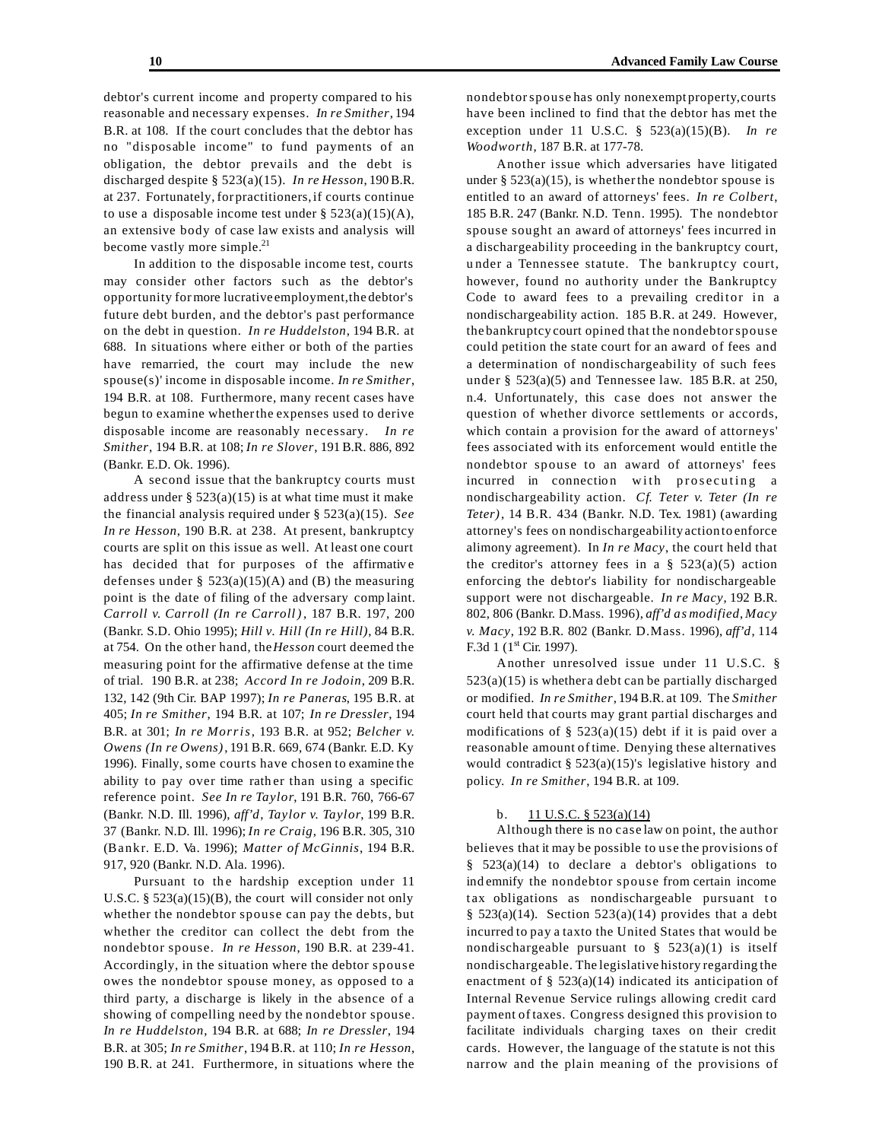debtor's current income and property compared to his reasonable and necessary expenses. *In re Smither*, 194 B.R. at 108. If the court concludes that the debtor has no "disposable income" to fund payments of an obligation, the debtor prevails and the debt is discharged despite § 523(a)(15). *In re Hesson*, 190B.R. at 237. Fortunately, for practitioners,if courts continue to use a disposable income test under  $\S 523(a)(15)(A)$ , an extensive body of case law exists and analysis will become vastly more simple.<sup>21</sup>

In addition to the disposable income test, courts may consider other factors such as the debtor's opportunity formore lucrative employment,the debtor's future debt burden, and the debtor's past performance on the debt in question. *In re Huddelston*, 194 B.R. at 688. In situations where either or both of the parties have remarried, the court may include the new spouse(s)' income in disposable income. *In re Smither*, 194 B.R. at 108. Furthermore, many recent cases have begun to examine whetherthe expenses used to derive disposable income are reasonably necessary. *In re Smither*, 194 B.R. at 108; *In re Slover*, 191B.R. 886, 892 (Bankr. E.D. Ok. 1996).

A second issue that the bankruptcy courts must address under  $\S$  523(a)(15) is at what time must it make the financial analysis required under § 523(a)(15). *See In re Hesson*, 190 B.R. at 238. At present, bankruptcy courts are split on this issue as well. At least one court has decided that for purposes of the affirmative defenses under  $\S$  523(a)(15)(A) and (B) the measuring point is the date of filing of the adversary comp laint. *Carroll v. Carroll (In re Carroll )*, 187 B.R. 197, 200 (Bankr. S.D. Ohio 1995); *Hill v. Hill (In re Hill)*, 84 B.R. at 754. On the other hand, the *Hesson* court deemed the measuring point for the affirmative defense at the time of trial. 190 B.R. at 238; *Accord In re Jodoin*, 209 B.R. 132, 142 (9th Cir. BAP 1997); *In re Paneras*, 195 B.R. at 405; *In re Smither*, 194 B.R. at 107; *In re Dressler*, 194 B.R. at 301; *In re Morris*, 193 B.R. at 952; *Belcher v. Owens (In re Owens)*, 191B.R. 669, 674 (Bankr. E.D. Ky 1996). Finally, some courts have chosen to examine the ability to pay over time rather than using a specific reference point. *See In re Taylor*, 191 B.R. 760, 766-67 (Bankr. N.D. Ill. 1996), *aff'd*, *Taylor v. Taylor*, 199 B.R. 37 (Bankr. N.D. Ill. 1996); *In re Craig*, 196 B.R. 305, 310 (Bankr. E.D. Va. 1996); *Matter of McGinnis*, 194 B.R. 917, 920 (Bankr. N.D. Ala. 1996).

Pursuant to the hardship exception under 11 U.S.C.  $\S$  523(a)(15)(B), the court will consider not only whether the nondebtor spouse can pay the debts, but whether the creditor can collect the debt from the nondebtor spouse. *In re Hesson*, 190 B.R. at 239-41. Accordingly, in the situation where the debtor spouse owes the nondebtor spouse money, as opposed to a third party, a discharge is likely in the absence of a showing of compelling need by the nondebtor spouse. *In re Huddelston*, 194 B.R. at 688; *In re Dressler*, 194 B.R. at 305; *In re Smither*, 194B.R. at 110; *In re Hesson*, 190 B.R. at 241. Furthermore, in situations where the

nondebtorspouse has only nonexempt property,courts have been inclined to find that the debtor has met the exception under 11 U.S.C. § 523(a)(15)(B). *In re Woodworth*, 187 B.R. at 177-78.

Another issue which adversaries have litigated under  $\S$  523(a)(15), is whether the nondebtor spouse is entitled to an award of attorneys' fees. *In re Colbert*, 185 B.R. 247 (Bankr. N.D. Tenn. 1995). The nondebtor spouse sought an award of attorneys' fees incurred in a dischargeability proceeding in the bankruptcy court, u nder a Tennessee statute. The bankruptcy court, however, found no authority under the Bankruptcy Code to award fees to a prevailing creditor in a nondischargeability action. 185 B.R. at 249. However, the bankruptcy court opined that the nondebtorspouse could petition the state court for an award of fees and a determination of nondischargeability of such fees under § 523(a)(5) and Tennessee law. 185 B.R. at 250, n.4. Unfortunately, this case does not answer the question of whether divorce settlements or accords, which contain a provision for the award of attorneys' fees associated with its enforcement would entitle the nondebtor spouse to an award of attorneys' fees incurred in connection with prosecuting a nondischargeability action. *Cf. Teter v. Teter (In re Teter)*, 14 B.R. 434 (Bankr. N.D. Tex. 1981) (awarding attorney's fees on nondischargeability action to enforce alimony agreement). In *In re Macy*, the court held that the creditor's attorney fees in a  $\S$  523(a)(5) action enforcing the debtor's liability for nondischargeable support were not dischargeable. *In re Macy*, 192 B.R. 802, 806 (Bankr. D.Mass. 1996), *aff'd as modified*, *Macy v. Macy*, 192 B.R. 802 (Bankr. D.Mass. 1996), *aff'd*, 114 F.3d 1 ( $1^{\text{st}}$  Cir. 1997).

Another unresolved issue under 11 U.S.C. §  $523(a)(15)$  is whether a debt can be partially discharged or modified. *In re Smither*, 194B.R. at 109. The *Smither* court held that courts may grant partial discharges and modifications of §  $523(a)(15)$  debt if it is paid over a reasonable amount of time. Denying these alternatives would contradict  $\S 523(a)(15)$ 's legislative history and policy. *In re Smither*, 194 B.R. at 109.

## b.  $11 \text{ U.S.C.}$  §  $523(a)(14)$

Although there is no case law on point, the author believes that it may be possible to use the provisions of  $§$  523(a)(14) to declare a debtor's obligations to ind emnify the nondebtor spouse from certain income t ax obligations as nondischargeable pursuant to §  $523(a)(14)$ . Section  $523(a)(14)$  provides that a debt incurred to pay a taxto the United States that would be nondischargeable pursuant to  $\S$  523(a)(1) is itself nondischargeable. The legislative history regarding the enactment of  $\S$  523(a)(14) indicated its anticipation of Internal Revenue Service rulings allowing credit card payment of taxes. Congress designed this provision to facilitate individuals charging taxes on their credit cards. However, the language of the statute is not this narrow and the plain meaning of the provisions of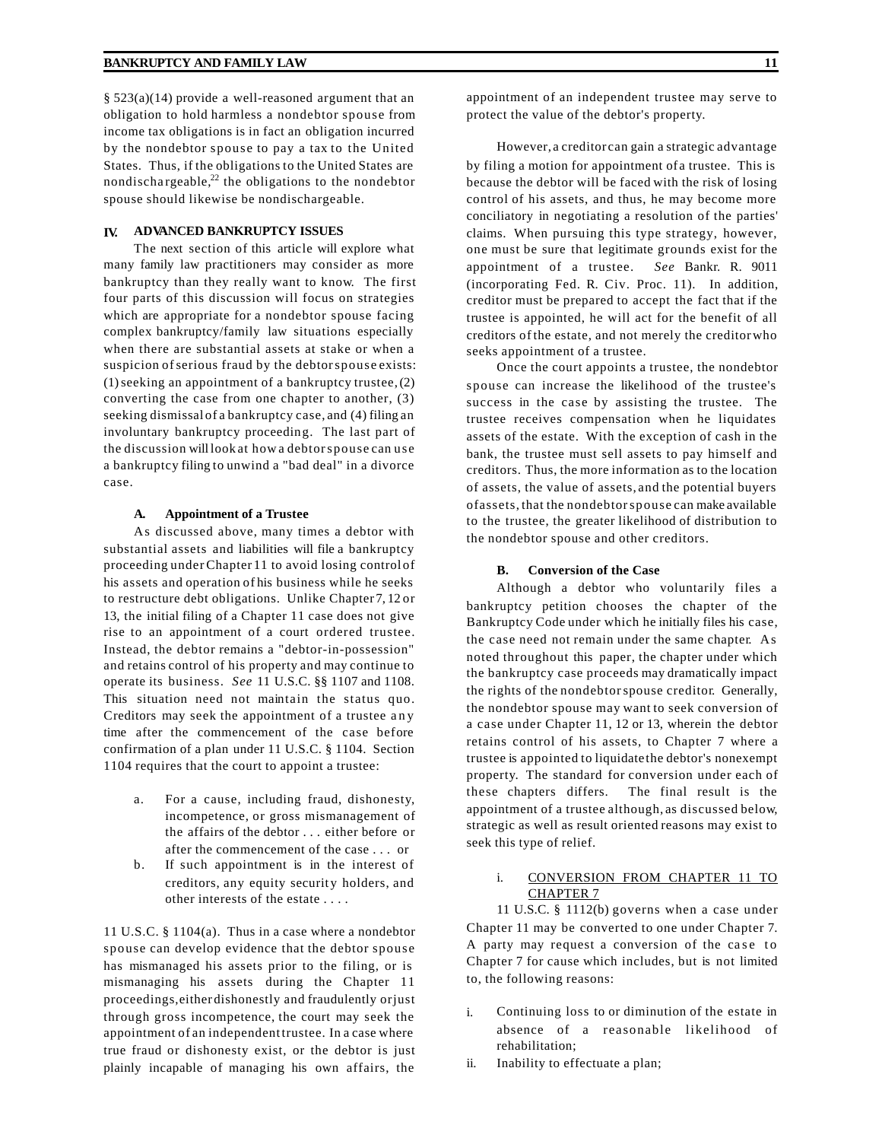§ 523(a)(14) provide a well-reasoned argument that an obligation to hold harmless a nondebtor spouse from income tax obligations is in fact an obligation incurred by the nondebtor spouse to pay a tax to the United States. Thus, if the obligations to the United States are nondischargeable, $^{22}$  the obligations to the nondebtor spouse should likewise be nondischargeable.

#### **IV. ADVANCED BANKRUPTCY ISSUES**

The next section of this article will explore what many family law practitioners may consider as more bankruptcy than they really want to know. The first four parts of this discussion will focus on strategies which are appropriate for a nondebtor spouse facing complex bankruptcy/family law situations especially when there are substantial assets at stake or when a suspicion ofserious fraud by the debtorspouse exists:  $(1)$  seeking an appointment of a bankruptcy trustee,  $(2)$ converting the case from one chapter to another, (3) seeking dismissal of a bankruptcy case, and (4) filing an involuntary bankruptcy proceedin g. The last part of the discussion will look at how a debtorspouse can use a bankruptcy filing to unwind a "bad deal" in a divorce case.

#### **A. Appointment of a Trustee**

As discussed above, many times a debtor with substantial assets and liabilities will file a bankruptcy proceeding underChapter 11 to avoid losing control of his assets and operation of his business while he seeks to restructure debt obligations. Unlike Chapter 7, 12 or 13, the initial filing of a Chapter 11 case does not give rise to an appointment of a court ordered trustee. Instead, the debtor remains a "debtor-in-possession" and retains control of his property and may continue to operate its business. *See* 11 U.S.C. §§ 1107 and 1108. This situation need not maintain the status quo. Creditors may seek the appointment of a trustee any time after the commencement of the case before confirmation of a plan under 11 U.S.C. § 1104. Section 1104 requires that the court to appoint a trustee:

- a. For a cause, including fraud, dishonesty, incompetence, or gross mismanagement of the affairs of the debtor . . . either before or after the commencement of the case . . . or
- b. If such appointment is in the interest of creditors, any equity security holders, and other interests of the estate . . . .

11 U.S.C. § 1104(a). Thus in a case where a nondebtor spouse can develop evidence that the debtor spouse has mismanaged his assets prior to the filing, or is mismanaging his assets during the Chapter 11 proceedings,either dishonestly and fraudulently orjust through gross incompetence, the court may seek the appointment of an independent trustee. In a case where true fraud or dishonesty exist, or the debtor is just plainly incapable of managing his own affairs, the

However, a creditor can gain a strategic advantage by filing a motion for appointment of a trustee. This is because the debtor will be faced with the risk of losing control of his assets, and thus, he may become more conciliatory in negotiating a resolution of the parties' claims. When pursuing this type strategy, however, one must be sure that legitimate grounds exist for the appointment of a trustee. *See* Bankr. R. 9011 (incorporating Fed. R. Civ. Proc. 11). In addition, creditor must be prepared to accept the fact that if the trustee is appointed, he will act for the benefit of all creditors of the estate, and not merely the creditorwho seeks appointment of a trustee.

Once the court appoints a trustee, the nondebtor spouse can increase the likelihood of the trustee's success in the case by assisting the trustee. The trustee receives compensation when he liquidates assets of the estate. With the exception of cash in the bank, the trustee must sell assets to pay himself and creditors. Thus, the more information as to the location of assets, the value of assets, and the potential buyers ofassets, that the nondebtorspouse can make available to the trustee, the greater likelihood of distribution to the nondebtor spouse and other creditors.

#### **B. Conversion of the Case**

Although a debtor who voluntarily files a bankruptcy petition chooses the chapter of the Bankruptcy Code under which he initially files his case, the case need not remain under the same chapter. As noted throughout this paper, the chapter under which the bankruptcy case proceeds may dramatically impact the rights of the nondebtorspouse creditor. Generally, the nondebtor spouse may want to seek conversion of a case under Chapter 11, 12 or 13, wherein the debtor retains control of his assets, to Chapter 7 where a trustee is appointed to liquidate the debtor's nonexempt property. The standard for conversion under each of these chapters differs. The final result is the appointment of a trustee although, as discussed below, strategic as well as result oriented reasons may exist to seek this type of relief.

# i. CONVERSION FROM CHAPTER 11 TO CHAPTER 7

11 U.S.C. § 1112(b) governs when a case under Chapter 11 may be converted to one under Chapter 7. A party may request a conversion of the case to Chapter 7 for cause which includes, but is not limited to, the following reasons:

- i. Continuing loss to or diminution of the estate in absence of a reasonable likelihood of rehabilitation;
- ii. Inability to effectuate a plan;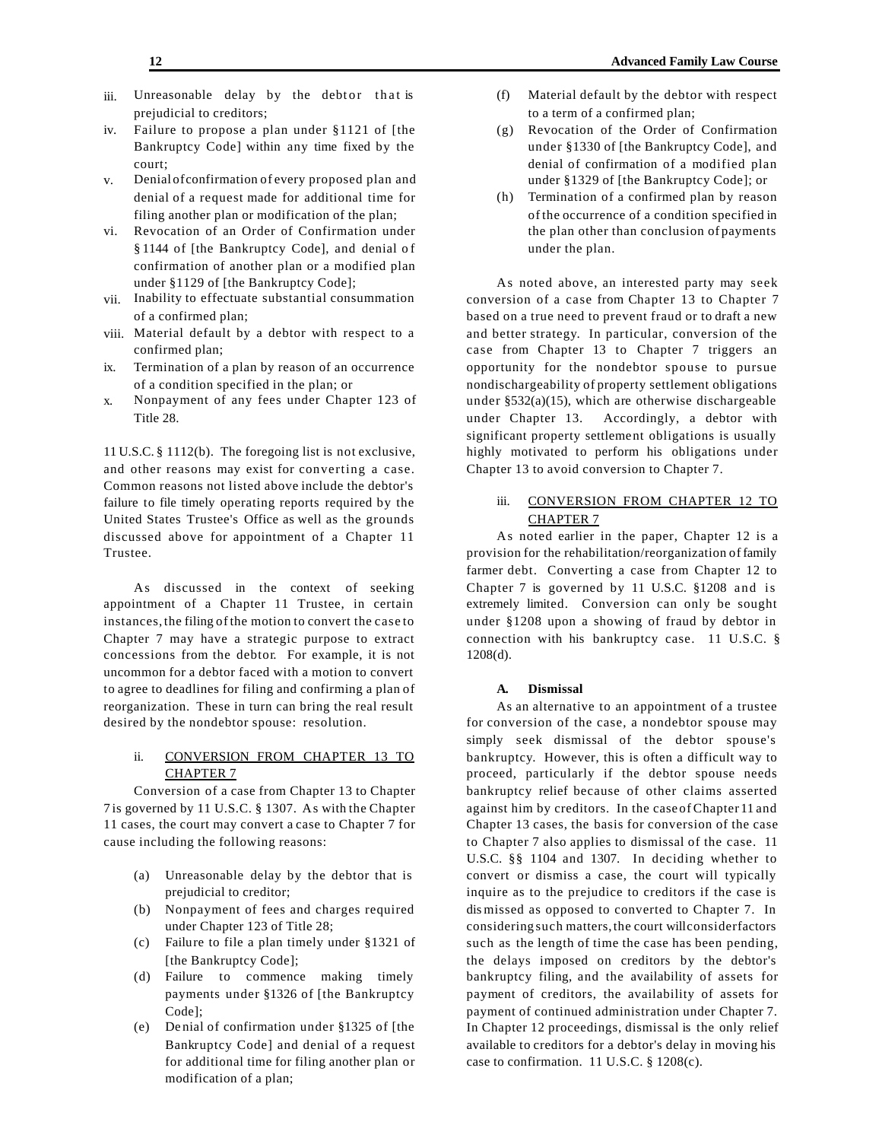- iii. Unreasonable delay by the debtor that is prejudicial to creditors;
- iv. Failure to propose a plan under §1121 of [the Bankruptcy Code] within any time fixed by the court;
- v. Denial ofconfirmation of every proposed plan and denial of a request made for additional time for filing another plan or modification of the plan;
- vi. Revocation of an Order of Confirmation under § 1144 of [the Bankruptcy Code], and denial of confirmation of another plan or a modified plan under §1129 of [the Bankruptcy Code];
- vii. Inability to effectuate substantial consummation of a confirmed plan;
- viii. Material default by a debtor with respect to a confirmed plan;
- ix. Termination of a plan by reason of an occurrence of a condition specified in the plan; or
- x. Nonpayment of any fees under Chapter 123 of Title 28.

11 U.S.C. § 1112(b). The foregoing list is not exclusive, and other reasons may exist for converting a case. Common reasons not listed above include the debtor's failure to file timely operating reports required by the United States Trustee's Office as well as the grounds discussed above for appointment of a Chapter 11 Trustee.

As discussed in the context of seeking appointment of a Chapter 11 Trustee, in certain instances, the filing of the motion to convert the case to Chapter 7 may have a strategic purpose to extract concessions from the debtor. For example, it is not uncommon for a debtor faced with a motion to convert to agree to deadlines for filing and confirming a plan of reorganization. These in turn can bring the real result desired by the nondebtor spouse: resolution.

# ii. CONVERSION FROM CHAPTER 13 TO CHAPTER 7

Conversion of a case from Chapter 13 to Chapter 7 is governed by 11 U.S.C. § 1307. As with the Chapter 11 cases, the court may convert a case to Chapter 7 for cause including the following reasons:

- (a) Unreasonable delay by the debtor that is prejudicial to creditor;
- (b) Nonpayment of fees and charges required under Chapter 123 of Title 28;
- (c) Failure to file a plan timely under §1321 of [the Bankruptcy Code];
- (d) Failure to commence making timely payments under §1326 of [the Bankruptcy Code];
- (e) De nial of confirmation under §1325 of [the Bankruptcy Code] and denial of a request for additional time for filing another plan or modification of a plan;
- (f) Material default by the debtor with respect to a term of a confirmed plan;
- (g) Revocation of the Order of Confirmation under §1330 of [the Bankruptcy Code], and denial of confirmation of a modified plan under §1329 of [the Bankruptcy Code]; or
- (h) Termination of a confirmed plan by reason of the occurrence of a condition specified in the plan other than conclusion of payments under the plan.

As noted above, an interested party may seek conversion of a case from Chapter 13 to Chapter 7 based on a true need to prevent fraud or to draft a new and better strategy. In particular, conversion of the case from Chapter 13 to Chapter 7 triggers an opportunity for the nondebtor spouse to pursue nondischargeability of property settlement obligations under §532(a)(15), which are otherwise dischargeable under Chapter 13. Accordingly, a debtor with significant property settlement obligations is usually highly motivated to perform his obligations under Chapter 13 to avoid conversion to Chapter 7.

# iii. CONVERSION FROM CHAPTER 12 TO CHAPTER 7

As noted earlier in the paper, Chapter 12 is a provision for the rehabilitation/reorganization of family farmer debt. Converting a case from Chapter 12 to Chapter 7 is governed by 11 U.S.C. §1208 and is extremely limited. Conversion can only be sought under §1208 upon a showing of fraud by debtor in connection with his bankruptcy case. 11 U.S.C. § 1208(d).

## **A. Dismissal**

As an alternative to an appointment of a trustee for conversion of the case, a nondebtor spouse may simply seek dismissal of the debtor spouse's bankruptcy. However, this is often a difficult way to proceed, particularly if the debtor spouse needs bankruptcy relief because of other claims asserted against him by creditors. In the case of Chapter 11 and Chapter 13 cases, the basis for conversion of the case to Chapter 7 also applies to dismissal of the case. 11 U.S.C. §§ 1104 and 1307. In deciding whether to convert or dismiss a case, the court will typically inquire as to the prejudice to creditors if the case is dis missed as opposed to converted to Chapter 7. In considering such matters,the court willconsiderfactors such as the length of time the case has been pending, the delays imposed on creditors by the debtor's bankruptcy filing, and the availability of assets for payment of creditors, the availability of assets for payment of continued administration under Chapter 7. In Chapter 12 proceedings, dismissal is the only relief available to creditors for a debtor's delay in moving his case to confirmation. 11 U.S.C. § 1208(c).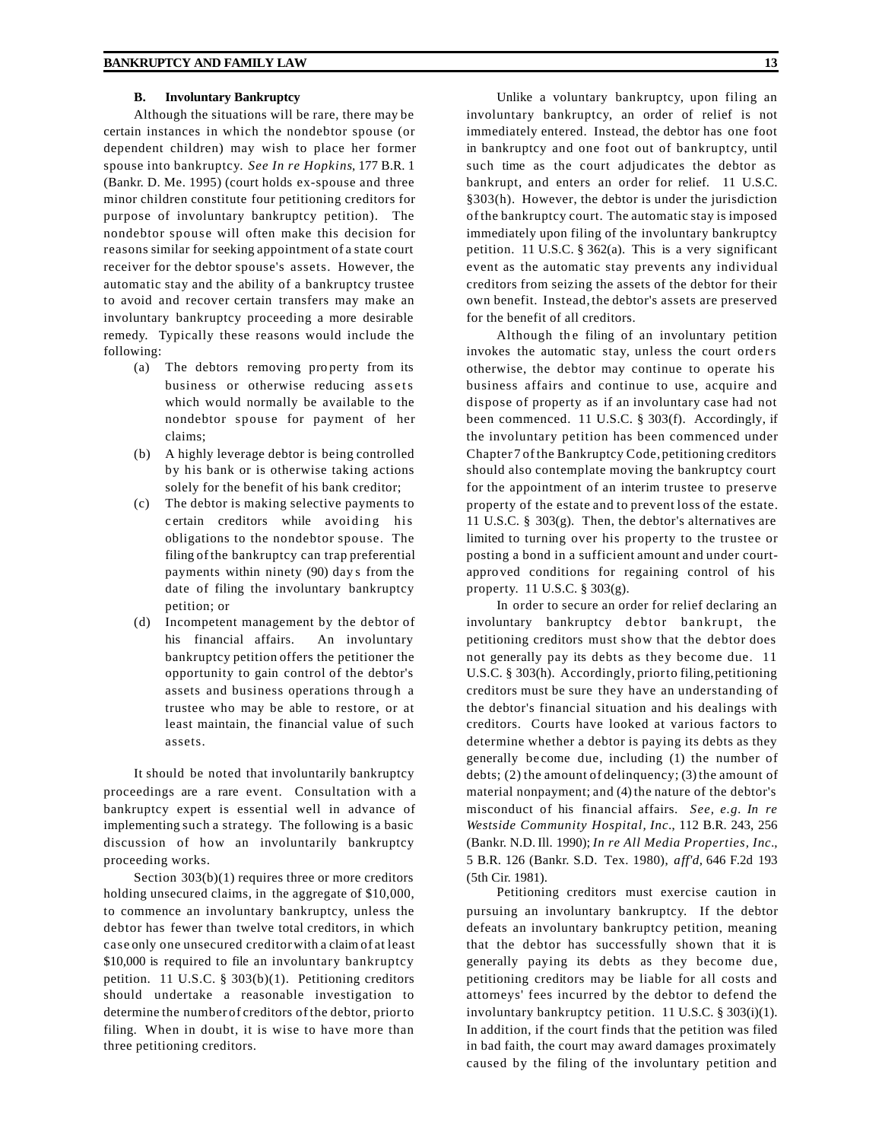#### **B. Involuntary Bankruptcy**

Although the situations will be rare, there may be certain instances in which the nondebtor spouse (or dependent children) may wish to place her former spouse into bankruptcy. *See In re Hopkins*, 177 B.R. 1 (Bankr. D. Me. 1995) (court holds ex-spouse and three minor children constitute four petitioning creditors for purpose of involuntary bankruptcy petition). The nondebtor spouse will often make this decision for reasons similar for seeking appointment of a state court receiver for the debtor spouse's assets. However, the automatic stay and the ability of a bankruptcy trustee to avoid and recover certain transfers may make an involuntary bankruptcy proceeding a more desirable remedy. Typically these reasons would include the following:

- (a) The debtors removing pro perty from its business or otherwise reducing assets which would normally be available to the nondebtor spouse for payment of her claims;
- (b) A highly leverage debtor is being controlled by his bank or is otherwise taking actions solely for the benefit of his bank creditor;
- (c) The debtor is making selective payments to c ertain creditors while avoiding his obligations to the nondebtor spouse. The filing of the bankruptcy can trap preferential payments within ninety (90) day s from the date of filing the involuntary bankruptcy petition; or
- (d) Incompetent management by the debtor of his financial affairs. An involuntary bankruptcy petition offers the petitioner the opportunity to gain control of the debtor's assets and business operations through a trustee who may be able to restore, or at least maintain, the financial value of such assets.

It should be noted that involuntarily bankruptcy proceedings are a rare event. Consultation with a bankruptcy expert is essential well in advance of implementing such a strategy. The following is a basic discussion of how an involuntarily bankruptcy proceeding works.

Section  $303(b)(1)$  requires three or more creditors holding unsecured claims, in the aggregate of \$10,000, to commence an involuntary bankruptcy, unless the debtor has fewer than twelve total creditors, in which case only one unsecured creditorwith a claim of at least \$10,000 is required to file an involuntary bankruptcy petition. 11 U.S.C. § 303(b)(1). Petitioning creditors should undertake a reasonable investigation to determine the number of creditors of the debtor, priorto filing. When in doubt, it is wise to have more than three petitioning creditors.

Unlike a voluntary bankruptcy, upon filing an involuntary bankruptcy, an order of relief is not immediately entered. Instead, the debtor has one foot in bankruptcy and one foot out of bankruptcy, until such time as the court adjudicates the debtor as bankrupt, and enters an order for relief. 11 U.S.C. §303(h). However, the debtor is under the jurisdiction of the bankruptcy court. The automatic stay is imposed immediately upon filing of the involuntary bankruptcy petition. 11 U.S.C. § 362(a). This is a very significant event as the automatic stay prevents any individual creditors from seizing the assets of the debtor for their own benefit. Instead, the debtor's assets are preserved for the benefit of all creditors.

Although the filing of an involuntary petition invokes the automatic stay, unless the court orders otherwise, the debtor may continue to operate his business affairs and continue to use, acquire and dispose of property as if an involuntary case had not been commenced. 11 U.S.C. § 303(f). Accordingly, if the involuntary petition has been commenced under Chapter 7 of the Bankruptcy Code, petitioning creditors should also contemplate moving the bankruptcy court for the appointment of an interim trustee to preserve property of the estate and to prevent loss of the estate. 11 U.S.C. § 303(g). Then, the debtor's alternatives are limited to turning over his property to the trustee or posting a bond in a sufficient amount and under courtappro ved conditions for regaining control of his property. 11 U.S.C. § 303(g).

In order to secure an order for relief declaring an involuntary bankruptcy debtor bankrupt, the petitioning creditors must show that the debtor does not generally pay its debts as they become due. 11 U.S.C. § 303(h). Accordingly, prior to filing, petitioning creditors must be sure they have an understanding of the debtor's financial situation and his dealings with creditors. Courts have looked at various factors to determine whether a debtor is paying its debts as they generally be come due, including (1) the number of debts; (2) the amount of delinquency; (3) the amount of material nonpayment; and (4) the nature of the debtor's misconduct of his financial affairs. *See, e.g. In re Westside Community Hospital, Inc.*, 112 B.R. 243, 256 (Bankr. N.D. Ill. 1990); *In re All Media Properties, Inc.*, 5 B.R. 126 (Bankr. S.D. Tex. 1980), *aff'd,* 646 F.2d 193 (5th Cir. 1981).

Petitioning creditors must exercise caution in pursuing an involuntary bankruptcy. If the debtor defeats an involuntary bankruptcy petition, meaning that the debtor has successfully shown that it is generally paying its debts as they become due, petitioning creditors may be liable for all costs and attorneys' fees incurred by the debtor to defend the involuntary bankruptcy petition. 11 U.S.C. § 303(i)(1). In addition, if the court finds that the petition was filed in bad faith, the court may award damages proximately caused by the filing of the involuntary petition and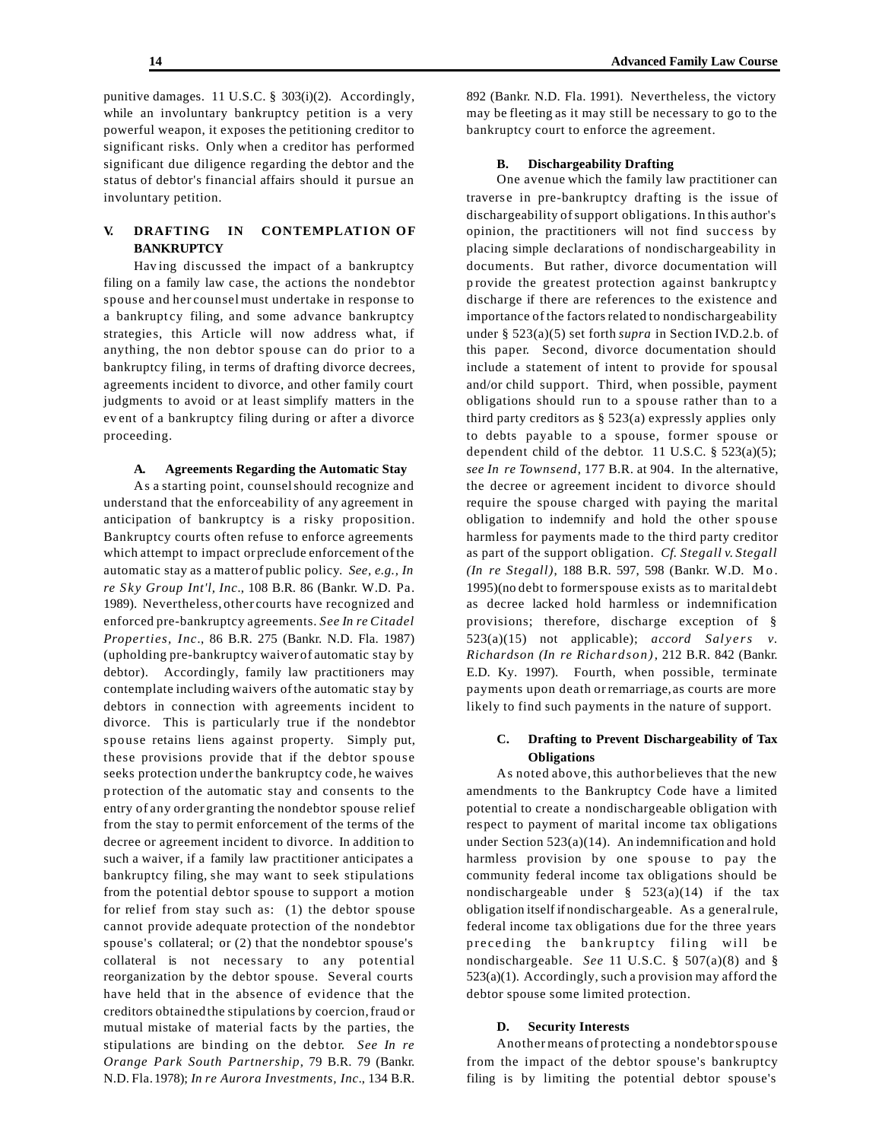punitive damages. 11 U.S.C. § 303(i)(2). Accordingly, while an involuntary bankruptcy petition is a very powerful weapon, it exposes the petitioning creditor to significant risks. Only when a creditor has performed significant due diligence regarding the debtor and the status of debtor's financial affairs should it pursue an involuntary petition.

# **V. DRAFTING IN CONTEMPLATION OF BANKRUPTCY**

Hav ing discussed the impact of a bankruptcy filing on a family law case, the actions the nondebtor spouse and her counsel must undertake in response to a bankruptcy filing, and some advance bankruptcy strategie s, this Article will now address what, if anything, the non debtor spouse can do prior to a bankruptcy filing, in terms of drafting divorce decrees, agreements incident to divorce, and other family court judgments to avoid or at least simplify matters in the ev ent of a bankruptcy filing during or after a divorce proceeding.

## **A. Agreements Regarding the Automatic Stay**

As a starting point, counselshould recognize and understand that the enforceability of any agreement in anticipation of bankruptcy is a risky proposition. Bankruptcy courts often refuse to enforce agreements which attempt to impact or preclude enforcement of the automatic stay as a matter of public policy. *See, e.g., In re Sky Group Int'l, Inc.*, 108 B.R. 86 (Bankr. W.D. Pa. 1989). Nevertheless, other courts have recognized and enforced pre-bankruptcy agreements. *See In re Citadel Properties, Inc.*, 86 B.R. 275 (Bankr. N.D. Fla. 1987) (upholding pre-bankruptcy waiver of automatic stay by debtor). Accordingly, family law practitioners may contemplate including waivers ofthe automatic stay by debtors in connection with agreements incident to divorce. This is particularly true if the nondebtor spouse retains liens against property. Simply put, these provisions provide that if the debtor spouse seeks protection underthe bankruptcy code, he waives p rotection of the automatic stay and consents to the entry of any order granting the nondebtor spouse relief from the stay to permit enforcement of the terms of the decree or agreement incident to divorce. In addition to such a waiver, if a family law practitioner anticipates a bankruptcy filing, she may want to seek stipulations from the potential debtor spouse to support a motion for relief from stay such as: (1) the debtor spouse cannot provide adequate protection of the nondebtor spouse's collateral; or (2) that the nondebtor spouse's collateral is not necessary to any potential reorganization by the debtor spouse. Several courts have held that in the absence of evidence that the creditors obtained the stipulations by coercion,fraud or mutual mistake of material facts by the parties, the stipulations are binding on the debtor. *See In re Orange Park South Partnership*, 79 B.R. 79 (Bankr. N.D. Fla.1978); *In re Aurora Investments, Inc.*, 134 B.R.

892 (Bankr. N.D. Fla. 1991). Nevertheless, the victory may be fleeting as it may still be necessary to go to the bankruptcy court to enforce the agreement.

#### **B. Dischargeability Drafting**

One avenue which the family law practitioner can traverse in pre-bankruptcy drafting is the issue of dischargeability ofsupport obligations. In this author's opinion, the practitioners will not find success by placing simple declarations of nondischargeability in documents. But rather, divorce documentation will p rovide the greatest protection against bankruptc y discharge if there are references to the existence and importance of the factors related to nondischargeability under § 523(a)(5) set forth *supra* in Section IV.D.2.b. of this paper. Second, divorce documentation should include a statement of intent to provide for spousal and/or child support. Third, when possible, payment obligations should run to a spouse rather than to a third party creditors as  $\S$  523(a) expressly applies only to debts payable to a spouse, former spouse or dependent child of the debtor. 11 U.S.C.  $\S$  523(a)(5); *see In re Townsend*, 177 B.R. at 904. In the alternative, the decree or agreement incident to divorce should require the spouse charged with paying the marital obligation to indemnify and hold the other spouse harmless for payments made to the third party creditor as part of the support obligation. *Cf. Stegall v. Stegall (In re Stegall)*, 188 B.R. 597, 598 (Bankr. W.D. Mo. 1995)(no debt to formerspouse exists as to marital debt as decree lacked hold harmless or indemnification provisions; therefore, discharge exception of § 523(a)(15) not applicable); *accord Salyers v. Richardson (In re Richardson)*, 212 B.R. 842 (Bankr. E.D. Ky. 1997). Fourth, when possible, terminate payments upon death or remarriage, as courts are more likely to find such payments in the nature of support.

## **C. Drafting to Prevent Dischargeability of Tax Obligations**

As noted above, this author believes that the new amendments to the Bankruptcy Code have a limited potential to create a nondischargeable obligation with respect to payment of marital income tax obligations under Section 523(a)(14). An indemnification and hold harmless provision by one spouse to pay the community federal income tax obligations should be nondischargeable under  $§$  523(a)(14) if the tax obligation itself if nondischargeable. As a generalrule, federal income tax obligations due for the three years preceding the bankruptcy filing will be nondischargeable. *See* 11 U.S.C. § 507(a)(8) and § 523(a)(1). Accordingly, such a provision may afford the debtor spouse some limited protection.

#### **D. Security Interests**

Another means of protecting a nondebtorspouse from the impact of the debtor spouse's bankruptcy filing is by limiting the potential debtor spouse's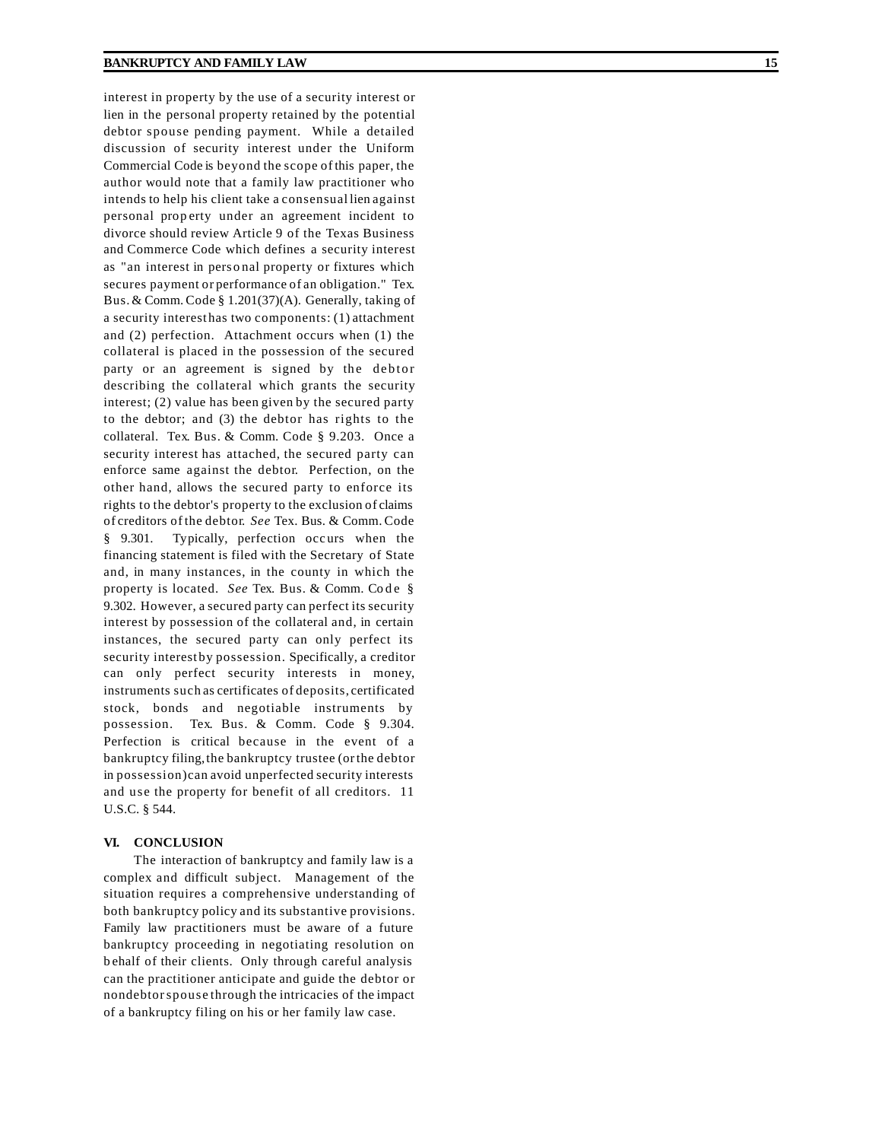interest in property by the use of a security interest or lien in the personal property retained by the potential debtor spouse pending payment. While a detailed discussion of security interest under the Uniform Commercial Code is beyond the scope of this paper, the author would note that a family law practitioner who intends to help his client take a consensual lien against personal property under an agreement incident to divorce should review Article 9 of the Texas Business and Commerce Code which defines a security interest as "an interest in pers o nal property or fixtures which secures payment or performance of an obligation." T ex. Bus. & Comm. Code § 1.201(37)(A). Generally, taking of a security interest has two components: (1) attachment and (2) perfection. Attachment occurs when (1) the collateral is placed in the possession of the secured party or an agreement is signed by the debtor describing the collateral which grants the security interest; (2) value has been given by the secured party to the debtor; and (3) the debtor has rights to the collateral. T ex. Bus. & Comm. Code § 9.203. Once a security interest has attached, the secured party can enforce same against the debtor. Perfection, on the other hand, allows the secured party to enforce its rights to the debtor's property to the exclusion of claims of creditors of the debtor. *See* Tex. Bus. & Comm. Code § 9.301. Typically, perfection occurs when the financing statement is filed with the Secretary of State and, in many instances, in the county in which the property is located. *See* Tex. Bus. & Comm. Code § 9.302. However, a secured party can perfect its security interest by possession of the collateral and, in certain instances, the secured party can only perfect its security interest by possession. Specifically , a creditor can only perfect security interests in money , instruments such as certificates of deposits, certificated stock, bonds and negotiable instruments by possession. T ex. Bus. & Comm. Code § 9.304. Perfection is critical because in the event of a bankruptcy filing,the bankruptcy trustee (orthe debtor in possession)can avoid unperfected security interests and use the property for benefit of all creditors. 11 U.S.C. § 544.

#### **VI. CONCLUSION**

The interaction of bankruptcy and family law is a complex and difficult subject. Management of the situation requires a comprehensive understanding of both bankruptcy policy and its substantive provisions. Family law practitioners must be aware of a future bankruptcy proceeding in negotiating resolution on b ehalf of their clients. Only through careful analysis can the practitioner anticipate and guide the debtor or nondebtorspouse through the intricacies of the impact of a bankruptcy filing on his or her family law case.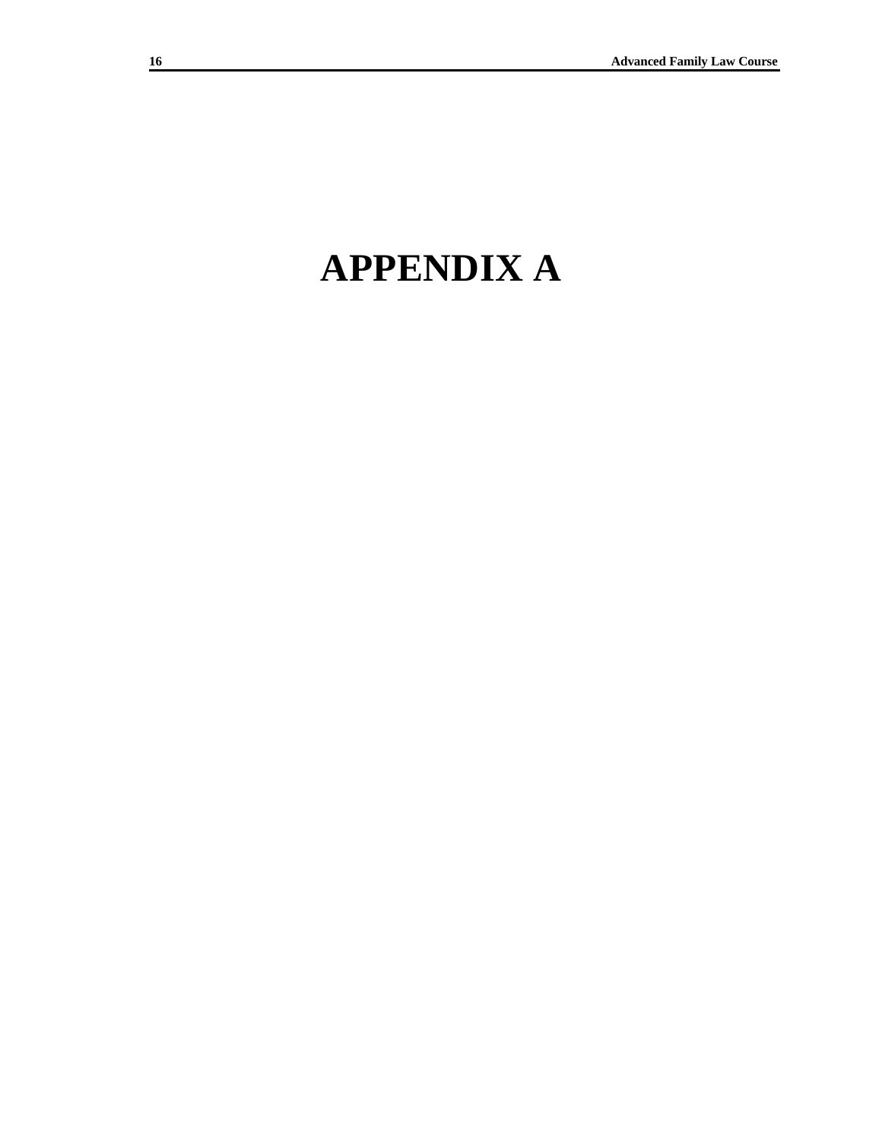# **APPENDIX A**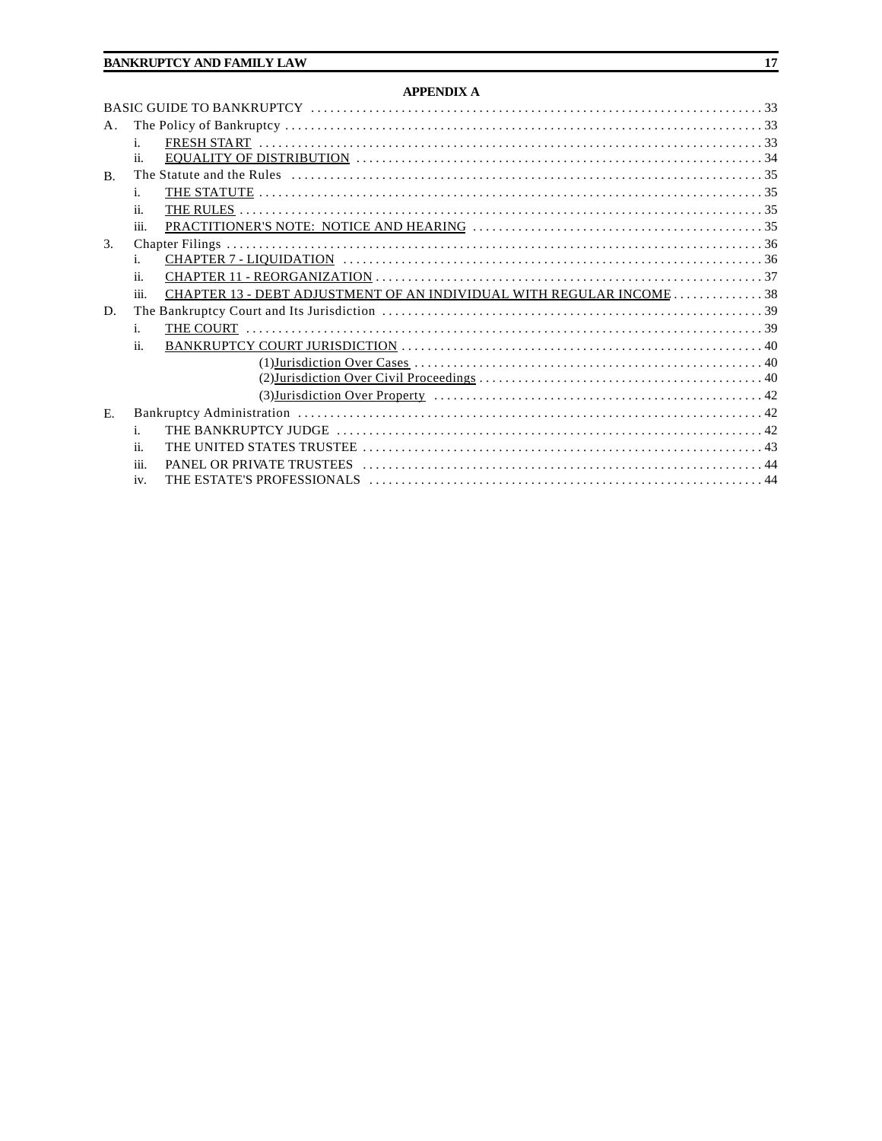## **APPENDIX A**

| $A_{\cdot}$    |                |                                                                     |  |
|----------------|----------------|---------------------------------------------------------------------|--|
|                | i.             |                                                                     |  |
|                | ii.            |                                                                     |  |
| $\mathbf{B}$ . |                |                                                                     |  |
|                | 1.             |                                                                     |  |
|                | ii.            |                                                                     |  |
|                | iii.           |                                                                     |  |
| 3.             |                |                                                                     |  |
|                | i.             |                                                                     |  |
|                | ii.            |                                                                     |  |
|                | iii.           | CHAPTER 13 - DEBT ADJUSTMENT OF AN INDIVIDUAL WITH REGULAR INCOME38 |  |
| D.             |                |                                                                     |  |
|                | $\mathbf{i}$ . |                                                                     |  |
|                | ii.            |                                                                     |  |
|                |                |                                                                     |  |
|                |                |                                                                     |  |
|                |                |                                                                     |  |
| $E_{\rm c}$    |                |                                                                     |  |
|                | i.             |                                                                     |  |
|                | ii.            |                                                                     |  |
|                | iii.           |                                                                     |  |
|                | iv.            |                                                                     |  |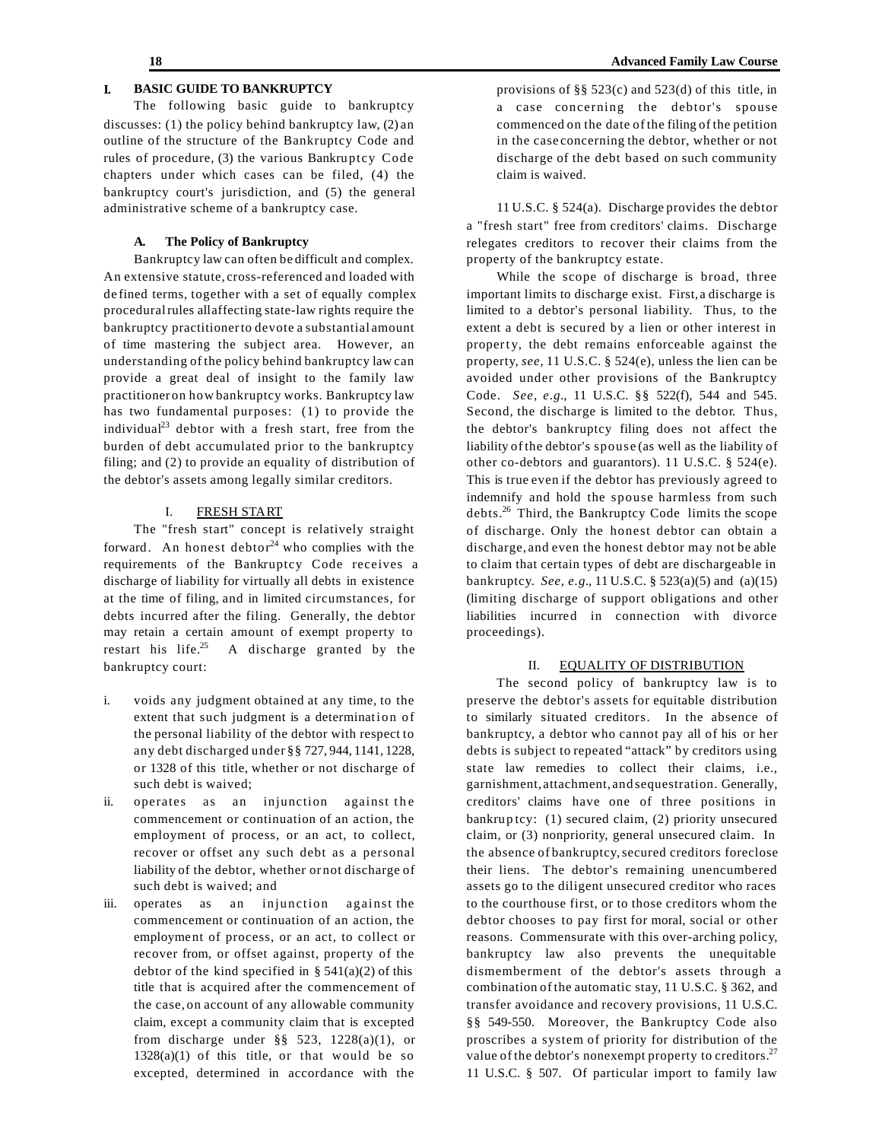# **I. BASIC GUIDE TO BANKRUPTCY**

The following basic guide to bankruptcy discusses: (1) the policy behind bankruptcy law, (2) an outline of the structure of the Bankruptcy Code and rules of procedure, (3) the various Bankruptcy Code chapters under which cases can be filed, (4) the bankruptcy court's jurisdiction, and (5) the general administrative scheme of a bankruptcy case.

#### **A. The Policy of Bankruptcy**

Bankruptcy law can often be difficult and complex. An extensive statute, cross-referenced and loaded with de fined terms, together with a set of equally complex procedural rules all affecting state-law rights require the bankruptcy practitionerto devote a substantial amount of time mastering the subject area. However, an understanding of the policy behind bankruptcy law can provide a great deal of insight to the family law practitioner on how bankruptcy works. Bankruptcy law has two fundamental purposes: (1) to provide the individual $^{23}$  debtor with a fresh start, free from the burden of debt accumulated prior to the bankruptcy filing; and (2) to provide an equality of distribution of the debtor's assets among legally similar creditors.

#### I. FRESH START

The "fresh start" concept is relatively straight forward. An honest debtor<sup>24</sup> who complies with the requirements of the Bankruptcy Code receives a discharge of liability for virtually all debts in existence at the time of filing, and in limited circumstances, for debts incurred after the filing. Generally, the debtor may retain a certain amount of exempt property to restart his life.<sup>25</sup> A discharge granted by the bankruptcy court:

- i. voids any judgment obtained at any time, to the extent that such judgment is a determination of the personal liability of the debtor with respect to any debt discharged under §§ 727, 944, 1141, 1228, or 1328 of this title, whether or not discharge of such debt is waived;
- ii. operates as an injunction against the commencement or continuation of an action, the employment of process, or an act, to collect, recover or offset any such debt as a personal liability of the debtor, whether or not discharge of such debt is waived; and
- iii. operates as an injunction against the commencement or continuation of an action, the employment of process, or an act, to collect or recover from, or offset against, property of the debtor of the kind specified in  $\S$  541(a)(2) of this title that is acquired after the commencement of the case, on account of any allowable community claim, except a community claim that is excepted from discharge under §§ 523,  $1228(a)(1)$ , or  $1328(a)(1)$  of this title, or that would be so excepted, determined in accordance with the

provisions of §§ 523(c) and 523(d) of this title, in a case concerning the debtor's spouse commenced on the date of the filing of the petition in the case concerning the debtor, whether or not discharge of the debt based on such community claim is waived.

11 U.S.C. § 524(a). Discharge provides the debtor a "fresh start" free from creditors' claims. Discharge relegates creditors to recover their claims from the property of the bankruptcy estate.

While the scope of discharge is broad, three important limits to discharge exist. First, a discharge is limited to a debtor's personal liability. Thus, to the extent a debt is secured by a lien or other interest in property, the debt remains enforceable against the property, *see,* 11 U.S.C. § 524(e), unless the lien can be avoided under other provisions of the Bankruptcy Code. *See, e.g.*, 11 U.S.C. §§ 522(f), 544 and 545. Second, the discharge is limited to the debtor. Thus, the debtor's bankruptcy filing does not affect the liability of the debtor's spouse (as well as the liability of other co-debtors and guarantors). 11 U.S.C. § 524(e). This is true even if the debtor has previously agreed to indemnify and hold the spouse harmless from such debts.<sup>26</sup> Third, the Bankruptcy Code limits the scope of discharge. Only the honest debtor can obtain a discharge, and even the honest debtor may not be able to claim that certain types of debt are dischargeable in bankruptcy. *See, e.g.*, 11 U.S.C. § 523(a)(5) and (a)(15) (limiting discharge of support obligations and other liabilities incurred in connection with divorce proceedings).

#### II. EQUALITY OF DISTRIBUTION

The second policy of bankruptcy law is to preserve the debtor's assets for equitable distribution to similarly situated creditors. In the absence of bankruptcy, a debtor who cannot pay all of his or her debts is subject to repeated "attack" by creditors using state law remedies to collect their claims, i.e., garnishment, attachment, and sequestration. Generally, creditors' claims have one of three positions in bankrup tcy: (1) secured claim, (2) priority unsecured claim, or (3) nonpriority, general unsecured claim. In the absence of bankruptcy,secured creditors foreclose their liens. The debtor's remaining unencumbered assets go to the diligent unsecured creditor who races to the courthouse first, or to those creditors whom the debtor chooses to pay first for moral, social or other reasons. Commensurate with this over-arching policy, bankruptcy law also prevents the unequitable dismemberment of the debtor's assets through a combination of the automatic stay, 11 U.S.C. § 362, and transfer avoidance and recovery provisions, 11 U.S.C. §§ 549-550. Moreover, the Bankruptcy Code also proscribes a system of priority for distribution of the value of the debtor's nonexempt property to creditors.<sup>27</sup> 11 U.S.C. § 507. Of particular import to family law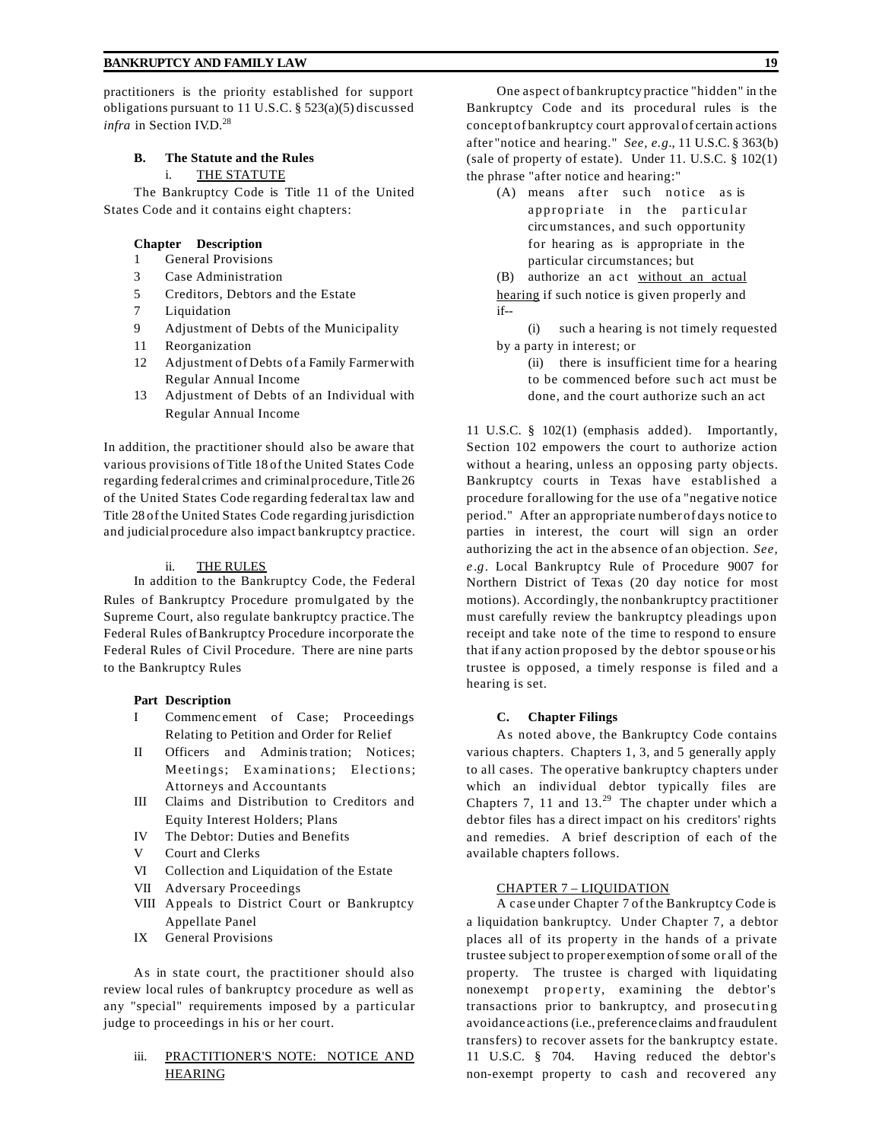practitioners is the priority established for support obligations pursuant to 11 U.S.C. § 523(a)(5) discussed *infra* in Section IV.D.<sup>28</sup>

# **B. The Statute and the Rules**

# i. THE STATUTE

The Bankruptcy Code is Title 11 of the United States Code and it contains eight chapters:

### **Chapter Description**

- 1 General Provisions
- 3 Case Administration
- 5 Creditors, Debtors and the Estate
- 7 Liquidation
- 9 Adjustment of Debts of the Municipality
- 11 Reorganization
- 12 Adjustment of Debts of a Family Farmerwith Regular Annual Income
- 13 Adjustment of Debts of an Individual with Regular Annual Income

In addition, the practitioner should also be aware that various provisions of Title 18 of the United States Code regarding federal crimes and criminalprocedure,Title 26 of the United States Code regarding federaltax law and Title 28 of the United States Code regarding jurisdiction and judicialprocedure also impact bankruptcy practice.

#### ii. THE RULES

In addition to the Bankruptcy Code, the Federal Rules of Bankruptcy Procedure promulgated by the Supreme Court, also regulate bankruptcy practice.The Federal Rules ofBankruptcy Procedure incorporate the Federal Rules of Civil Procedure. There are nine parts to the Bankruptcy Rules

#### **Part Description**

- I Commenc ement of Case; Proceedings Relating to Petition and Order for Relief
- II Officers and Administration; Notices; Meetings; Examinations; Elections; Attorneys and Accountants
- III Claims and Distribution to Creditors and Equity Interest Holders; Plans
- IV The Debtor: Duties and Benefits
- V Court and Clerks
- VI Collection and Liquidation of the Estate
- VII Adversary Proceedings
- VIII Appeals to District Court or Bankruptcy Appellate Panel
- IX General Provisions

As in state court, the practitioner should also review local rules of bankruptcy procedure as well as any "special" requirements imposed by a particular judge to proceedings in his or her court.

## iii. PRACTITIONER'S NOTE: NOTICE AND HEARING

One aspect of bankruptcy practice "hidden" in the Bankruptcy Code and its procedural rules is the concept of bankruptcy court approval of certain actions after "notice and hearing." *See, e.g.*, 11 U.S.C. § 363(b) (sale of property of estate). Under 11. U.S.C. § 102(1) the phrase "after notice and hearing:"

- (A) means after such notice as is appropriate in the particular circ umstances, and such opportunity for hearing as is appropriate in the particular circumstances; but
- (B) authorize an act without an actual hearing if such notice is given properly and if--

(i) such a hearing is not timely requested by a party in interest; or

(ii) there is insufficient time for a hearing to be commenced before such act must be done, and the court authorize such an act

11 U.S.C. § 102(1) (emphasis added). Importantly, Section 102 empowers the court to authorize action without a hearing, unless an opposing party objects. Bankruptcy courts in Texas have established a procedure for allowing for the use of a "negative notice period." After an appropriate number of days notice to parties in interest, the court will sign an order authorizing the act in the absence of an objection. *See, e .g*. Local Bankruptcy Rule of Procedure 9007 for Northern District of Texas (20 day notice for most motions). Accordingly, the nonbankruptcy practitioner must carefully review the bankruptcy pleadings upon receipt and take note of the time to respond to ensure that if any action proposed by the debtor spouse or his trustee is opposed, a timely response is filed and a hearing is set.

#### **C. Chapter Filings**

As noted above, the Bankruptcy Code contains various chapters. Chapters 1, 3, and 5 generally apply to all cases. The operative bankruptcy chapters under which an individual debtor typically files are Chapters 7, 11 and  $13.^{29}$  The chapter under which a debtor files has a direct impact on his creditors' rights and remedies. A brief description of each of the available chapters follows.

#### CHAPTER 7 – LIQUIDATION

A case under Chapter 7 of the Bankruptcy Code is a liquidation bankruptcy. Under Chapter 7, a debtor places all of its property in the hands of a private trustee subject to proper exemption ofsome or all of the property. The trustee is charged with liquidating nonexempt property, examining the debtor's transactions prior to bankruptcy, and prosecuting avoidance actions (i.e., preference claims and fraudulent transfers) to recover assets for the bankruptcy estate. 11 U.S.C. § 704. Having reduced the debtor's non-exempt property to cash and recovered any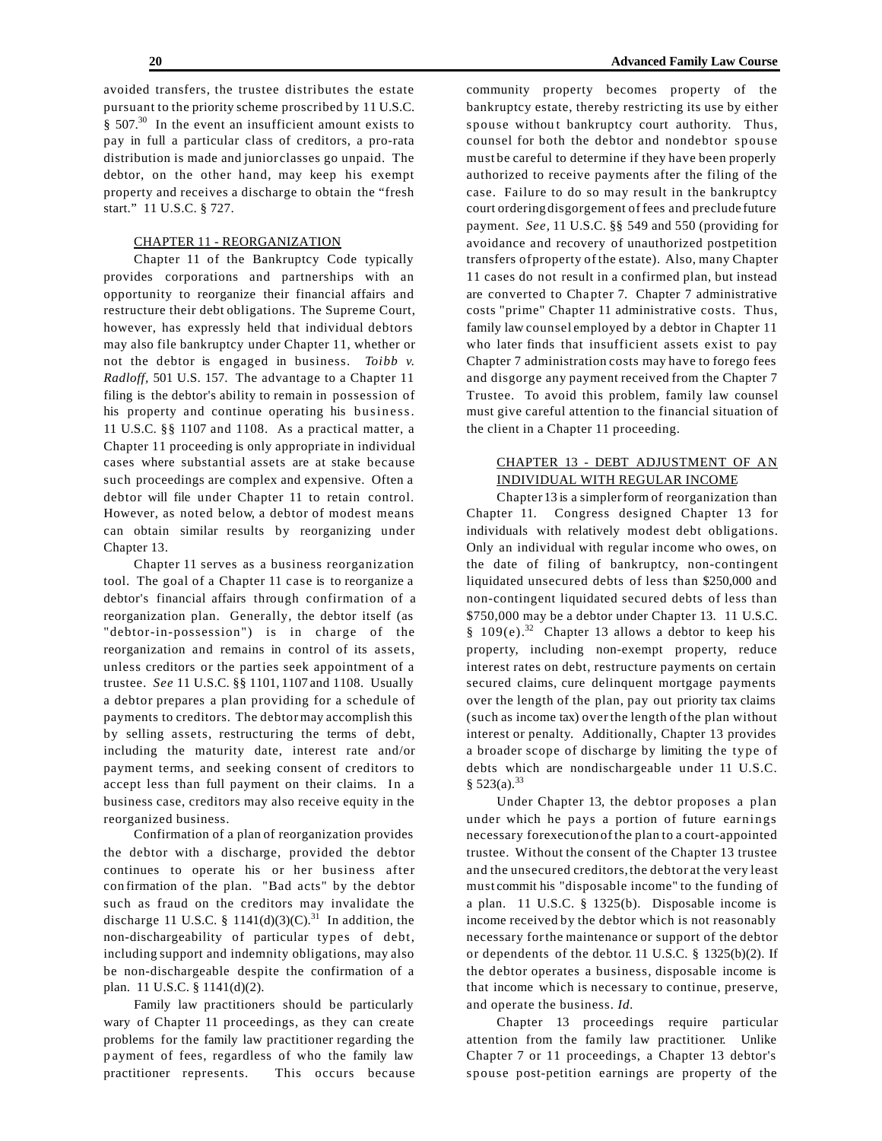avoided transfers, the trustee distributes the estate pursuant to the priority scheme proscribed by 11 U.S.C.  $§$  507.<sup>30</sup> In the event an insufficient amount exists to pay in full a particular class of creditors, a pro-rata distribution is made and junior classes go unpaid. The debtor, on the other hand, may keep his exempt property and receives a discharge to obtain the "fresh start." 11 U.S.C. § 727.

#### CHAPTER 11 - REORGANIZATION

Chapter 11 of the Bankruptcy Code typically provides corporations and partnerships with an opportunity to reorganize their financial affairs and restructure their debt obligations. The Supreme Court, however, has expressly held that individual debtors may also file bankruptcy under Chapter 11, whether or not the debtor is engaged in business. *Toibb v. Radloff,* 501 U.S. 157. The advantage to a Chapter 11 filing is the debtor's ability to remain in possession of his property and continue operating his business. 11 U.S.C. §§ 1107 and 1108. As a practical matter, a Chapter 11 proceeding is only appropriate in individual cases where substantial assets are at stake because such proceedings are complex and expensive. Often a debtor will file under Chapter 11 to retain control. However, as noted below, a debtor of modest means can obtain similar results by reorganizing under Chapter 13.

Chapter 11 serves as a business reorganization tool. The goal of a Chapter 11 case is to reorganize a debtor's financial affairs through confirmation of a reorganization plan. Generally, the debtor itself (as "debtor-in-possession") is in charge of the reorganization and remains in control of its assets, unless creditors or the parties seek appointment of a trustee. *See* 11 U.S.C. §§ 1101, 1107 and 1108. Usually a debtor prepares a plan providing for a schedule of payments to creditors. The debtor may accomplish this by selling assets, restructuring the terms of debt, including the maturity date, interest rate and/or payment terms, and seeking consent of creditors to accept less than full payment on their claims. In a business case, creditors may also receive equity in the reorganized business.

Confirmation of a plan of reorganization provides the debtor with a discharge, provided the debtor continues to operate his or her business after con firmation of the plan. "Bad acts" by the debtor such as fraud on the creditors may invalidate the discharge 11 U.S.C. § 1141(d)(3)(C).<sup>31</sup> In addition, the non-dischargeability of particular types of debt, including support and indemnity obligations, may also be non-dischargeable despite the confirmation of a plan. 11 U.S.C. § 1141(d)(2).

Family law practitioners should be particularly wary of Chapter 11 proceedings, as they can cre ate problems for the family law practitioner regarding the p ayment of fees, regardless of who the family law practitioner represents. This occurs because

community property becomes property of the bankruptcy estate, thereby restricting its use by either spouse without bankruptcy court authority. Thus, counsel for both the debtor and nondebtor spouse must be careful to determine if they have been properly authorized to receive payments after the filing of the case. Failure to do so may result in the bankruptcy court ordering disgorgement of fees and preclude future payment. *See,* 11 U.S.C. §§ 549 and 550 (providing for avoidance and recovery of unauthorized postpetition transfers ofproperty of the estate). Also, many Chapter 11 cases do not result in a confirmed plan, but instead are converted to Cha pter 7. Chapter 7 administrative costs "prime" Chapter 11 administrative costs. Thus, family law counsel employed by a debtor in Chapter 11 who later finds that insufficient assets exist to pay Chapter 7 administration costs may have to forego fees and disgorge any payment received from the Chapter 7 Trustee. To avoid this problem, family law counsel must give careful attention to the financial situation of the client in a Chapter 11 proceeding.

# CHAPTER 13 - DEBT ADJUSTMENT OF AN INDIVIDUAL WITH REGULAR INCOME

Chapter 13 is a simplerform of reorganization than Chapter 11. Congress designed Chapter 13 for individuals with relatively modest debt obligations. Only an individual with regular income who owes, on the date of filing of bankruptcy, non-contingent liquidated unsecured debts of less than \$250,000 and non-contingent liquidated secured debts of less than \$750,000 may be a debtor under Chapter 13. 11 U.S.C. § 109(e).<sup>32</sup> Chapter 13 allows a debtor to keep his property, including non-exempt property, reduce interest rates on debt, restructure payments on certain secured claims, cure delinquent mortgage payments over the length of the plan, pay out priority tax claims (such as income tax) overthe length of the plan without interest or penalty. Additionally, Chapter 13 provides a broader scope of discharge by limiting the type of debts which are nondischargeable under 11 U.S.C.  $§ 523(a).^{33}$ 

Under Chapter 13, the debtor proposes a plan under which he pays a portion of future earnings necessary forexecutionof the plan to a court-appointed trustee. Without the consent of the Chapter 13 trustee and the unsecured creditors,the debtor at the very least must commit his "disposable income" to the funding of a plan. 11 U.S.C. § 1325(b). Disposable income is income received by the debtor which is not reasonably necessary forthe maintenance or support of the debtor or dependents of the debtor. 11 U.S.C. § 1325(b)(2). If the debtor operates a business, disposable income is that income which is necessary to continue, preserve, and operate the business. *Id.*

Chapter 13 proceedings require particular attention from the family law practitioner. Unlike Chapter 7 or 11 proceedings, a Chapter 13 debtor's spouse post-petition earnings are property of the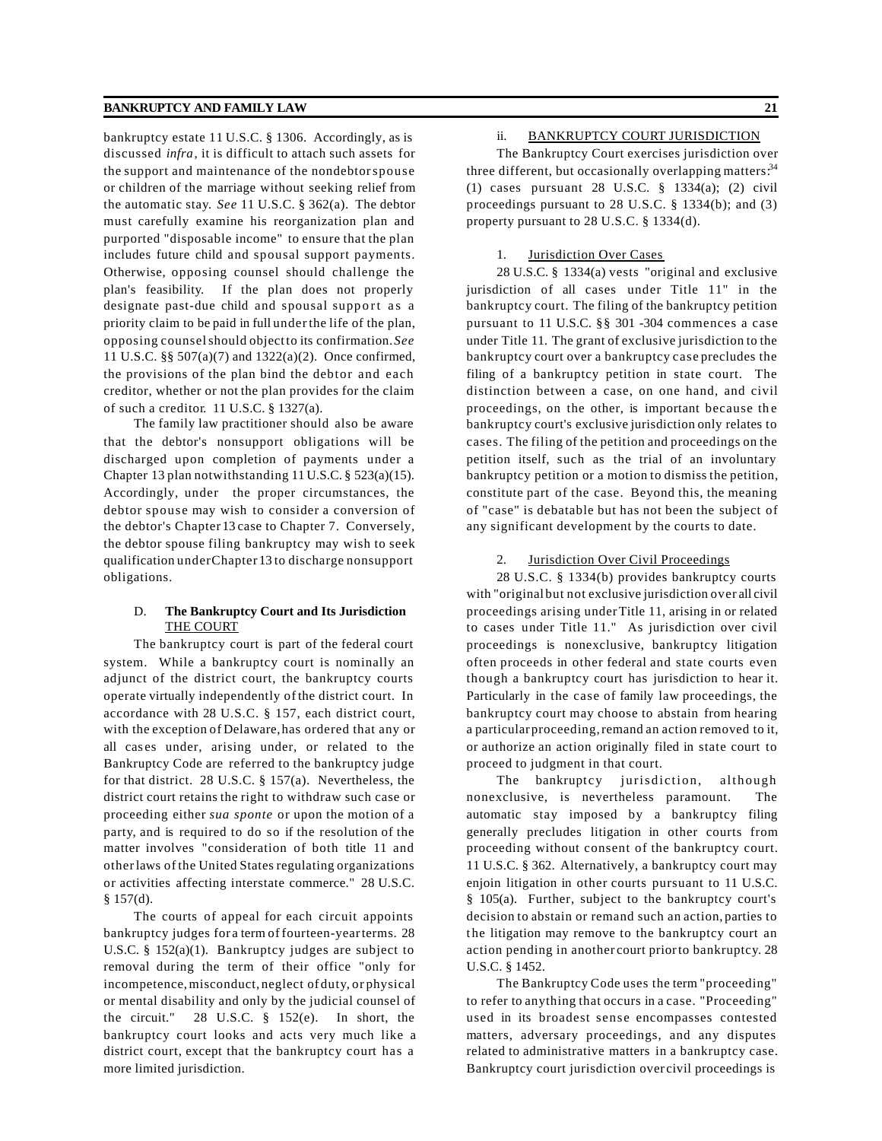bankruptcy estate 11 U.S.C. § 1306. Accordingly, as is discussed *infra*, it is difficult to attach such assets for the support and maintenance of the nondebtorspouse or children of the marriage without seeking relief from the automatic stay. *See* 11 U.S.C. § 362(a). The debtor must carefully examine his reorganization plan and purported "disposable income" to ensure that the plan includes future child and spousal support payments. Otherwise, opposing counsel should challenge the plan's feasibility. If the plan does not properly designate past-due child and spousal support as a priority claim to be paid in full underthe life of the plan, opposing counselshould objectto its confirmation.*See* 11 U.S.C. §§ 507(a)(7) and 1322(a)(2). Once confirmed, the provisions of the plan bind the debtor and each creditor, whether or not the plan provides for the claim of such a creditor. 11 U.S.C. § 1327(a).

The family law practitioner should also be aware that the debtor's nonsupport obligations will be discharged upon completion of payments under a Chapter 13 plan notwithstanding 11 U.S.C. § 523(a)(15). Accordingly, under the proper circumstances, the debtor spouse may wish to consider a conversion of the debtor's Chapter 13 case to Chapter 7. Conversely, the debtor spouse filing bankruptcy may wish to seek qualification underChapter 13 to discharge nonsupport obligations.

#### D. **The Bankruptcy Court and Its Jurisdiction** THE COURT

The bankruptcy court is part of the federal court system. While a bankruptcy court is nominally an adjunct of the district court, the bankruptcy courts operate virtually independently of the district court. In accordance with 28 U.S.C. § 157, each district court, with the exception of Delaware,has ordered that any or all cases under, arising under, or related to the Bankruptcy Code are referred to the bankruptcy judge for that district. 28 U.S.C. § 157(a). Nevertheless, the district court retains the right to withdraw such case or proceeding either *sua sponte* or upon the motion of a party, and is required to do so if the resolution of the matter involves "consideration of both title 11 and otherlaws of the United States regulating organizations or activities affecting interstate commerce." 28 U.S.C. § 157(d).

The courts of appeal for each circuit appoints bankruptcy judges for a term of fourteen-yearterms. 28 U.S.C. § 152(a)(1). Bankruptcy judges are subject to removal during the term of their office "only for incompetence,misconduct, neglect of duty, or physical or mental disability and only by the judicial counsel of the circuit." 28 U.S.C. § 152(e). In short, the bankruptcy court looks and acts very much like a district court, except that the bankruptcy court has a more limited jurisdiction.

# ii. BANKRUPTCY COURT JURISDICTION

The Bankruptcy Court exercises jurisdiction over three different, but occasionally overlapping matters.<sup>34</sup> (1) cases pursuant 28 U.S.C. § 1334(a); (2) civil proceedings pursuant to 28 U.S.C. § 1334(b); and (3) property pursuant to 28 U.S.C. § 1334(d).

# 1. Jurisdiction Over Cases

28 U.S.C. § 1334(a) vests "original and exclusive jurisdiction of all cases under Title 11" in the bankruptcy court. The filing of the bankruptcy petition pursuant to 11 U.S.C. §§ 301 -304 commences a case under Title 11. The grant of exclusive jurisdiction to the bankruptcy court over a bankruptcy case precludes the filing of a bankruptcy petition in state court. The distinction between a case, on one hand, and civil proceedings, on the other, is important because the bankruptcy court's exclusive jurisdiction only relates to cases. The filing of the petition and proceedings on the petition itself, such as the trial of an involuntary bankruptcy petition or a motion to dismiss the petition, constitute part of the case. Beyond this, the meaning of "case" is debatable but has not been the subject of any significant development by the courts to date.

#### 2. **Jurisdiction Over Civil Proceedings**

28 U.S.C. § 1334(b) provides bankruptcy courts with "original but not exclusive jurisdiction over all civil proceedings arising underTitle 11, arising in or related to cases under Title 11." As jurisdiction over civil proceedings is nonexclusive, bankruptcy litigation often proceeds in other federal and state courts even though a bankruptcy court has jurisdiction to hear it. Particularly in the case of family law proceedings, the bankruptcy court may choose to abstain from hearing a particular proceeding, remand an action removed to it, or authorize an action originally filed in state court to proceed to judgment in that court.

The bankruptcy jurisdiction, although nonexclusive, is nevertheless paramount. The automatic stay imposed by a bankruptcy filing generally precludes litigation in other courts from proceeding without consent of the bankruptcy court. 11 U.S.C. § 362. Alternatively, a bankruptcy court may enioin litigation in other courts pursuant to 11 U.S.C. § 105(a). Further, subject to the bankruptcy court's decision to abstain or remand such an action, parties to the litigation may remove to the bankruptcy court an action pending in another court priorto bankruptcy. 28 U.S.C. § 1452.

The Bankruptcy Code uses the term "proceeding" to refer to anything that occurs in a case. "Proceeding" used in its broadest sense encompasses contested matters, adversary proceedings, and any disputes related to administrative matters in a bankruptcy case. Bankruptcy court jurisdiction over civil proceedings is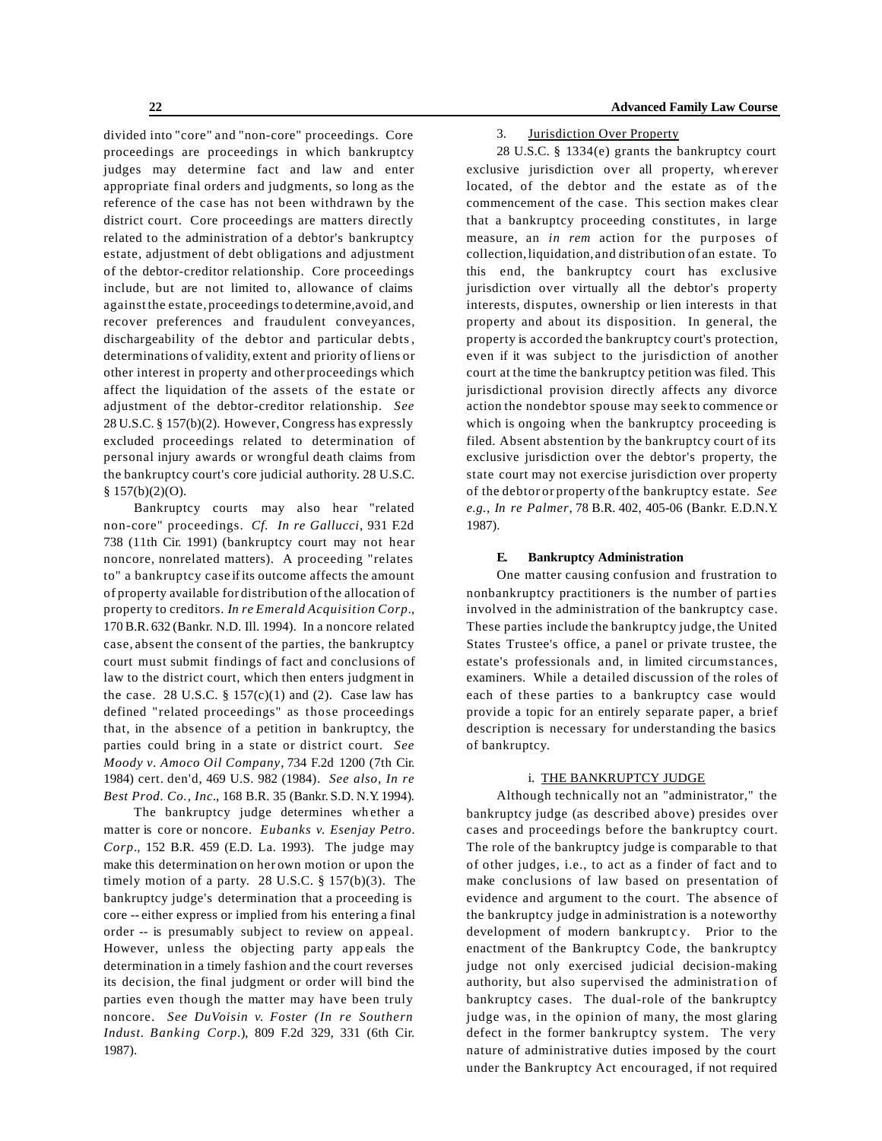divided into "core" and "non-core" proceedings. Core proceedings are proceedings in which bankruptcy judges may determine fact and law and enter appropriate final orders and judgments, so long as the reference of the case has not been withdrawn by the district court. Core proceedings are matters directly related to the administration of a debtor's bankruptcy estate, adjustment of debt obligations and adjustment of the debtor-creditor relationship. Core proceedings include, but are not limited to, allowance of claims against the estate, proceedings to determine,avoid, and recover preferences and fraudulent conveyances, dischargeability of the debtor and particular debts, determinations of validity, extent and priority of liens or other interest in property and other proceedings which affect the liquidation of the assets of the estate or adjustment of the debtor-creditor relationship. *See* 28 U.S.C. § 157(b)(2). However, Congress has expressly excluded proceedings related to determination of personal injury awards or wrongful death claims from the bankruptcy court's core judicial authority. 28 U.S.C. § 157(b)(2)(O).

Bankruptcy courts may also hear "related non-core" proceedings. *Cf. In re Gallucci*, 931 F.2d 738 (11th Cir. 1991) (bankruptcy court may not hear noncore, nonrelated matters). A proceeding "relates to" a bankruptcy case ifits outcome affects the amount of property available for distribution of the allocation of property to creditors. *In re Emerald Acquisition Corp.*, 170B.R. 632 (Bankr. N.D. Ill. 1994). In a noncore related case, absent the consent of the parties, the bankruptcy court must submit findings of fact and conclusions of law to the district court, which then enters judgment in the case. 28 U.S.C.  $\S 157(c)(1)$  and (2). Case law has defined "related proceedings" as those proceedings that, in the absence of a petition in bankruptcy, the parties could bring in a state or district court. *See Moody v. Amoco Oil Company*, 734 F.2d 1200 (7th Cir. 1984) cert. den'd, 469 U.S. 982 (1984)*. See also, In re Best Prod. Co., Inc.*, 168 B.R. 35 (Bankr. S.D. N.Y. 1994)*.*

The bankruptcy judge determines wh ether a matter is core or noncore. *Eubanks v. Esenjay Petro. Corp.*, 152 B.R. 459 (E.D. La. 1993). The judge may make this determination on her own motion or upon the timely motion of a party. 28 U.S.C. § 157(b)(3). The bankruptcy judge's determination that a proceeding is core -- either express or implied from his entering a final order -- is presumably subject to review on appeal. However, unless the objecting party app eals the determination in a timely fashion and the court reverses its decision, the final judgment or order will bind the parties even though the matter may have been truly noncore. *See DuVoisin v. Foster (In re Southern Indust. Banking Corp.*), 809 F.2d 329, 331 (6th Cir. 1987).

3. Jurisdiction Over Property

28 U.S.C. § 1334(e) grants the bankruptcy court exclusive jurisdiction over all property, wherever located, of the debtor and the estate as of the commencement of the case. This section makes clear that a bankruptcy proceeding constitutes, in large measure, an *in rem* action for the purposes of collection,liquidation, and distribution of an estate. To this end, the bankruptcy court has exclusive jurisdiction over virtually all the debtor's property interests, disputes, ownership or lien interests in that property and about its disposition. In general, the property is accorded the bankruptcy court's protection, even if it was subject to the jurisdiction of another court at the time the bankruptcy petition was filed. This jurisdictional provision directly affects any divorce action the nondebtor spouse may seek to commence or which is ongoing when the bankruptcy proceeding is filed. Absent abstention by the bankruptcy court of its exclusive jurisdiction over the debtor's property, the state court may not exercise jurisdiction over property of the debtor or property of the bankruptcy estate. *See e.g., In re Palmer*, 78 B.R. 402, 405-06 (Bankr. E.D.N.Y. 1987).

#### **E. Bankruptcy Administration**

One matter causing confusion and frustration to nonbankruptcy practitioners is the number of parties involved in the administration of the bankruptcy case. These parties include the bankruptcy judge, the United States Trustee's office, a panel or private trustee, the estate's professionals and, in limited circumstances, examiners. While a detailed discussion of the roles of each of these parties to a bankruptcy case would provide a topic for an entirely separate paper, a brief description is necessary for understanding the basics of bankruptcy.

## i. THE BANKRUPTCY JUDGE

Although technically not an "administrator," the bankruptcy judge (as described above) presides over cases and proceedings before the bankruptcy court. The role of the bankruptcy judge is comparable to that of other judges, i.e., to act as a finder of fact and to make conclusions of law based on presentation of evidence and argument to the court. The absence of the bankruptcy judge in administration is a noteworthy development of modern bankruptcy. Prior to the enactment of the Bankruptcy Code, the bankruptcy judge not only exercised judicial decision-making authority, but also supervised the administration of bankruptcy cases. The dual-role of the bankruptcy judge was, in the opinion of many, the most glaring defect in the former bankruptcy system. The very nature of administrative duties imposed by the court under the Bankruptcy Act encouraged, if not required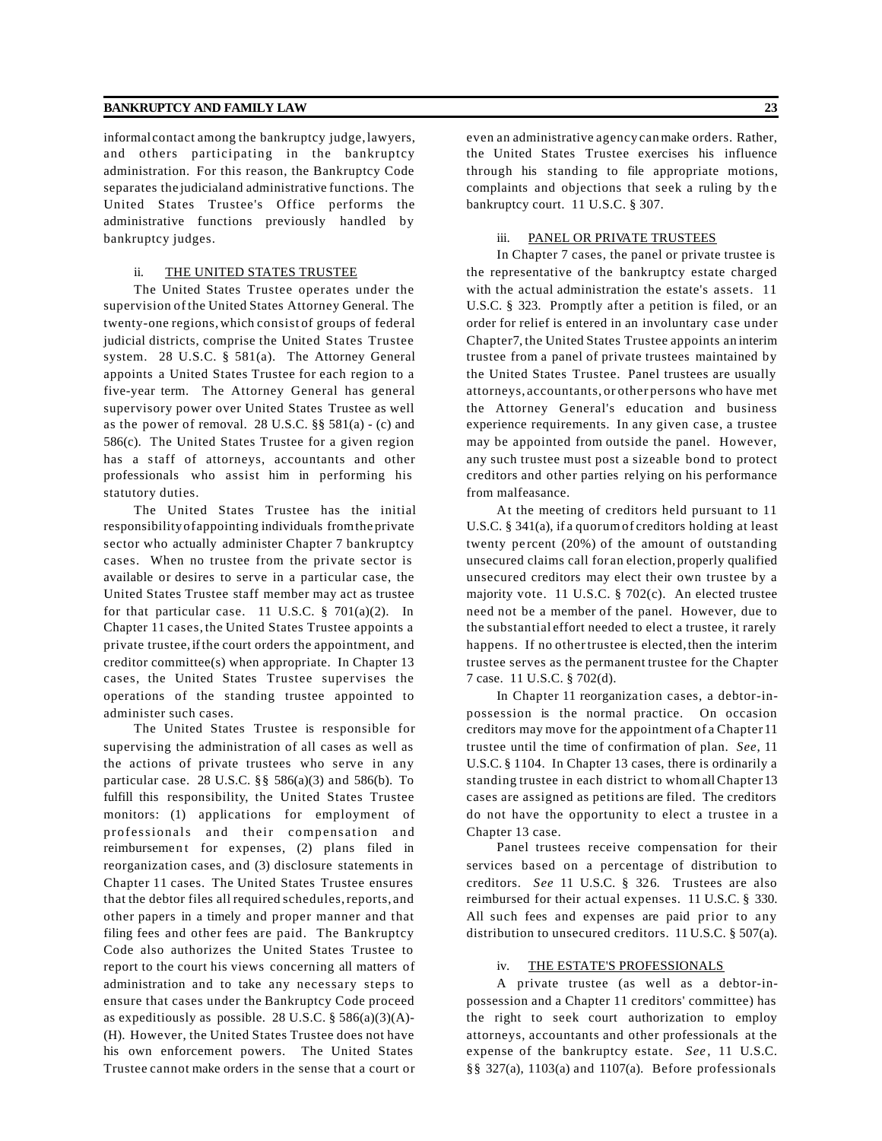informal contact among the bankruptcy judge, lawyers, and others participating in the bankruptcy administration. For this reason, the Bankruptcy Code separates the judicialand administrative functions. The United States Trustee's Office performs the administrative functions previously handled by bankruptcy judges.

#### ii. THE UNITED STATES TRUSTEE

The United States Trustee operates under the supervision of the United States Attorney General. The twenty-one regions,which consist of groups of federal judicial districts, comprise the United States Trustee system. 28 U.S.C. § 581(a). The Attorney General appoints a United States Trustee for each region to a five-year term. The Attorney General has general supervisory power over United States Trustee as well as the power of removal. 28 U.S.C. §§ 581(a) - (c) and 586(c). The United States Trustee for a given region has a staff of attorneys, accountants and other professionals who assist him in performing his statutory duties.

The United States Trustee has the initial responsibility ofappointing individuals fromthe private sector who actually administer Chapter 7 bankruptcy cases. When no trustee from the private sector is available or desires to serve in a particular case, the United States Trustee staff member may act as trustee for that particular case. 11 U.S.C.  $\S$  701(a)(2). In Chapter 11 cases, the United States Trustee appoints a private trustee,ifthe court orders the appointment, and creditor committee(s) when appropriate. In Chapter 13 cases, the United States Trustee supervises the operations of the standing trustee appointed to administer such cases.

The United States Trustee is responsible for supervising the administration of all cases as well as the actions of private trustees who serve in any particular case. 28 U.S.C. §§ 586(a)(3) and 586(b). To fulfill this responsibility, the United States Trustee monitors: (1) applications for employment of professionals and their compensation and reimbursement for expenses, (2) plans filed in reorganization cases, and (3) disclosure statements in Chapter 11 cases. The United States Trustee ensures that the debtor files all required schedules,reports, and other papers in a timely and proper manner and that filing fees and other fees are paid. The Bankruptcy Code also authorizes the United States Trustee to report to the court his views concerning all matters of administration and to take any necessary steps to ensure that cases under the Bankruptcy Code proceed as expeditiously as possible. 28 U.S.C.  $\S$  586(a)(3)(A)-(H). However, the United States Trustee does not have his own enforcement powers. The United States Trustee cannot make orders in the sense that a court or even an administrative agency canmake orders. Rather, the United States Trustee exercises his influence through his standing to file appropriate motions, complaints and objections that seek a ruling by th e bankruptcy court. 11 U.S.C. § 307.

#### iii. PANEL OR PRIVATE TRUSTEES

In Chapter 7 cases, the panel or private trustee is the representative of the bankruptcy estate charged with the actual administration the estate's assets. 11 U.S.C. § 323. Promptly after a petition is filed, or an order for relief is entered in an involuntary case under Chapter7, the United States Trustee appoints an interim trustee from a panel of private trustees maintained by the United States Trustee. Panel trustees are usually attorneys, accountants, or other persons who have met the Attorney General's education and business experience requirements. In any given case, a trustee may be appointed from outside the panel. However, any such trustee must post a sizeable bond to protect creditors and other parties relying on his performance from malfeasance.

At the meeting of creditors held pursuant to 11 U.S.C. § 341(a), if a quorumof creditors holding at least twenty pe rcent (20%) of the amount of outstanding unsecured claims call for an election, properly qualified unsecured creditors may elect their own trustee by a majority vote. 11 U.S.C. § 702(c). An elected trustee need not be a member of the panel. However, due to the substantial effort needed to elect a trustee, it rarely happens. If no other trustee is elected, then the interim trustee serves as the permanent trustee for the Chapter 7 case. 11 U.S.C. § 702(d).

In Chapter 11 reorganiza tion cases, a debtor-inpossession is the normal practice. On occasion creditors may move for the appointment of a Chapter 11 trustee until the time of confirmation of plan. *See*, 11 U.S.C. § 1104. In Chapter 13 cases, there is ordinarily a standing trustee in each district to whomallChapter 13 cases are assigned as petitions are filed. The creditors do not have the opportunity to elect a trustee in a Chapter 13 case.

Panel trustees receive compensation for their services based on a percentage of distribution to creditors. *See* 11 U.S.C. § 326. Trustees are also reimbursed for their actual expenses. 11 U.S.C. § 330. All such fees and expenses are paid prior to any distribution to unsecured creditors. 11 U.S.C. § 507(a).

#### iv. THE ESTATE'S PROFESSIONALS

A private trustee (as well as a debtor-inpossession and a Chapter 11 creditors' committee) has the right to seek court authorization to employ attorneys, accountants and other professionals at the expense of the bankruptcy estate. See, 11 U.S.C. §§ 327(a), 1103(a) and 1107(a). Before professionals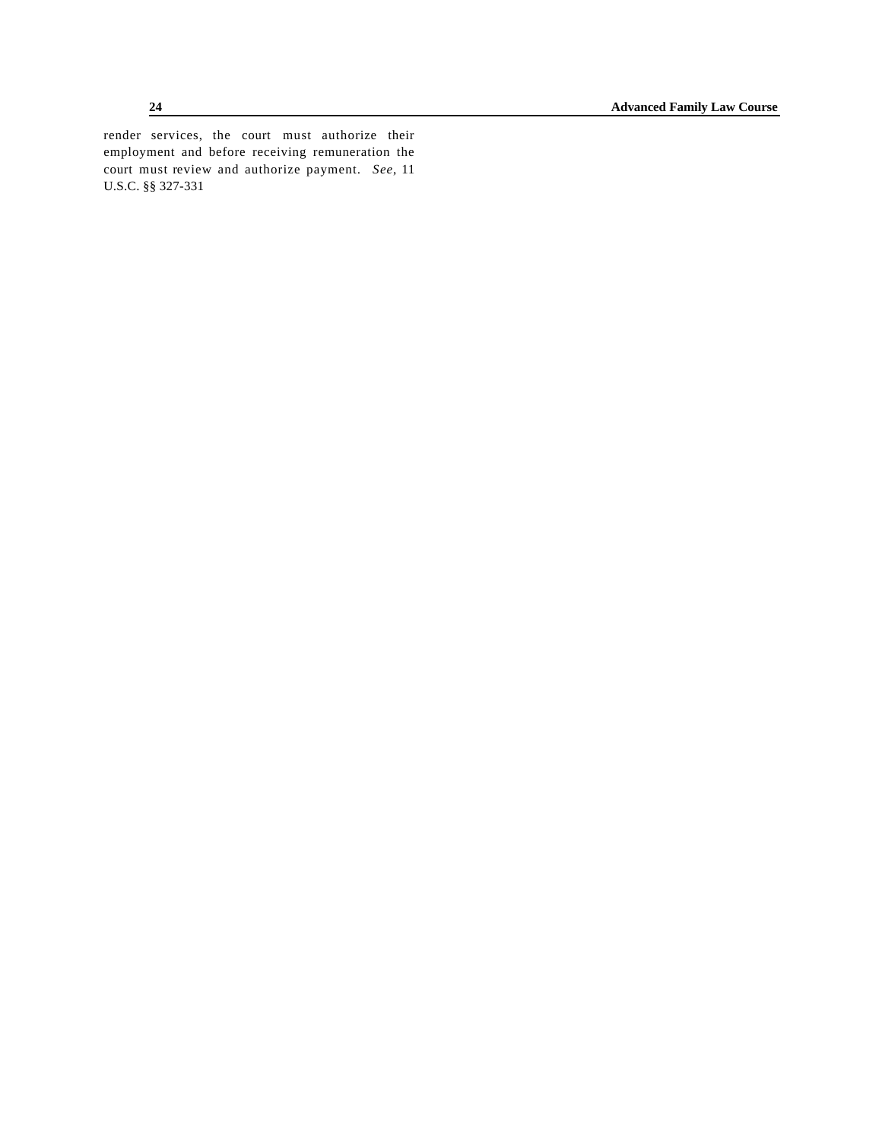render services, the court must authorize their employment and before receiving remuneration the court must review and authorize payment. *See*, 11 U.S.C. §§ 327-331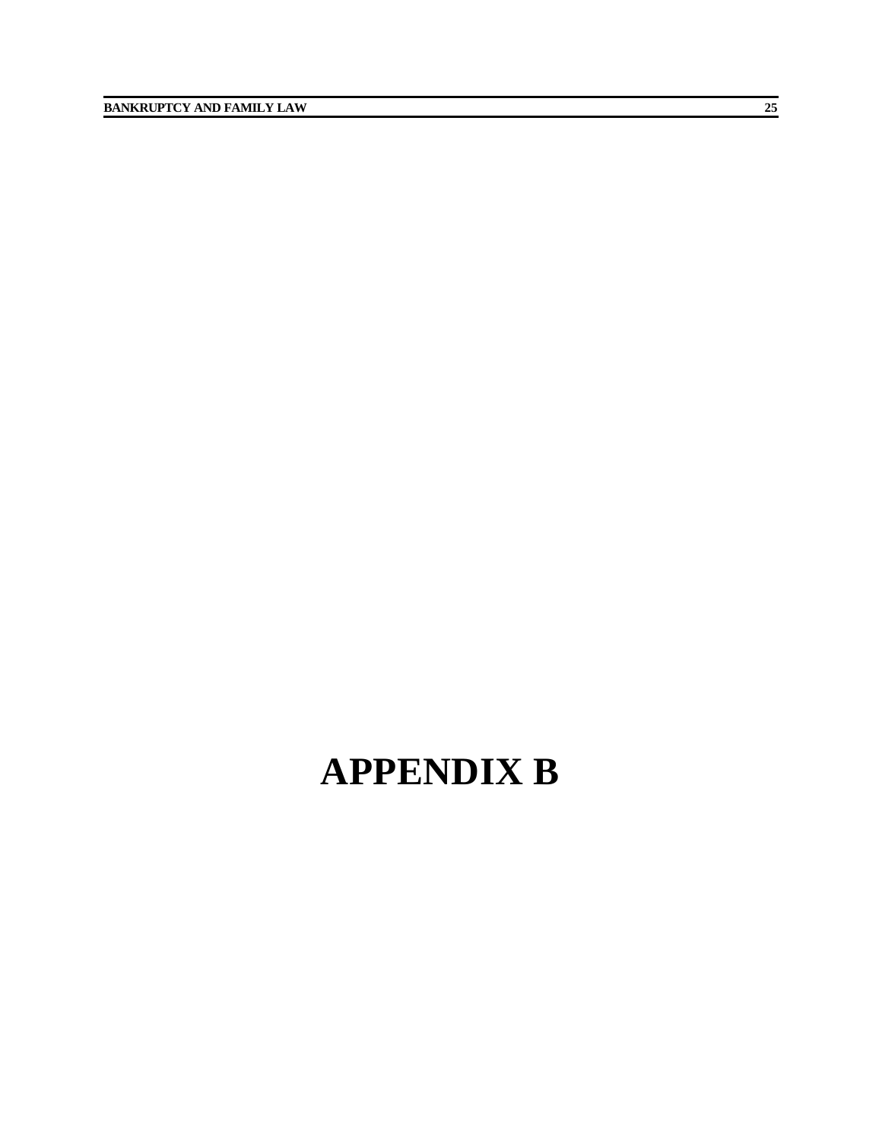# **APPENDIX B**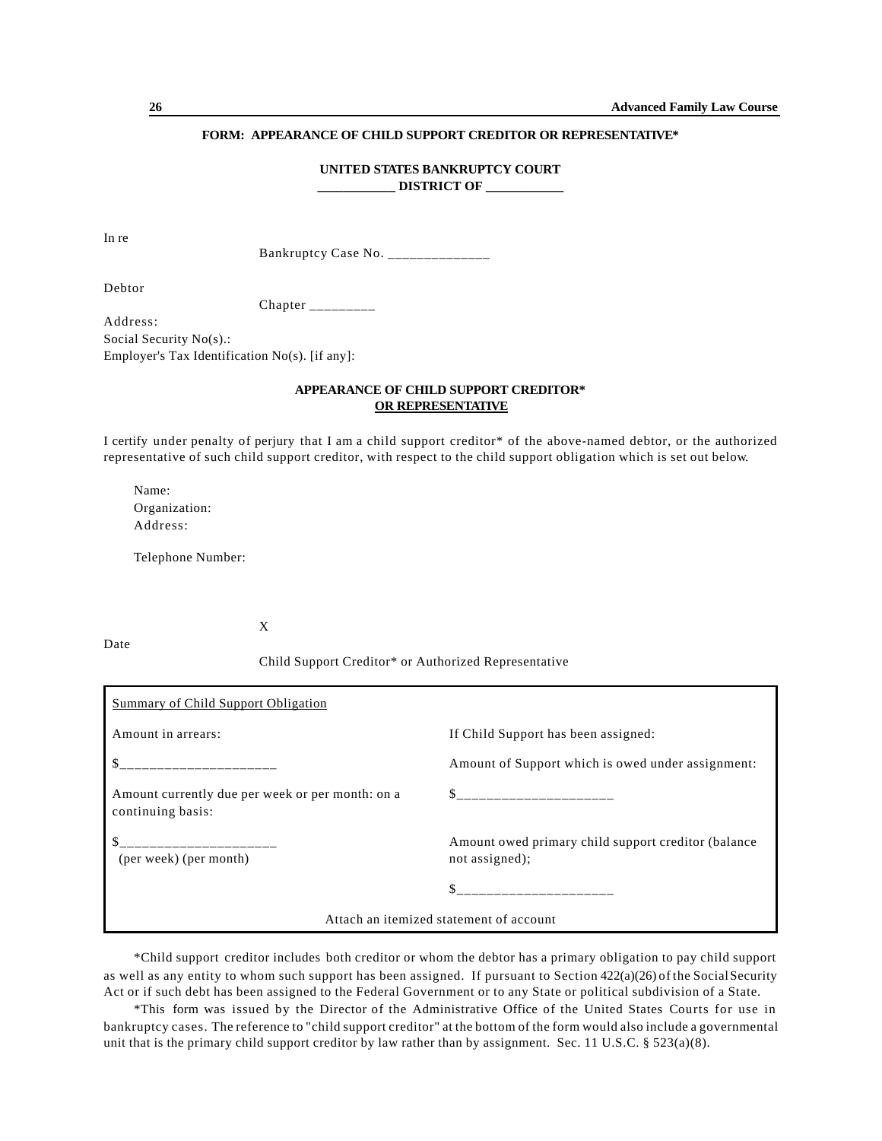# **FORM: APPEARANCE OF CHILD SUPPORT CREDITOR OR REPRESENTATIVE\***

#### **UNITED STATES BANKRUPTCY COURT DISTRICT OF**

In re

Bankruptcy Case No. \_\_\_\_\_\_\_\_\_\_\_\_\_\_\_

Debtor

Date

Chapter \_\_\_\_\_\_\_\_\_

Address: Social Security No(s).: Employer's Tax Identification No(s). [if any]:

# **APPEARANCE OF CHILD SUPPORT CREDITOR\* OR REPRESENTATIVE**

I certify under penalty of perjury that I am a child support creditor\* of the above-named debtor, or the authorized representative of such child support creditor, with respect to the child support obligation which is set out below.

Name: Organization: Address:

Telephone Number:

X

Child Support Creditor\* or Authorized Representative

| Summary of Child Support Obligation                                   |                                                                                                                |  |  |  |
|-----------------------------------------------------------------------|----------------------------------------------------------------------------------------------------------------|--|--|--|
| Amount in arrears:                                                    | If Child Support has been assigned:                                                                            |  |  |  |
| <u> 1999 - Johann John Hermer, mensk</u>                              | Amount of Support which is owed under assignment:                                                              |  |  |  |
| Amount currently due per week or per month: on a<br>continuing basis: | \$ _________________________                                                                                   |  |  |  |
| __________________<br>(per week) (per month)                          | Amount owed primary child support creditor (balance)<br>not assigned);                                         |  |  |  |
|                                                                       | and a complete the contract of the contract of the contract of the contract of the contract of the contract of |  |  |  |
| Attach an itemized statement of account                               |                                                                                                                |  |  |  |

\*Child support creditor includes both creditor or whom the debtor has a primary obligation to pay child support as well as any entity to whom such support has been assigned. If pursuant to Section 422(a)(26) of the SocialSecurity Act or if such debt has been assigned to the Federal Government or to any State or political subdivision of a State.

\*This form was issued by the Director of the Administrative Office of the United States Courts for use in bankruptcy cases. The reference to "child support creditor" at the bottom of the form would also include a governmental unit that is the primary child support creditor by law rather than by assignment. Sec. 11 U.S.C. § 523(a)(8).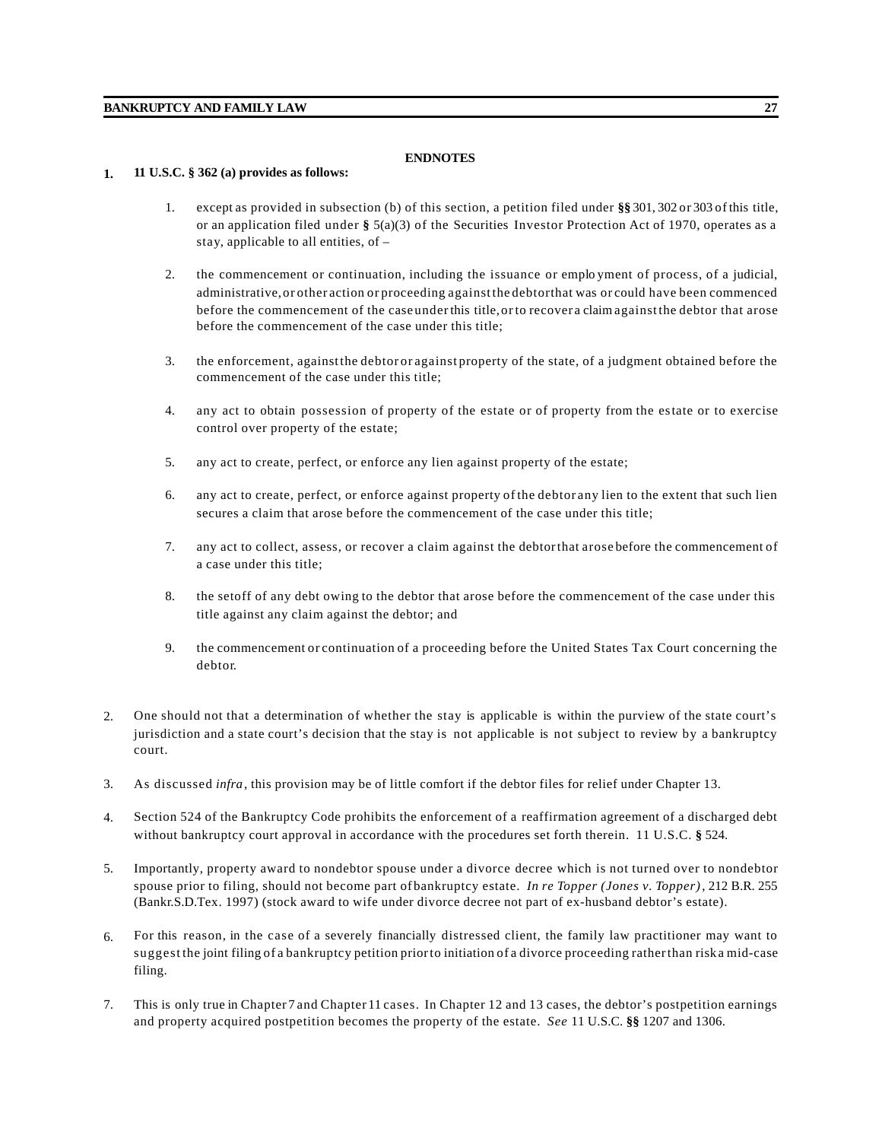# **ENDNOTES**

### **1. 11 U.S.C. § 362 (a) provides as follows:**

- 1. except as provided in subsection (b) of this section, a petition filed under **§§** 301, 302 or 303 of this title, or an application filed under **§** 5(a)(3) of the Securities Investor Protection Act of 1970, operates as a stay, applicable to all entities, of –
- 2. the commencement or continuation, including the issuance or emplo yment of process, of a judicial, administrative,or other action or proceeding against the debtorthat was or could have been commenced before the commencement of the case under this title, or to recover a claim against the debtor that arose before the commencement of the case under this title;
- 3. the enforcement, againstthe debtor or against property of the state, of a judgment obtained before the commencement of the case under this title;
- 4. any act to obtain possession of property of the estate or of property from the estate or to exercise control over property of the estate;
- 5. any act to create, perfect, or enforce any lien against property of the estate;
- 6. any act to create, perfect, or enforce against property of the debtor any lien to the extent that such lien secures a claim that arose before the commencement of the case under this title;
- 7. any act to collect, assess, or recover a claim against the debtorthat arose before the commencement of a case under this title;
- 8. the setoff of any debt owing to the debtor that arose before the commencement of the case under this title against any claim against the debtor; and
- 9. the commencement or continuation of a proceeding before the United States Tax Court concerning the debtor.
- 2. One should not that a determination of whether the stay is applicable is within the purview of the state court's jurisdiction and a state court's decision that the stay is not applicable is not subject to review by a bankruptcy court.
- 3. As discussed *infra*, this provision may be of little comfort if the debtor files for relief under Chapter 13.
- 4. Section 524 of the Bankruptcy Code prohibits the enforcement of a reaffirmation agreement of a discharged debt without bankruptcy court approval in accordance with the procedures set forth therein. 11 U.S.C. **§** 524.
- 5. Importantly, property award to nondebtor spouse under a divorce decree which is not turned over to nondebtor spouse prior to filing, should not become part of bankruptcy estate. *In re Topper (Jones v. Topper)*, 212 B.R. 255 (Bankr.S.D.Tex. 1997) (stock award to wife under divorce decree not part of ex-husband debtor's estate).
- 6. For this reason, in the case of a severely financially distressed client, the family law practitioner may want to suggest the joint filing of a bankruptcy petition priorto initiation of a divorce proceeding ratherthan riska mid-case filing.
- 7. This is only true in Chapter 7 and Chapter 11 cases. In Chapter 12 and 13 cases, the debtor's postpetition earnings and property acquired postpetition becomes the property of the estate. *See* 11 U.S.C. **§§** 1207 and 1306.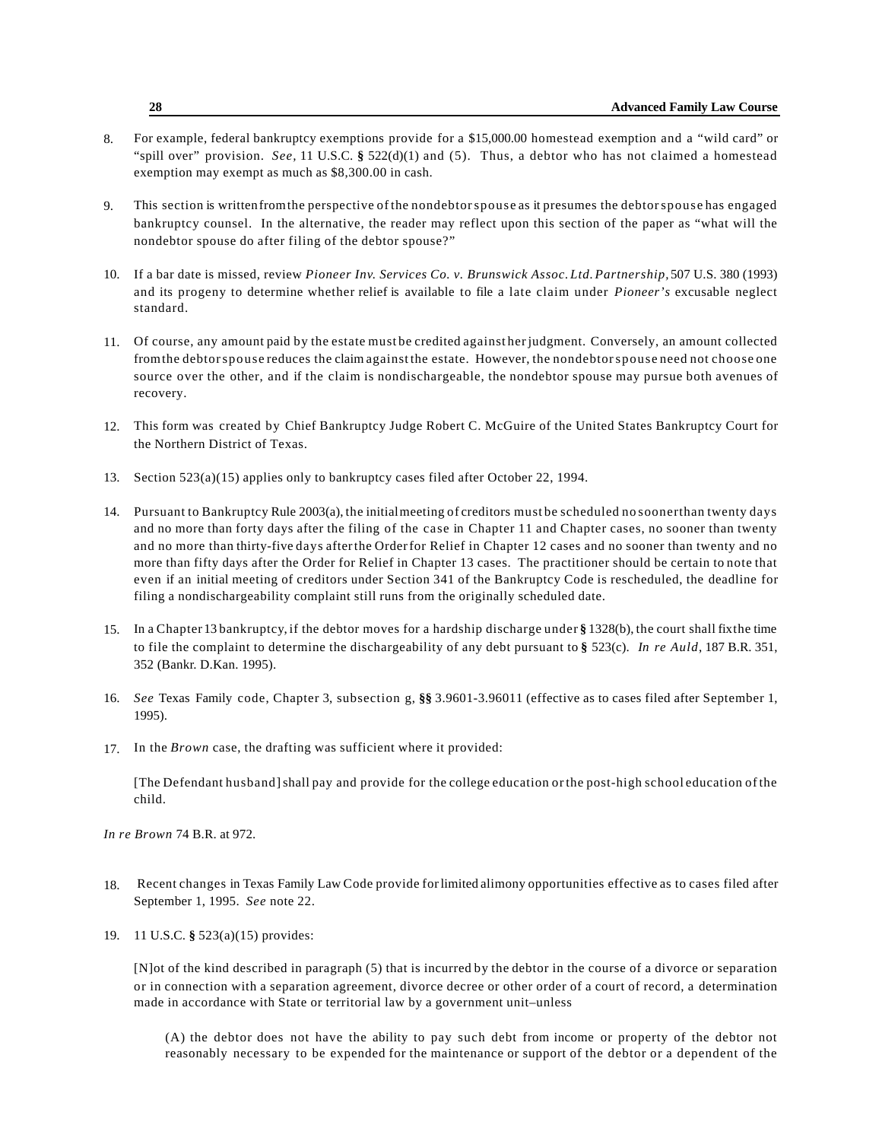- 8. For example, federal bankruptcy exemptions provide for a \$15,000.00 homestead exemption and a "wild card" or "spill over" provision. *See,* 11 U.S.C. **§** 522(d)(1) and (5). Thus, a debtor who has not claimed a homestead exemption may exempt as much as \$8,300.00 in cash.
- 9. This section is writtenfromthe perspective of the nondebtorspouse as it presumes the debtorspouse has engaged bankruptcy counsel. In the alternative, the reader may reflect upon this section of the paper as "what will the nondebtor spouse do after filing of the debtor spouse?"
- 10. If a bar date is missed, review *Pioneer Inv. Services Co. v. Brunswick Assoc.Ltd.Partnership,* 507 U.S. 380 (1993) and its progeny to determine whether relief is available to file a late claim under *Pioneer's* excusable neglect standard.
- 11. Of course, any amount paid by the estate must be credited against herjudgment. Conversely, an amount collected fromthe debtorspouse reduces the claim against the estate. However, the nondebtorspouse need not choose one source over the other, and if the claim is nondischargeable, the nondebtor spouse may pursue both avenues of recovery.
- 12. This form was created by Chief Bankruptcy Judge Robert C. McGuire of the United States Bankruptcy Court for the Northern District of Texas.
- 13. Section 523(a)(15) applies only to bankruptcy cases filed after October 22, 1994.
- 14. Pursuant to Bankruptcy Rule 2003(a), the initialmeeting of creditors must be scheduled no soonerthan twenty days and no more than forty days after the filing of the case in Chapter 11 and Chapter cases, no sooner than twenty and no more than thirty-five days afterthe Orderfor Relief in Chapter 12 cases and no sooner than twenty and no more than fifty days after the Order for Relief in Chapter 13 cases. The practitioner should be certain to note that even if an initial meeting of creditors under Section 341 of the Bankruptcy Code is rescheduled, the deadline for filing a nondischargeability complaint still runs from the originally scheduled date.
- 15. In a Chapter 13 bankruptcy, if the debtor moves for a hardship discharge under **§** 1328(b), the court shall fixthe time to file the complaint to determine the dischargeability of any debt pursuant to **§** 523(c). *In re Auld*, 187 B.R. 351, 352 (Bankr. D.Kan. 1995).
- 16. *See* Texas Family code, Chapter 3, subsection g, **§§** 3.9601-3.96011 (effective as to cases filed after September 1, 1995).
- 17. In the *Brown* case, the drafting was sufficient where it provided:

[The Defendant husband]shall pay and provide for the college education or the post-high school education of the child.

*In re Brown* 74 B.R. at 972.

- 18. Recent changes in Texas Family Law Code provide forlimited alimony opportunities effective as to cases filed after September 1, 1995. *See* note 22.
- 19. 11 U.S.C. **§** 523(a)(15) provides:

[N]ot of the kind described in paragraph (5) that is incurred by the debtor in the course of a divorce or separation or in connection with a separation agreement, divorce decree or other order of a court of record, a determination made in accordance with State or territorial law by a government unit–unless

(A) the debtor does not have the ability to pay such debt from income or property of the debtor not reasonably necessary to be expended for the maintenance or support of the debtor or a dependent of the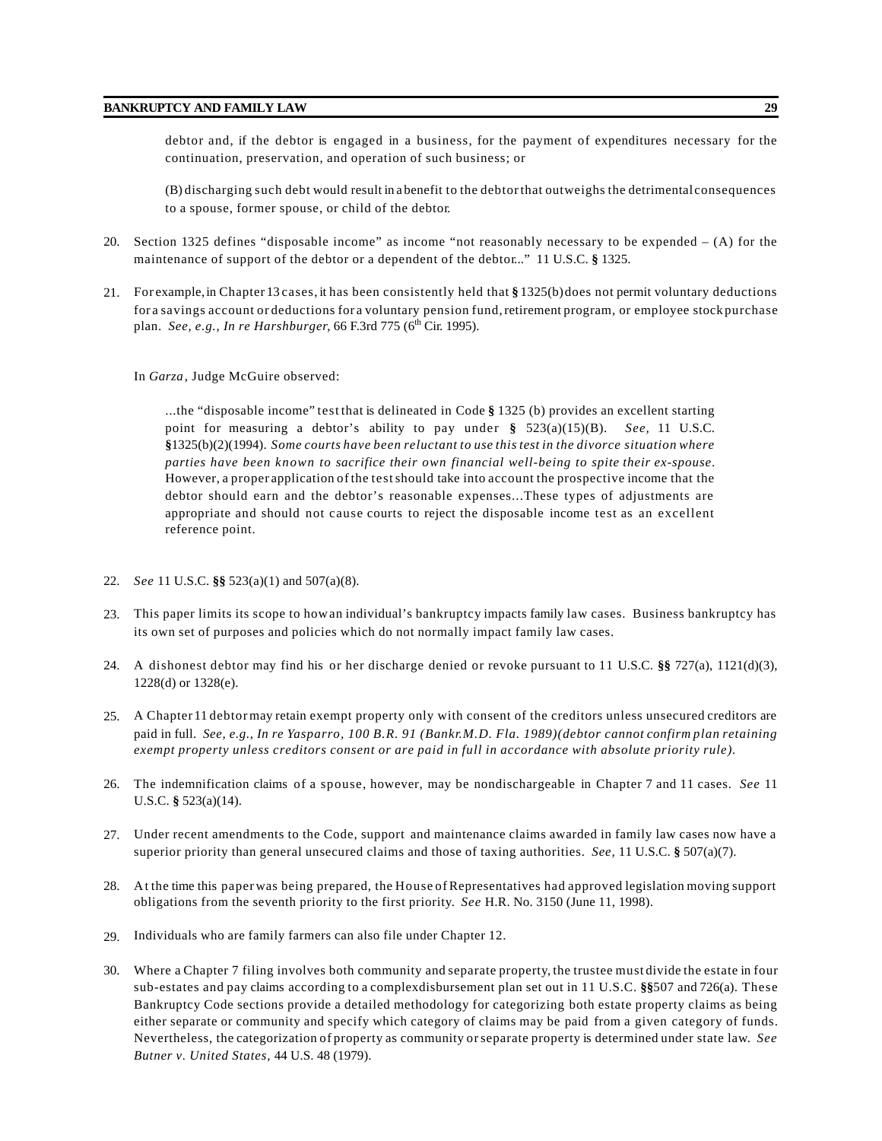debtor and, if the debtor is engaged in a business, for the payment of expenditures necessary for the continuation, preservation, and operation of such business; or

(B) discharging such debt would result in a benefit to the debtorthat outweighs the detrimental consequences to a spouse, former spouse, or child of the debtor.

- 20. Section 1325 defines "disposable income" as income "not reasonably necessary to be expended (A) for the maintenance of support of the debtor or a dependent of the debtor..." 11 U.S.C. **§** 1325.
- 21. For example,in Chapter 13 cases, it has been consistently held that **§** 1325(b)does not permit voluntary deductions for a savings account or deductions for a voluntary pension fund,retirement program, or employee stock purchase plan. *See, e.g., In re Harshburger,* 66 F.3rd 775 (6<sup>th</sup> Cir. 1995).

#### In *Garza*, Judge McGuire observed:

...the "disposable income" test that is delineated in Code **§** 1325 (b) provides an excellent starting point for measuring a debtor's ability to pay under **§** 523(a)(15)(B). *See,* 11 U.S.C. **§**1325(b)(2)(1994). *Some courts have been reluctant to use this test in the divorce situation where parties have been known to sacrifice their own financial well-being to spite their ex-spouse*. However, a proper application of the testshould take into account the prospective income that the debtor should earn and the debtor's reasonable expenses...These types of adjustments are appropriate and should not cause courts to reject the disposable income test as an excellent reference point.

- 22. *See* 11 U.S.C. **§§** 523(a)(1) and 507(a)(8).
- 23. This paper limits its scope to howan individual's bankruptcy impacts family law cases. Business bankruptcy has its own set of purposes and policies which do not normally impact family law cases.
- 24. A dishonest debtor may find his or her discharge denied or revoke pursuant to 11 U.S.C. **§§** 727(a), 1121(d)(3), 1228(d) or 1328(e).
- 25. A Chapter 11 debtor may retain exempt property only with consent of the creditors unless unsecured creditors are paid in full. *See, e.g., In re Yasparro, 100 B.R. 91 (Bankr.M.D. Fla. 1989)(debtor cannot confirm plan retaining exempt property unless creditors consent or are paid in full in accordance with absolute priority rule).*
- 26. The indemnification claims of a spouse, however, may be nondischargeable in Chapter 7 and 11 cases. *See* 11 U.S.C. **§** 523(a)(14).
- 27. Under recent amendments to the Code, support and maintenance claims awarded in family law cases now have a superior priority than general unsecured claims and those of taxing authorities. *See,* 11 U.S.C. **§** 507(a)(7).
- 28. A t the time this paper was being prepared, the House of Representatives had approved legislation moving support obligations from the seventh priority to the first priority. *See* H.R. No. 3150 (June 11, 1998).
- 29. Individuals who are family farmers can also file under Chapter 12.
- 30. Where a Chapter 7 filing involves both community and separate property, the trustee must divide the estate in four sub-estates and pay claims according to a complexdisbursement plan set out in 11 U.S.C. **§§**507 and 726(a). These Bankruptcy Code sections provide a detailed methodology for categorizing both estate property claims as being either separate or community and specify which category of claims may be paid from a given category of funds. Nevertheless, the categorization of property as community orseparate property is determined under state law. *See Butner v. United States,* 44 U.S. 48 (1979).